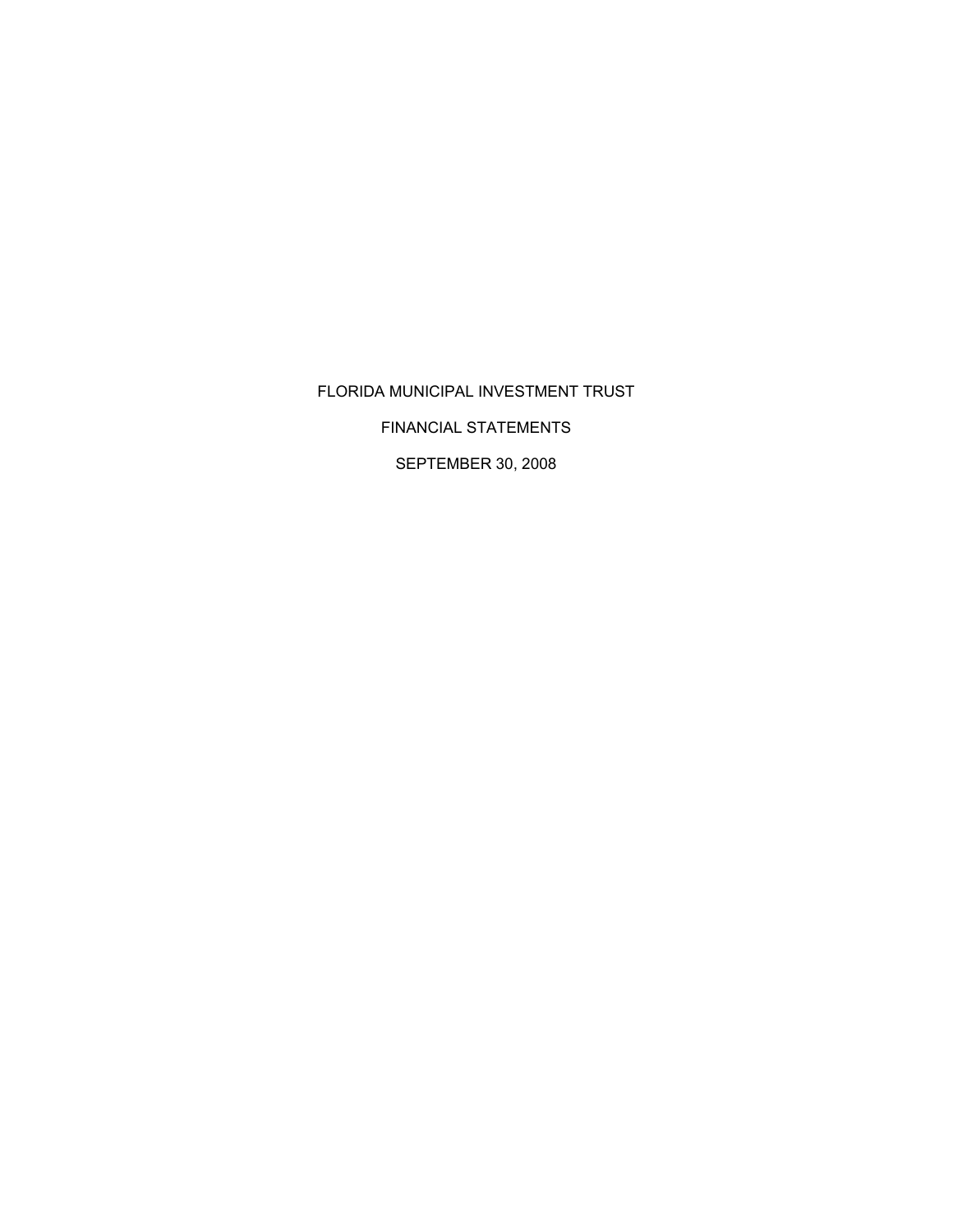# FLORIDA MUNICIPAL INVESTMENT TRUST

FINANCIAL STATEMENTS

SEPTEMBER 30, 2008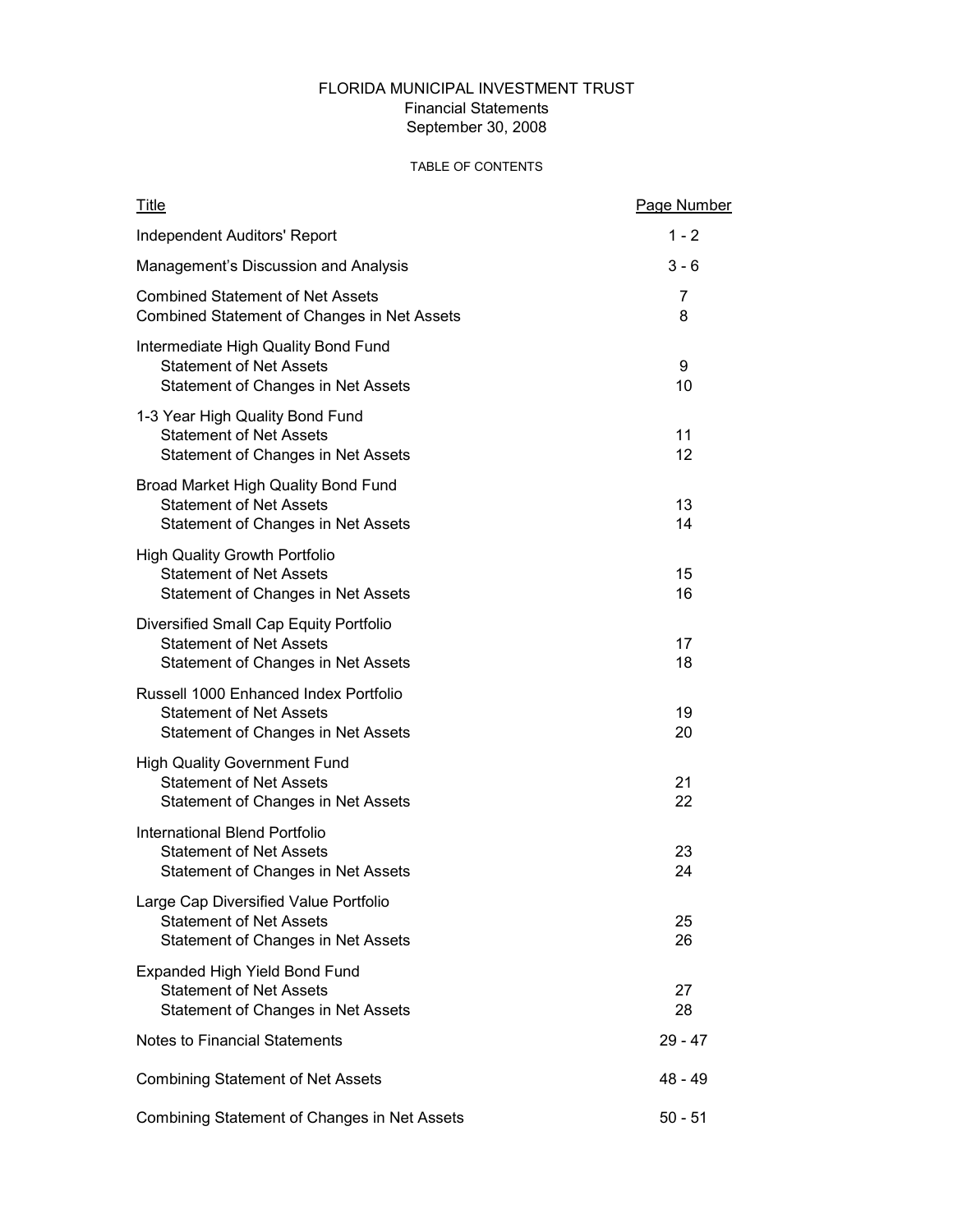# FLORIDA MUNICIPAL INVESTMENT TRUST Financial Statements September 30, 2008

## TABLE OF CONTENTS

| <b>Title</b>                                                                                                   | Page Number |
|----------------------------------------------------------------------------------------------------------------|-------------|
| <b>Independent Auditors' Report</b>                                                                            | $1 - 2$     |
| Management's Discussion and Analysis                                                                           | $3 - 6$     |
| <b>Combined Statement of Net Assets</b><br>Combined Statement of Changes in Net Assets                         | 7<br>8      |
| Intermediate High Quality Bond Fund<br><b>Statement of Net Assets</b><br>Statement of Changes in Net Assets    | 9<br>10     |
| 1-3 Year High Quality Bond Fund<br><b>Statement of Net Assets</b><br>Statement of Changes in Net Assets        | 11<br>12    |
| Broad Market High Quality Bond Fund<br><b>Statement of Net Assets</b><br>Statement of Changes in Net Assets    | 13<br>14    |
| <b>High Quality Growth Portfolio</b><br><b>Statement of Net Assets</b><br>Statement of Changes in Net Assets   | 15<br>16    |
| Diversified Small Cap Equity Portfolio<br><b>Statement of Net Assets</b><br>Statement of Changes in Net Assets | 17<br>18    |
| Russell 1000 Enhanced Index Portfolio<br><b>Statement of Net Assets</b><br>Statement of Changes in Net Assets  | 19<br>20    |
| <b>High Quality Government Fund</b><br><b>Statement of Net Assets</b><br>Statement of Changes in Net Assets    | 21<br>22    |
| International Blend Portfolio<br><b>Statement of Net Assets</b><br>Statement of Changes in Net Assets          | 23<br>24    |
| Large Cap Diversified Value Portfolio<br><b>Statement of Net Assets</b><br>Statement of Changes in Net Assets  | 25<br>26    |
| <b>Expanded High Yield Bond Fund</b><br><b>Statement of Net Assets</b><br>Statement of Changes in Net Assets   | 27<br>28    |
| <b>Notes to Financial Statements</b>                                                                           | 29 - 47     |
| <b>Combining Statement of Net Assets</b>                                                                       | 48 - 49     |
| Combining Statement of Changes in Net Assets                                                                   | $50 - 51$   |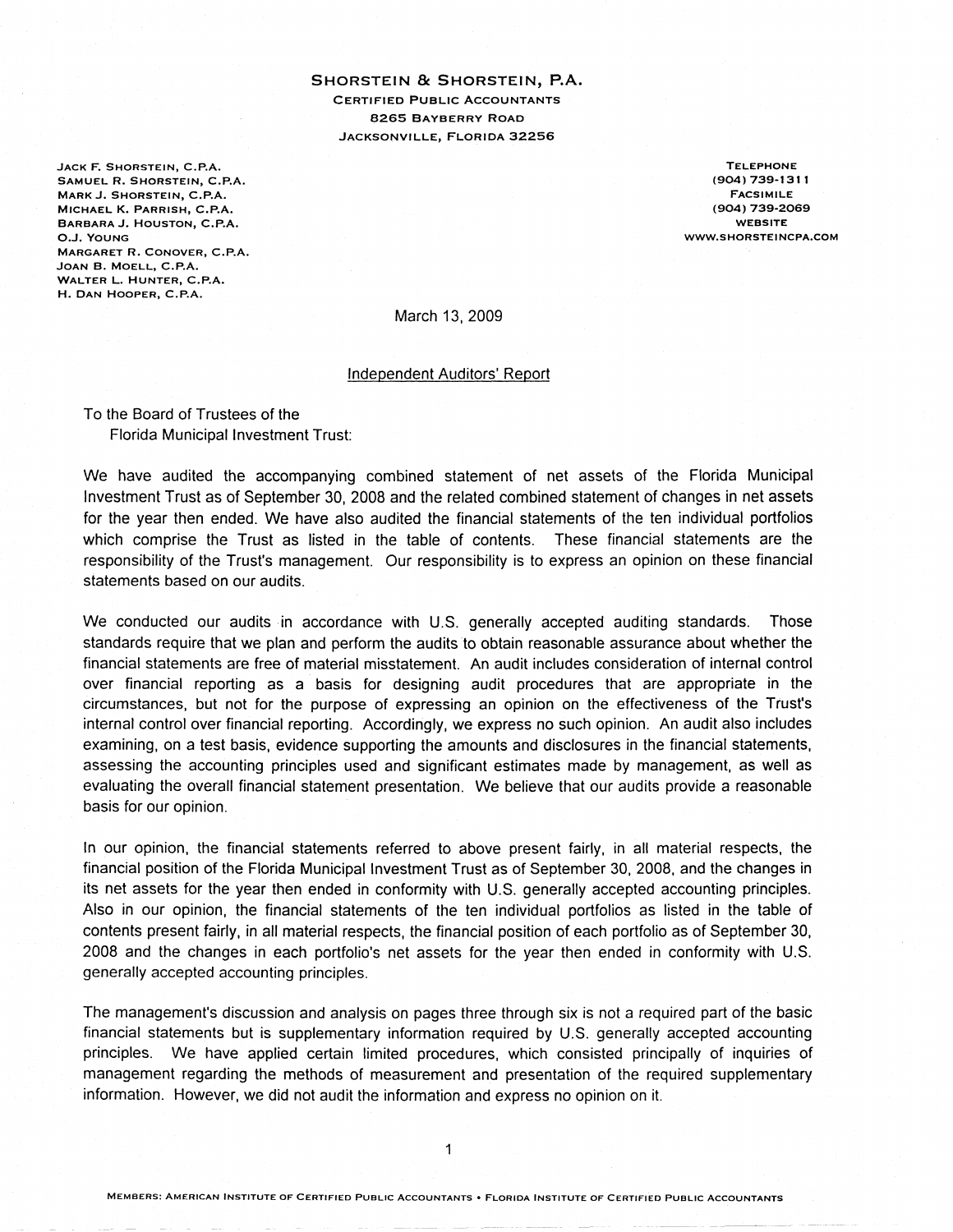SHORSTEIN & SHORSTEIN, P.A. **CERTIFIED PUBLIC ACCOUNTANTS 8265 BAYBERRY ROAD** JACKSONVILLE, FLORIDA 32256

JACK F. SHORSTEIN, C.P.A. SAMUEL R. SHORSTEIN, C.P.A. MARK J. SHORSTEIN, C.P.A. MICHAEL K. PARRISH, C.P.A. BARBARA J. HOUSTON, C.P.A. O.J. YOUNG MARGARET R. CONOVER, C.P.A. JOAN B. MOELL, C.P.A. WALTER L. HUNTER, C.P.A. H. DAN HOOPER, C.P.A.

**TELEPHONE** (904) 739-1311 **FACSIMILE** (904) 739-2069 **WEBSITE** WWW.SHORSTEINCPA.COM

March 13, 2009

#### Independent Auditors' Report

To the Board of Trustees of the Florida Municipal Investment Trust:

We have audited the accompanying combined statement of net assets of the Florida Municipal Investment Trust as of September 30, 2008 and the related combined statement of changes in net assets for the year then ended. We have also audited the financial statements of the ten individual portfolios which comprise the Trust as listed in the table of contents. These financial statements are the responsibility of the Trust's management. Our responsibility is to express an opinion on these financial statements based on our audits.

We conducted our audits in accordance with U.S. generally accepted auditing standards. Those standards require that we plan and perform the audits to obtain reasonable assurance about whether the financial statements are free of material misstatement. An audit includes consideration of internal control over financial reporting as a basis for designing audit procedures that are appropriate in the circumstances, but not for the purpose of expressing an opinion on the effectiveness of the Trust's internal control over financial reporting. Accordingly, we express no such opinion. An audit also includes examining, on a test basis, evidence supporting the amounts and disclosures in the financial statements, assessing the accounting principles used and significant estimates made by management, as well as evaluating the overall financial statement presentation. We believe that our audits provide a reasonable basis for our opinion.

In our opinion, the financial statements referred to above present fairly, in all material respects, the financial position of the Florida Municipal Investment Trust as of September 30, 2008, and the changes in its net assets for the year then ended in conformity with U.S. generally accepted accounting principles. Also in our opinion, the financial statements of the ten individual portfolios as listed in the table of contents present fairly, in all material respects, the financial position of each portfolio as of September 30, 2008 and the changes in each portfolio's net assets for the year then ended in conformity with U.S. generally accepted accounting principles.

The management's discussion and analysis on pages three through six is not a required part of the basic financial statements but is supplementary information required by U.S. generally accepted accounting principles. We have applied certain limited procedures, which consisted principally of inquiries of management regarding the methods of measurement and presentation of the required supplementary information. However, we did not audit the information and express no opinion on it.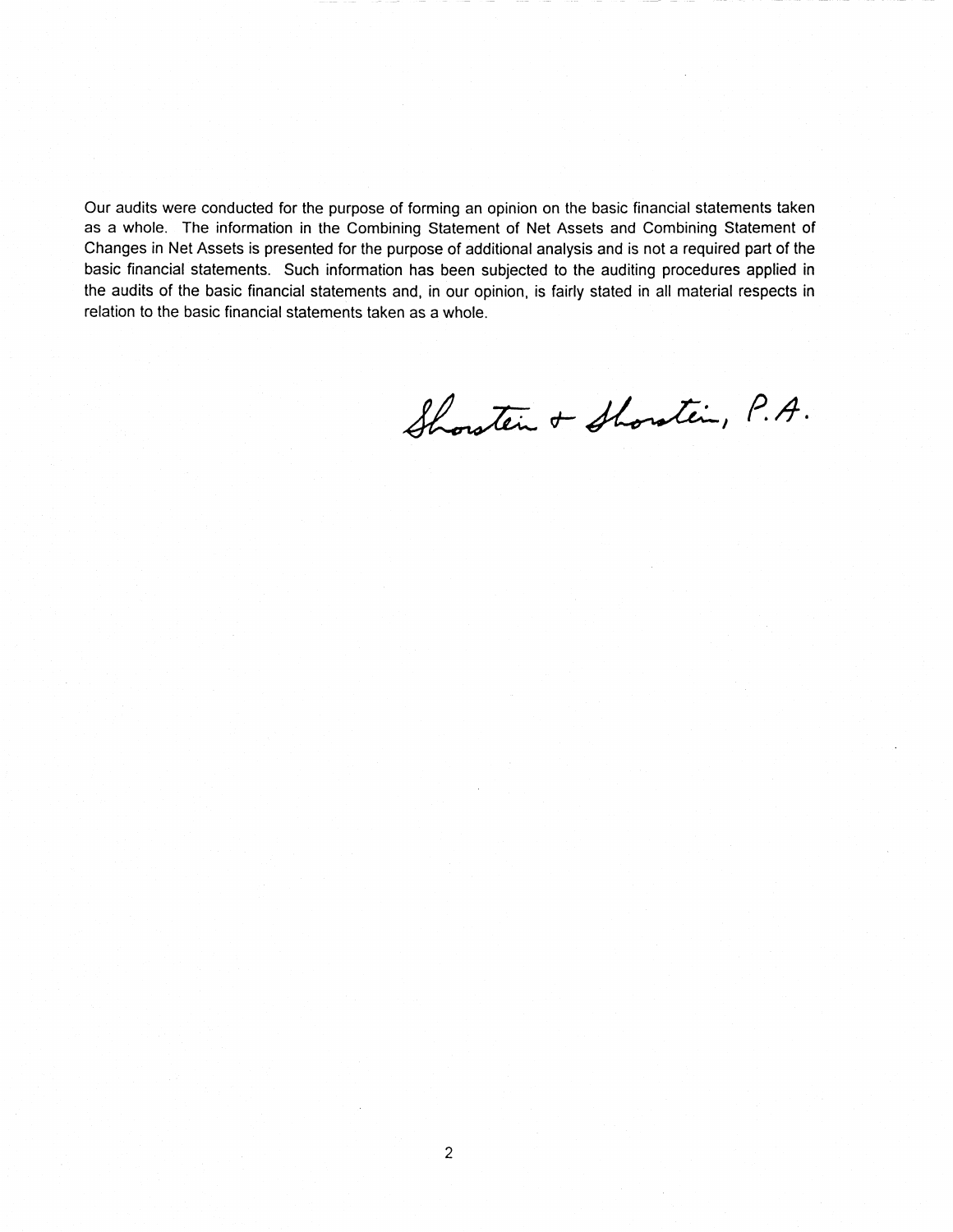Our audits were conducted for the purpose of forming an opinion on the basic financial statements taken as a whole. The information in the Combining Statement of Net Assets and Combining Statement of Changes in Net Assets is presented for the purpose of additional analysis and is not a required part of the basic financial statements. Such information has been subjected to the auditing procedures applied in the audits of the basic financial statements and, in our opinion, is fairly stated in all material respects in relation to the basic financial statements taken as a whole.

Showten + Showtin, P.A.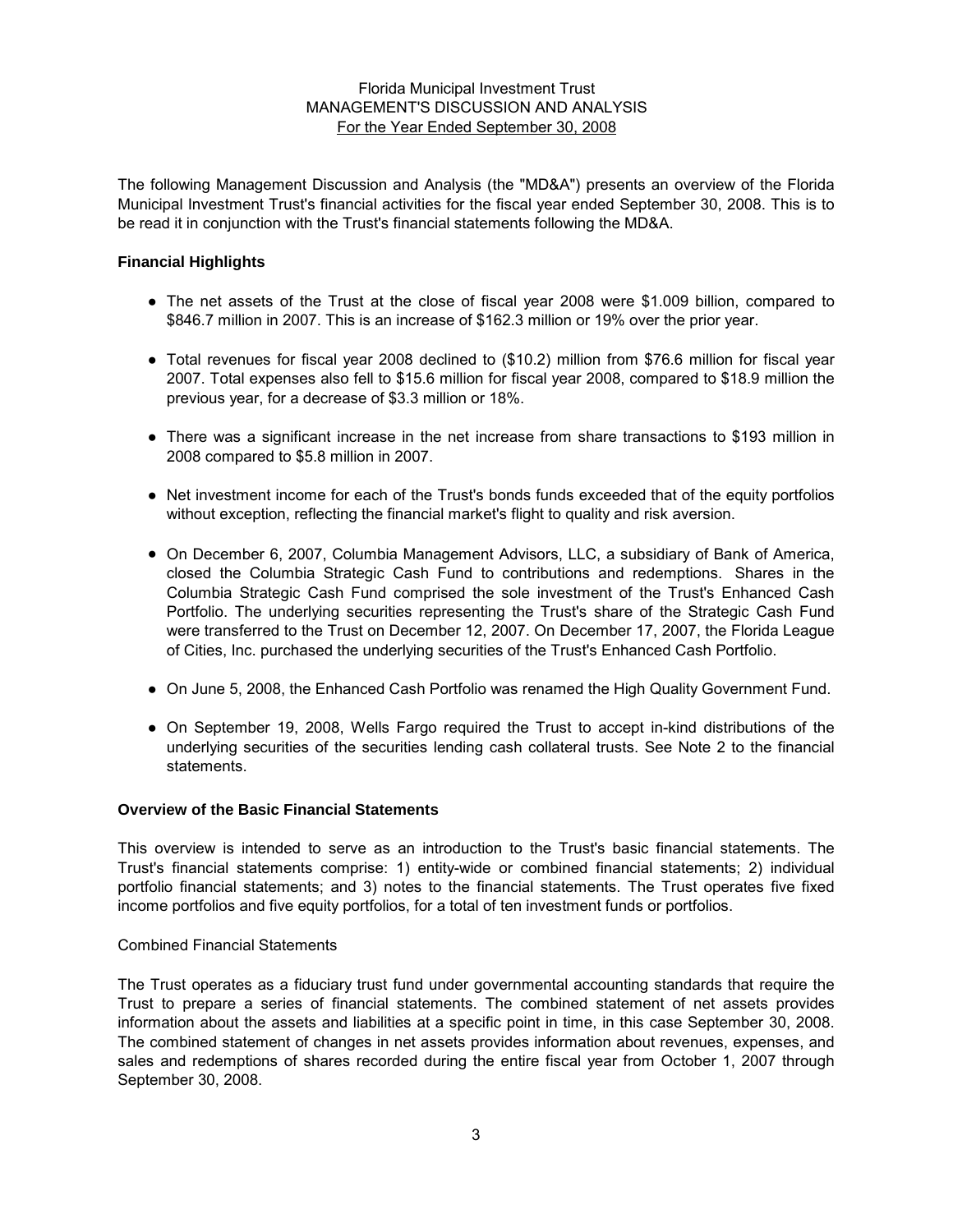The following Management Discussion and Analysis (the "MD&A") presents an overview of the Florida Municipal Investment Trust's financial activities for the fiscal year ended September 30, 2008. This is to be read it in conjunction with the Trust's financial statements following the MD&A.

## **Financial Highlights**

- The net assets of the Trust at the close of fiscal year 2008 were \$1.009 billion, compared to \$846.7 million in 2007. This is an increase of \$162.3 million or 19% over the prior year.
- Total revenues for fiscal year 2008 declined to (\$10.2) million from \$76.6 million for fiscal year 2007. Total expenses also fell to \$15.6 million for fiscal year 2008, compared to \$18.9 million the previous year, for a decrease of \$3.3 million or 18%.
- There was a significant increase in the net increase from share transactions to \$193 million in 2008 compared to \$5.8 million in 2007.
- Net investment income for each of the Trust's bonds funds exceeded that of the equity portfolios without exception, reflecting the financial market's flight to quality and risk aversion.
- On December 6, 2007, Columbia Management Advisors, LLC, a subsidiary of Bank of America, closed the Columbia Strategic Cash Fund to contributions and redemptions. Shares in the Columbia Strategic Cash Fund comprised the sole investment of the Trust's Enhanced Cash Portfolio. The underlying securities representing the Trust's share of the Strategic Cash Fund were transferred to the Trust on December 12, 2007. On December 17, 2007, the Florida League of Cities, Inc. purchased the underlying securities of the Trust's Enhanced Cash Portfolio.
- On June 5, 2008, the Enhanced Cash Portfolio was renamed the High Quality Government Fund.
- On September 19, 2008, Wells Fargo required the Trust to accept in-kind distributions of the underlying securities of the securities lending cash collateral trusts. See Note 2 to the financial statements.

#### **Overview of the Basic Financial Statements**

This overview is intended to serve as an introduction to the Trust's basic financial statements. The Trust's financial statements comprise: 1) entity-wide or combined financial statements; 2) individual portfolio financial statements; and 3) notes to the financial statements. The Trust operates five fixed income portfolios and five equity portfolios, for a total of ten investment funds or portfolios.

#### Combined Financial Statements

The Trust operates as a fiduciary trust fund under governmental accounting standards that require the Trust to prepare a series of financial statements. The combined statement of net assets provides information about the assets and liabilities at a specific point in time, in this case September 30, 2008. The combined statement of changes in net assets provides information about revenues, expenses, and sales and redemptions of shares recorded during the entire fiscal year from October 1, 2007 through September 30, 2008.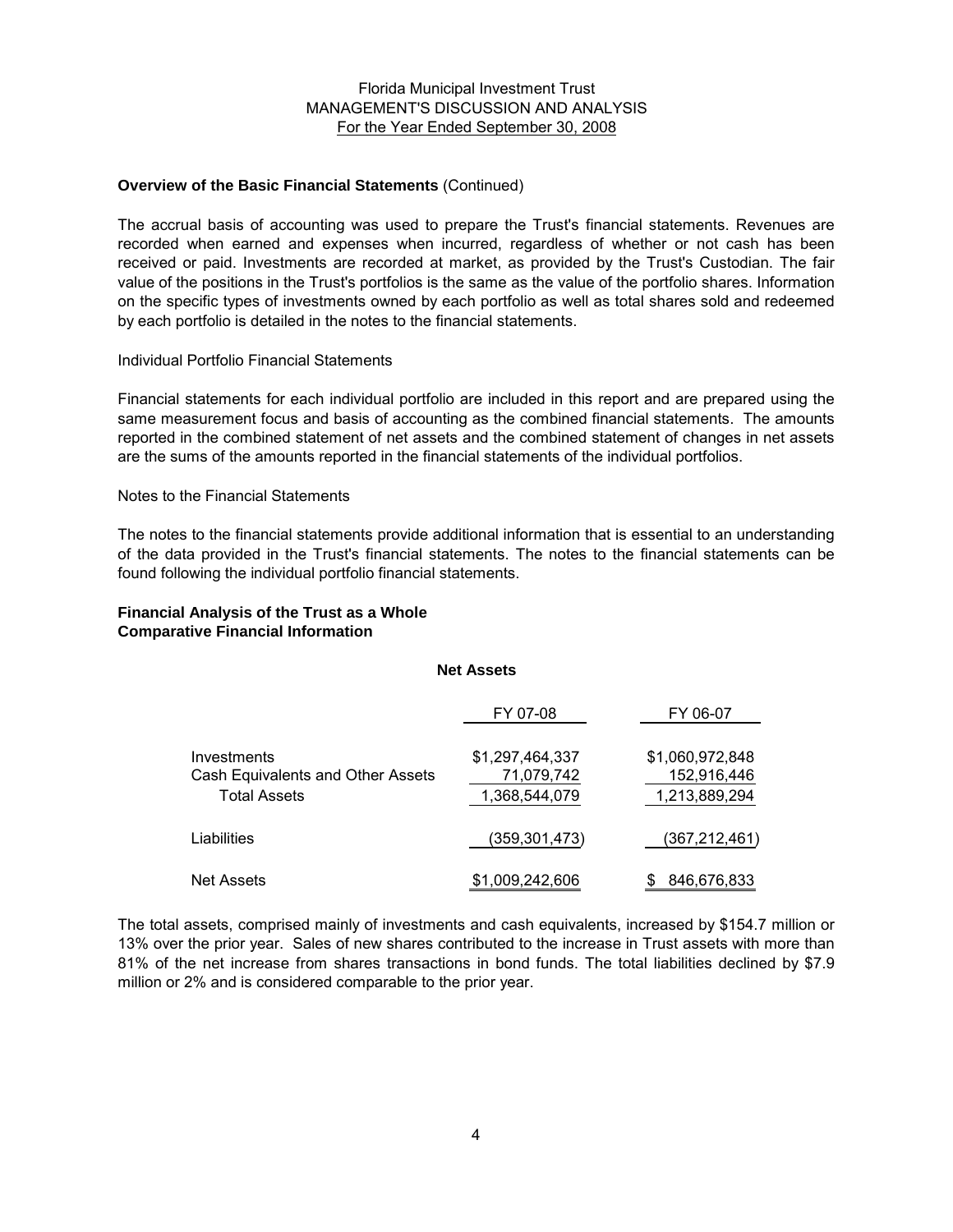#### **Overview of the Basic Financial Statements** (Continued)

The accrual basis of accounting was used to prepare the Trust's financial statements. Revenues are recorded when earned and expenses when incurred, regardless of whether or not cash has been received or paid. Investments are recorded at market, as provided by the Trust's Custodian. The fair value of the positions in the Trust's portfolios is the same as the value of the portfolio shares. Information on the specific types of investments owned by each portfolio as well as total shares sold and redeemed by each portfolio is detailed in the notes to the financial statements.

#### Individual Portfolio Financial Statements

Financial statements for each individual portfolio are included in this report and are prepared using the same measurement focus and basis of accounting as the combined financial statements. The amounts reported in the combined statement of net assets and the combined statement of changes in net assets are the sums of the amounts reported in the financial statements of the individual portfolios.

## Notes to the Financial Statements

The notes to the financial statements provide additional information that is essential to an understanding of the data provided in the Trust's financial statements. The notes to the financial statements can be found following the individual portfolio financial statements.

## **Financial Analysis of the Trust as a Whole Comparative Financial Information**

#### **Net Assets**

|                                                  | FY 07-08                      | FY 06-07                       |
|--------------------------------------------------|-------------------------------|--------------------------------|
| Investments<br>Cash Equivalents and Other Assets | \$1,297,464,337<br>71,079,742 | \$1,060,972,848<br>152,916,446 |
| Total Assets                                     | 1,368,544,079                 | 1,213,889,294                  |
| Liabilities                                      | (359, 301, 473)               | (367, 212, 461)                |
| Net Assets                                       | \$1,009,242,606               | 846,676,833                    |

The total assets, comprised mainly of investments and cash equivalents, increased by \$154.7 million or 13% over the prior year. Sales of new shares contributed to the increase in Trust assets with more than 81% of the net increase from shares transactions in bond funds. The total liabilities declined by \$7.9 million or 2% and is considered comparable to the prior year.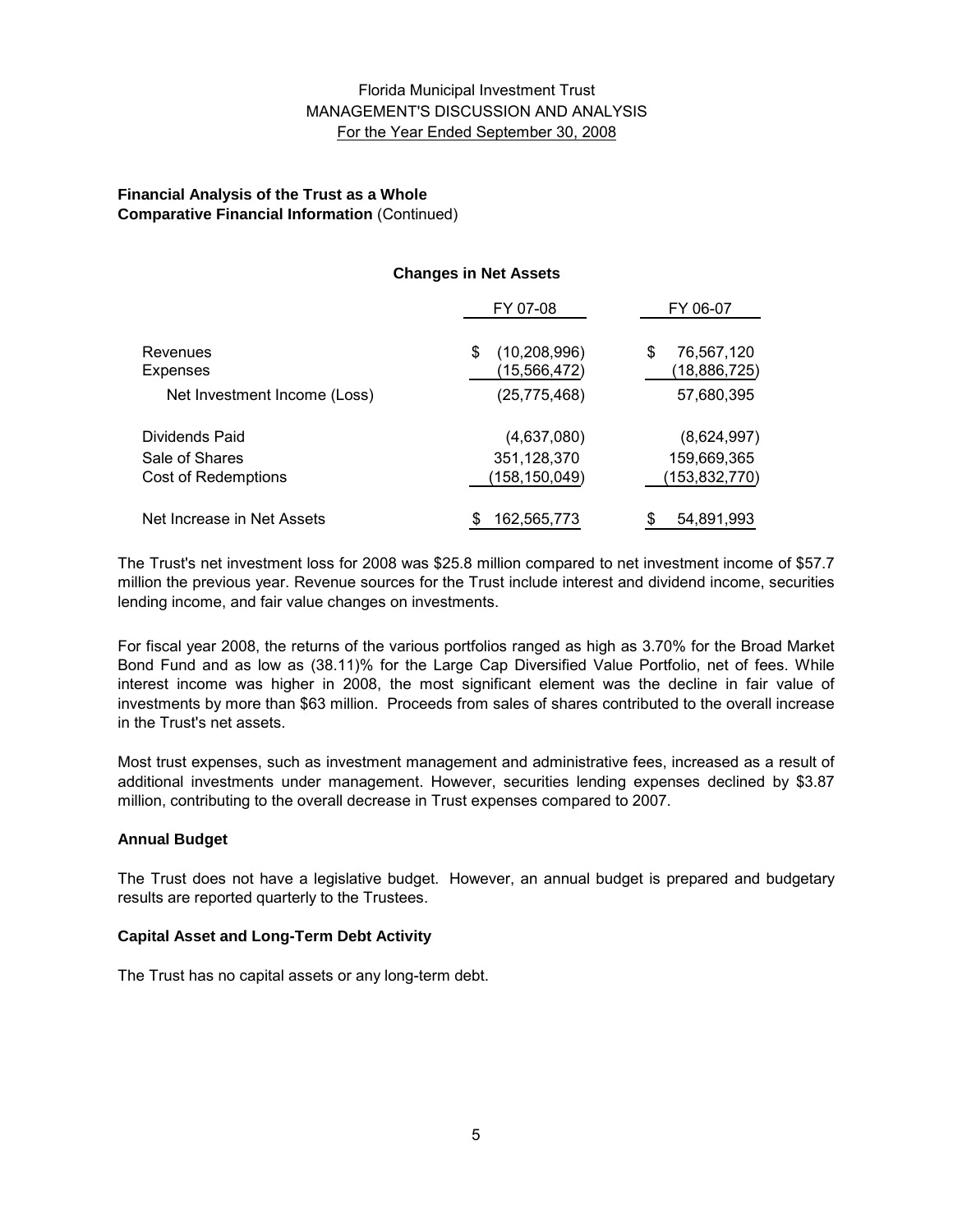## **Financial Analysis of the Trust as a Whole Comparative Financial Information** (Continued)

## **Changes in Net Assets**

|                              | FY 07-08                            | FY 06-07                        |
|------------------------------|-------------------------------------|---------------------------------|
| Revenues<br>Expenses         | (10, 208, 996)<br>S<br>(15,566,472) | 76,567,120<br>S<br>(18,886,725) |
| Net Investment Income (Loss) | (25, 775, 468)                      | 57,680,395                      |
| Dividends Paid               | (4,637,080)                         | (8,624,997)                     |
| Sale of Shares               | 351, 128, 370                       | 159,669,365                     |
| Cost of Redemptions          | (158,150,049)                       | (153,832,770)                   |
| Net Increase in Net Assets   | 162,565,773                         | 54,891,993                      |

The Trust's net investment loss for 2008 was \$25.8 million compared to net investment income of \$57.7 million the previous year. Revenue sources for the Trust include interest and dividend income, securities lending income, and fair value changes on investments.

For fiscal year 2008, the returns of the various portfolios ranged as high as 3.70% for the Broad Market Bond Fund and as low as (38.11)% for the Large Cap Diversified Value Portfolio, net of fees. While interest income was higher in 2008, the most significant element was the decline in fair value of investments by more than \$63 million. Proceeds from sales of shares contributed to the overall increase in the Trust's net assets.

Most trust expenses, such as investment management and administrative fees, increased as a result of additional investments under management. However, securities lending expenses declined by \$3.87 million, contributing to the overall decrease in Trust expenses compared to 2007.

#### **Annual Budget**

The Trust does not have a legislative budget. However, an annual budget is prepared and budgetary results are reported quarterly to the Trustees.

#### **Capital Asset and Long-Term Debt Activity**

The Trust has no capital assets or any long-term debt.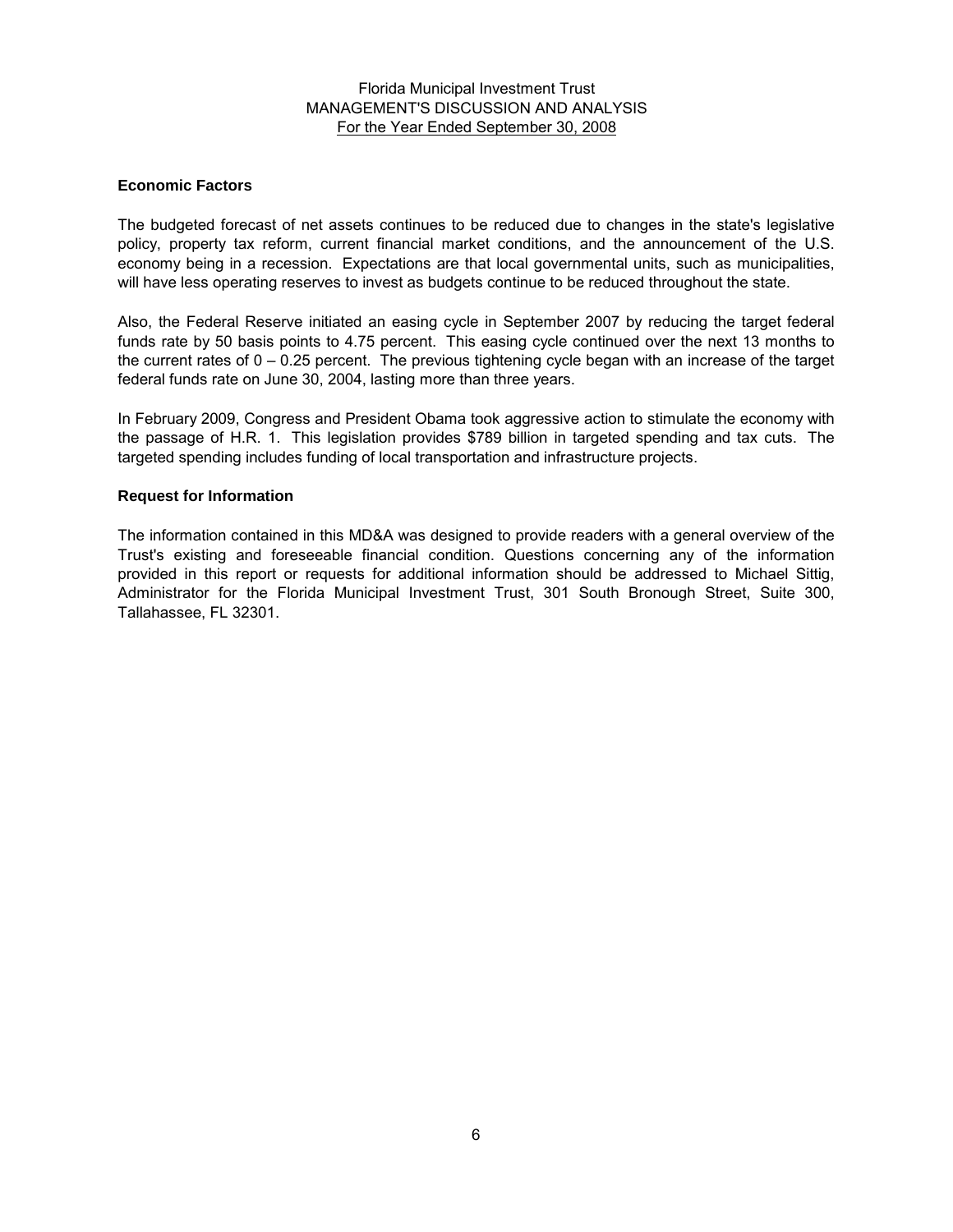## **Economic Factors**

The budgeted forecast of net assets continues to be reduced due to changes in the state's legislative policy, property tax reform, current financial market conditions, and the announcement of the U.S. economy being in a recession. Expectations are that local governmental units, such as municipalities, will have less operating reserves to invest as budgets continue to be reduced throughout the state.

Also, the Federal Reserve initiated an easing cycle in September 2007 by reducing the target federal funds rate by 50 basis points to 4.75 percent. This easing cycle continued over the next 13 months to the current rates of  $0 - 0.25$  percent. The previous tightening cycle began with an increase of the target federal funds rate on June 30, 2004, lasting more than three years.

In February 2009, Congress and President Obama took aggressive action to stimulate the economy with the passage of H.R. 1. This legislation provides \$789 billion in targeted spending and tax cuts. The targeted spending includes funding of local transportation and infrastructure projects.

## **Request for Information**

The information contained in this MD&A was designed to provide readers with a general overview of the Trust's existing and foreseeable financial condition. Questions concerning any of the information provided in this report or requests for additional information should be addressed to Michael Sittig, Administrator for the Florida Municipal Investment Trust, 301 South Bronough Street, Suite 300, Tallahassee, FL 32301.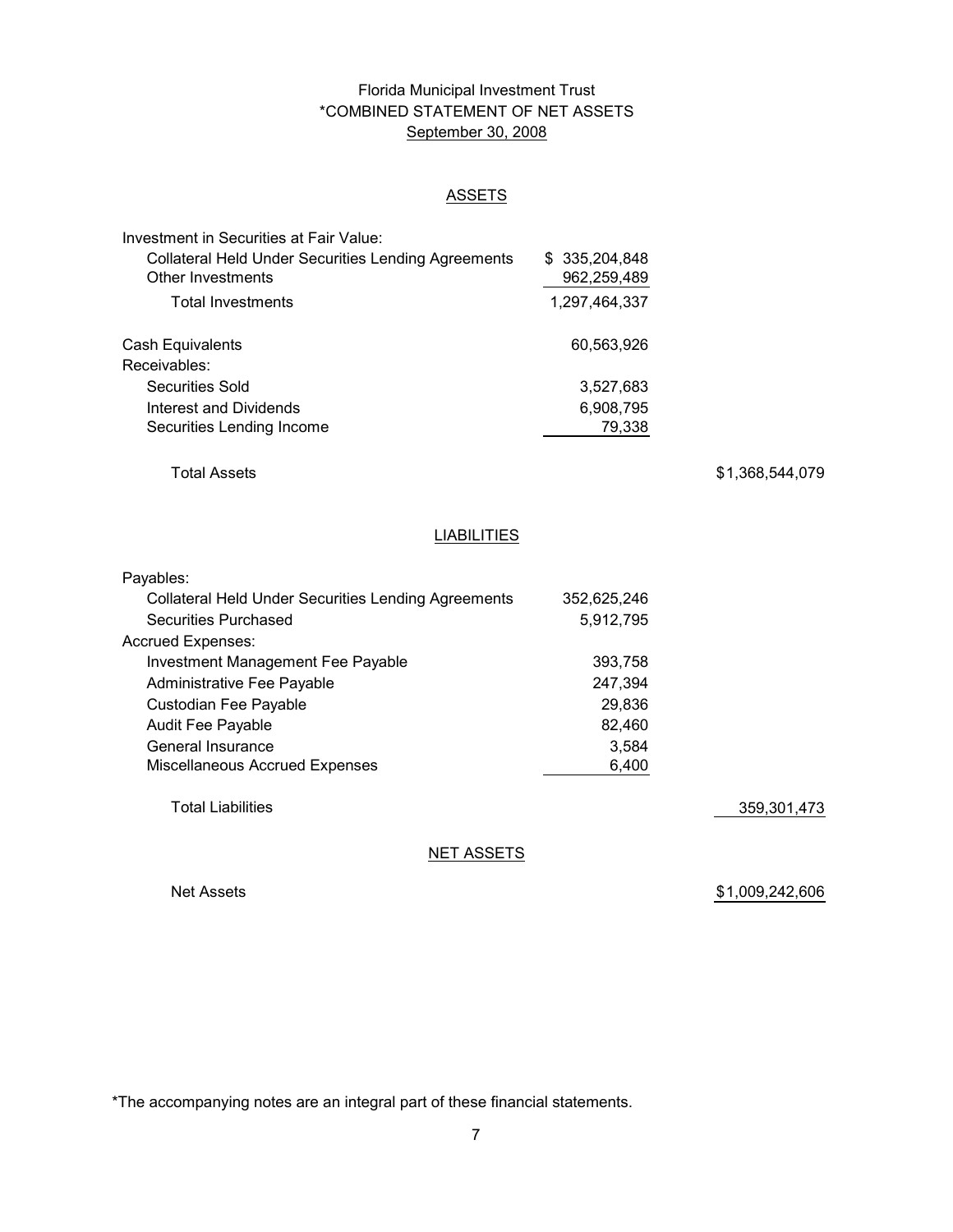# Florida Municipal Investment Trust \*COMBINED STATEMENT OF NET ASSETS September 30, 2008

## **ASSETS**

| Investment in Securities at Fair Value:                    |                |
|------------------------------------------------------------|----------------|
| <b>Collateral Held Under Securities Lending Agreements</b> | \$ 335,204,848 |
| <b>Other Investments</b>                                   | 962,259,489    |
| <b>Total Investments</b>                                   | 1,297,464,337  |
| Cash Equivalents                                           | 60,563,926     |
| Receivables:                                               |                |
| Securities Sold                                            | 3,527,683      |
| Interest and Dividends                                     | 6,908,795      |
| Securities Lending Income                                  | 79.338         |

Total Assets

\$ 1,368,544,079

## **LIABILITIES**

| Payables:                                                  |             |  |
|------------------------------------------------------------|-------------|--|
| <b>Collateral Held Under Securities Lending Agreements</b> | 352,625,246 |  |
| <b>Securities Purchased</b>                                | 5,912,795   |  |
| <b>Accrued Expenses:</b>                                   |             |  |
| Investment Management Fee Payable                          | 393,758     |  |
| Administrative Fee Payable                                 | 247,394     |  |
| Custodian Fee Payable                                      | 29,836      |  |
| <b>Audit Fee Payable</b>                                   | 82,460      |  |
| General Insurance                                          | 3,584       |  |
| <b>Miscellaneous Accrued Expenses</b>                      | 6,400       |  |
|                                                            |             |  |
|                                                            |             |  |

Total Liabilities

359,301,473

**NET ASSETS** 

Net Assets

\$1,009,242,606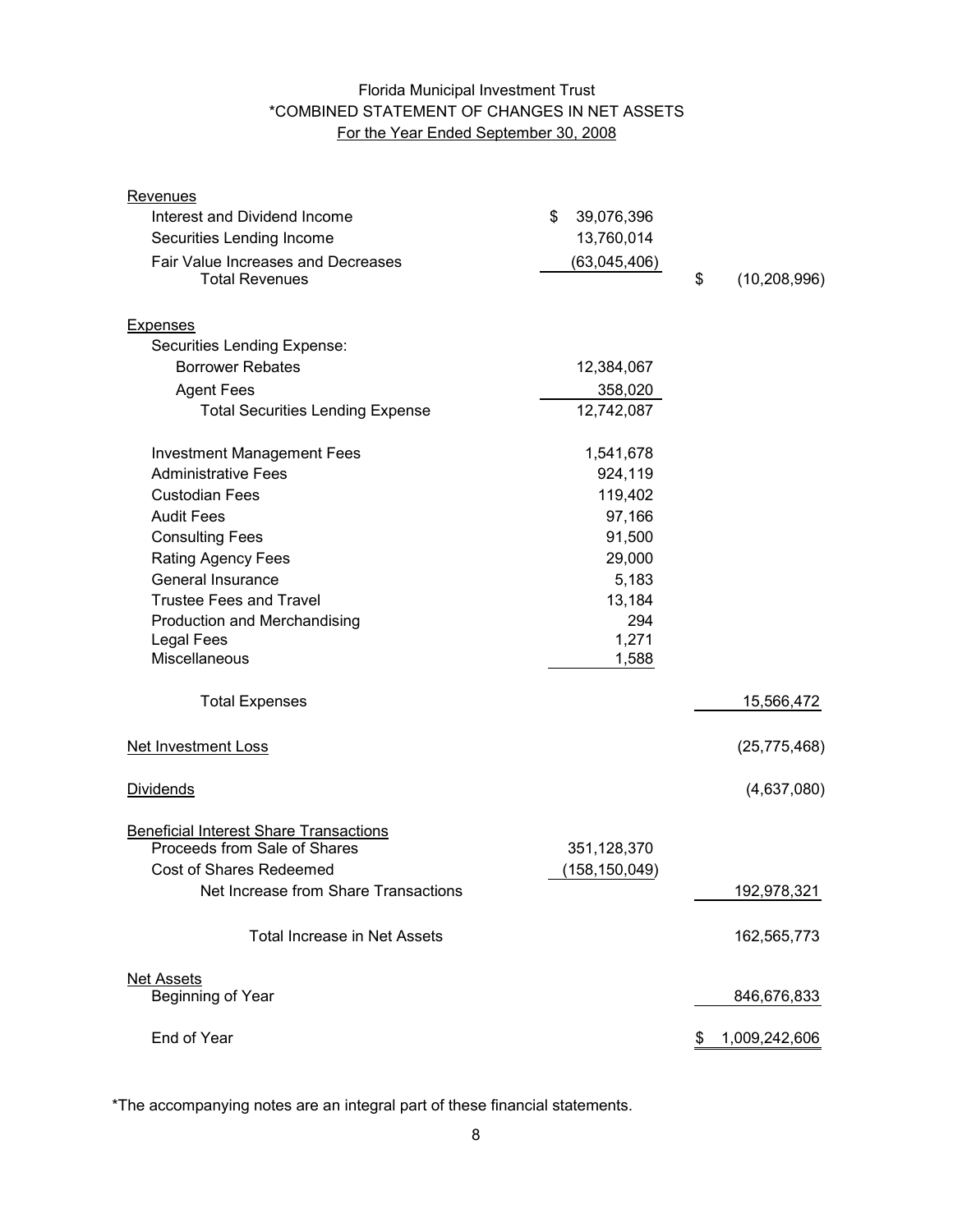# Florida Municipal Investment Trust \*COMBINED STATEMENT OF CHANGES IN NET ASSETS For the Year Ended September 30, 2008

| <b>Revenues</b>                               |                  |                      |
|-----------------------------------------------|------------------|----------------------|
| Interest and Dividend Income                  | 39,076,396<br>\$ |                      |
| Securities Lending Income                     | 13,760,014       |                      |
| Fair Value Increases and Decreases            | (63,045,406)     |                      |
| <b>Total Revenues</b>                         |                  | \$<br>(10, 208, 996) |
| <b>Expenses</b>                               |                  |                      |
| Securities Lending Expense:                   |                  |                      |
| <b>Borrower Rebates</b>                       | 12,384,067       |                      |
| <b>Agent Fees</b>                             | 358,020          |                      |
| <b>Total Securities Lending Expense</b>       | 12,742,087       |                      |
| <b>Investment Management Fees</b>             | 1,541,678        |                      |
| <b>Administrative Fees</b>                    | 924,119          |                      |
| <b>Custodian Fees</b>                         | 119,402          |                      |
| <b>Audit Fees</b>                             | 97,166           |                      |
| <b>Consulting Fees</b>                        | 91,500           |                      |
| <b>Rating Agency Fees</b>                     | 29,000           |                      |
| General Insurance                             | 5,183            |                      |
| <b>Trustee Fees and Travel</b>                | 13,184           |                      |
| Production and Merchandising                  | 294              |                      |
| <b>Legal Fees</b>                             | 1,271            |                      |
| Miscellaneous                                 | 1,588            |                      |
| <b>Total Expenses</b>                         |                  | 15,566,472           |
| <b>Net Investment Loss</b>                    |                  | (25, 775, 468)       |
| <b>Dividends</b>                              |                  | (4,637,080)          |
| <b>Beneficial Interest Share Transactions</b> |                  |                      |
| Proceeds from Sale of Shares                  | 351,128,370      |                      |
| <b>Cost of Shares Redeemed</b>                | (158, 150, 049)  |                      |
| Net Increase from Share Transactions          |                  | 192,978,321          |
| <b>Total Increase in Net Assets</b>           |                  | 162,565,773          |
| <b>Net Assets</b>                             |                  |                      |
| Beginning of Year                             |                  | 846,676,833          |
| End of Year                                   |                  | 1,009,242,606<br>\$  |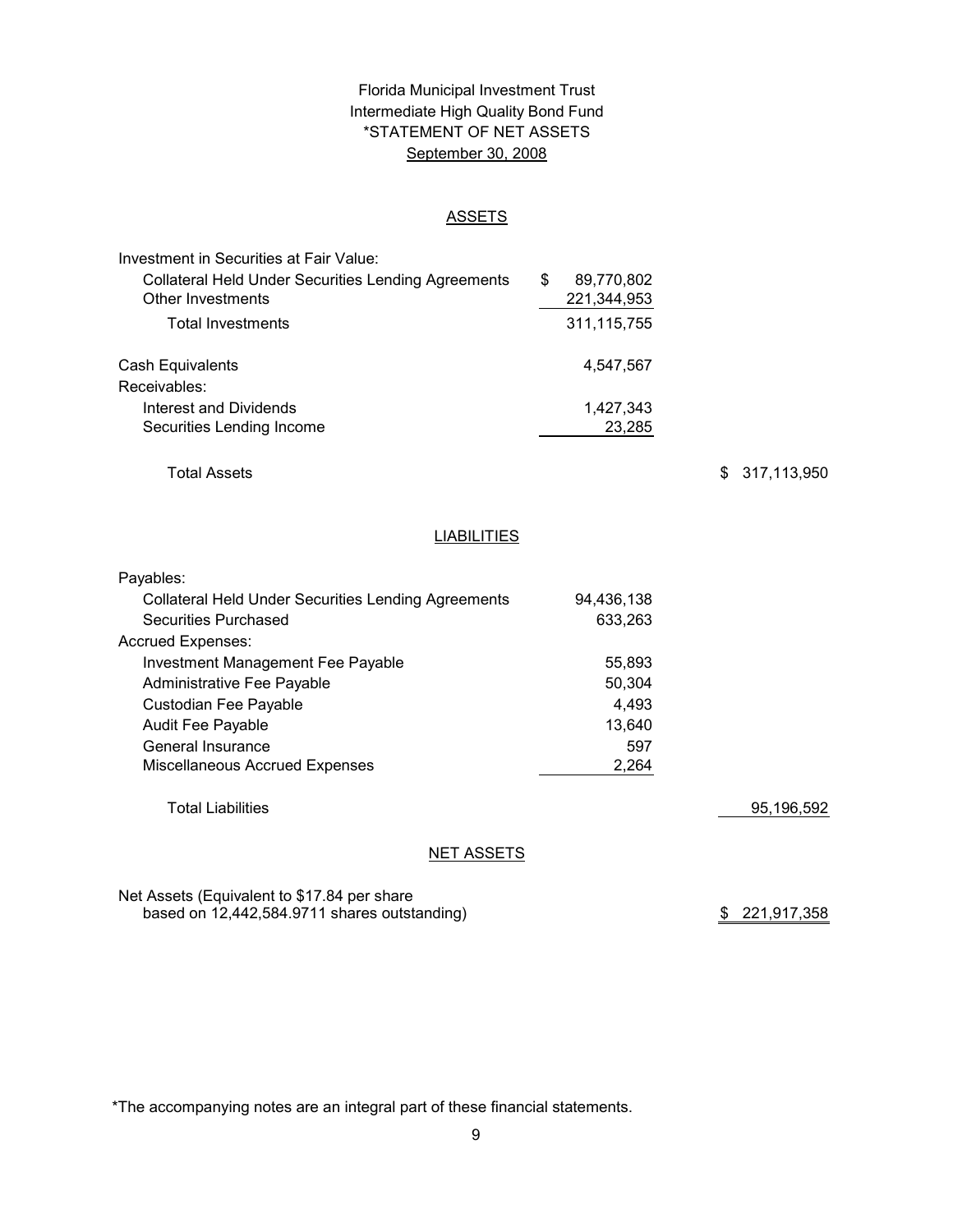# Florida Municipal Investment Trust Intermediate High Quality Bond Fund \*STATEMENT OF NET ASSETS September 30, 2008

#### ASSETS

| Investment in Securities at Fair Value:                    |   |               |  |
|------------------------------------------------------------|---|---------------|--|
| <b>Collateral Held Under Securities Lending Agreements</b> | S | 89,770,802    |  |
| Other Investments                                          |   | 221,344,953   |  |
| <b>Total Investments</b>                                   |   | 311, 115, 755 |  |
| <b>Cash Equivalents</b>                                    |   | 4,547,567     |  |
| Receivables:                                               |   |               |  |
| Interest and Dividends                                     |   | 1,427,343     |  |
| Securities Lending Income                                  |   | 23,285        |  |

Total Assets

\$ 317,113,950

#### **LIABILITIES**

| Payables:                                                  |            |            |
|------------------------------------------------------------|------------|------------|
| <b>Collateral Held Under Securities Lending Agreements</b> | 94,436,138 |            |
| Securities Purchased                                       | 633,263    |            |
| <b>Accrued Expenses:</b>                                   |            |            |
| Investment Management Fee Payable                          | 55,893     |            |
| Administrative Fee Payable                                 | 50.304     |            |
| Custodian Fee Payable                                      | 4.493      |            |
| <b>Audit Fee Payable</b>                                   | 13.640     |            |
| General Insurance                                          | 597        |            |
| <b>Miscellaneous Accrued Expenses</b>                      | 2,264      |            |
|                                                            |            |            |
| <b>Total Liabilities</b>                                   |            | 95,196,592 |
|                                                            |            |            |

#### NET ASSETS

Net Assets (Equivalent to \$17.84 per share based on 12,442,584.9711 shares outstanding)

\$ 221,917,358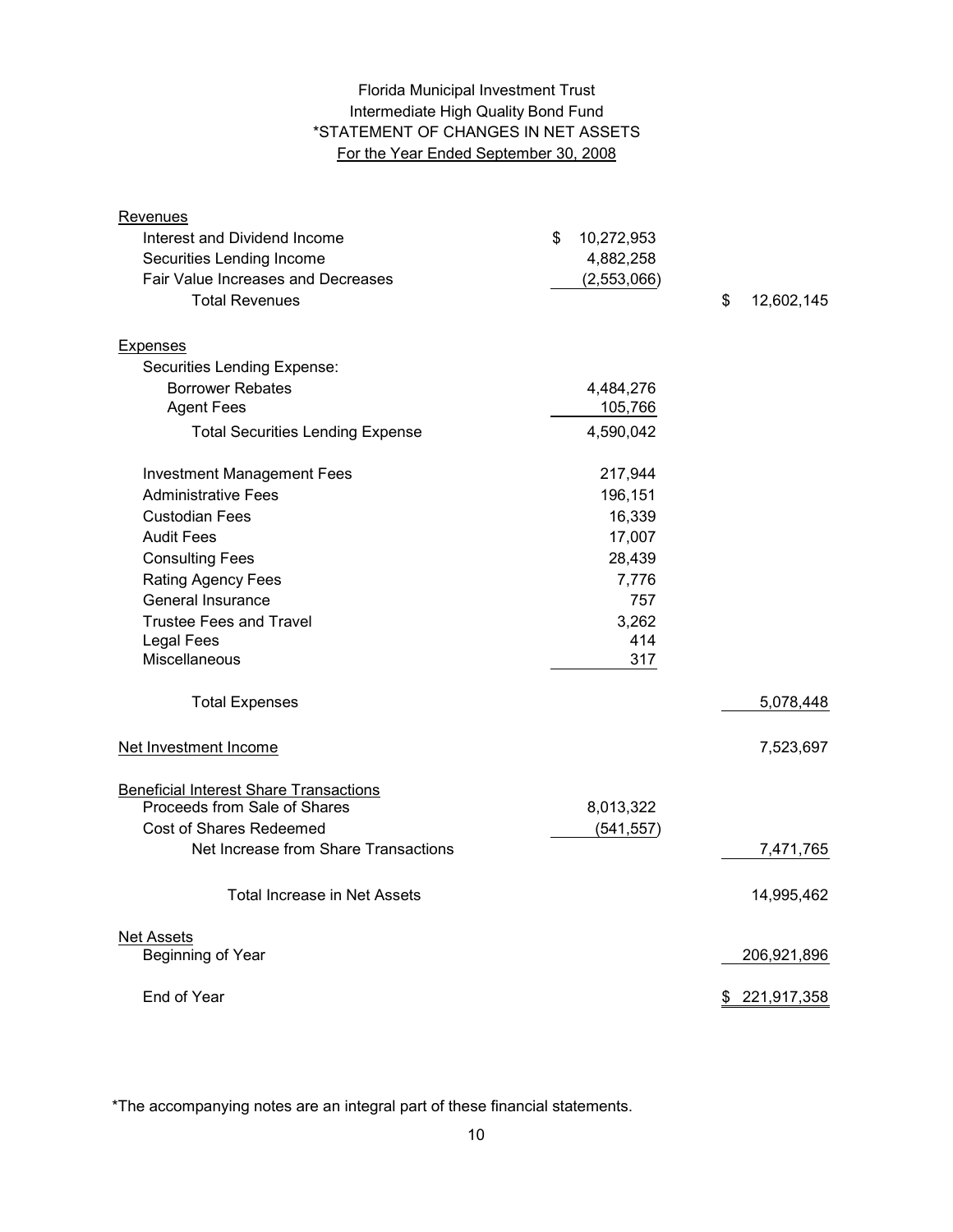# Intermediate High Quality Bond Fund For the Year Ended September 30, 2008 Florida Municipal Investment Trust \*STATEMENT OF CHANGES IN NET ASSETS

| Revenues                                      |                  |                  |
|-----------------------------------------------|------------------|------------------|
| Interest and Dividend Income                  | \$<br>10,272,953 |                  |
| Securities Lending Income                     | 4,882,258        |                  |
| Fair Value Increases and Decreases            | (2,553,066)      |                  |
| <b>Total Revenues</b>                         |                  | \$<br>12,602,145 |
|                                               |                  |                  |
| <b>Expenses</b>                               |                  |                  |
| Securities Lending Expense:                   |                  |                  |
| <b>Borrower Rebates</b>                       | 4,484,276        |                  |
| <b>Agent Fees</b>                             | 105,766          |                  |
| <b>Total Securities Lending Expense</b>       | 4,590,042        |                  |
| <b>Investment Management Fees</b>             | 217,944          |                  |
| <b>Administrative Fees</b>                    | 196,151          |                  |
| <b>Custodian Fees</b>                         | 16,339           |                  |
| <b>Audit Fees</b>                             | 17,007           |                  |
| <b>Consulting Fees</b>                        | 28,439           |                  |
| <b>Rating Agency Fees</b>                     | 7,776            |                  |
| General Insurance                             | 757              |                  |
| <b>Trustee Fees and Travel</b>                | 3,262            |                  |
| <b>Legal Fees</b>                             | 414              |                  |
| Miscellaneous                                 | 317              |                  |
| <b>Total Expenses</b>                         |                  | 5,078,448        |
| Net Investment Income                         |                  | 7,523,697        |
| <b>Beneficial Interest Share Transactions</b> |                  |                  |
| Proceeds from Sale of Shares                  | 8,013,322        |                  |
| Cost of Shares Redeemed                       | (541, 557)       |                  |
| Net Increase from Share Transactions          |                  | 7,471,765        |
| <b>Total Increase in Net Assets</b>           |                  | 14,995,462       |
| <b>Net Assets</b>                             |                  |                  |
| Beginning of Year                             |                  | 206,921,896      |
| End of Year                                   |                  | \$ 221,917,358   |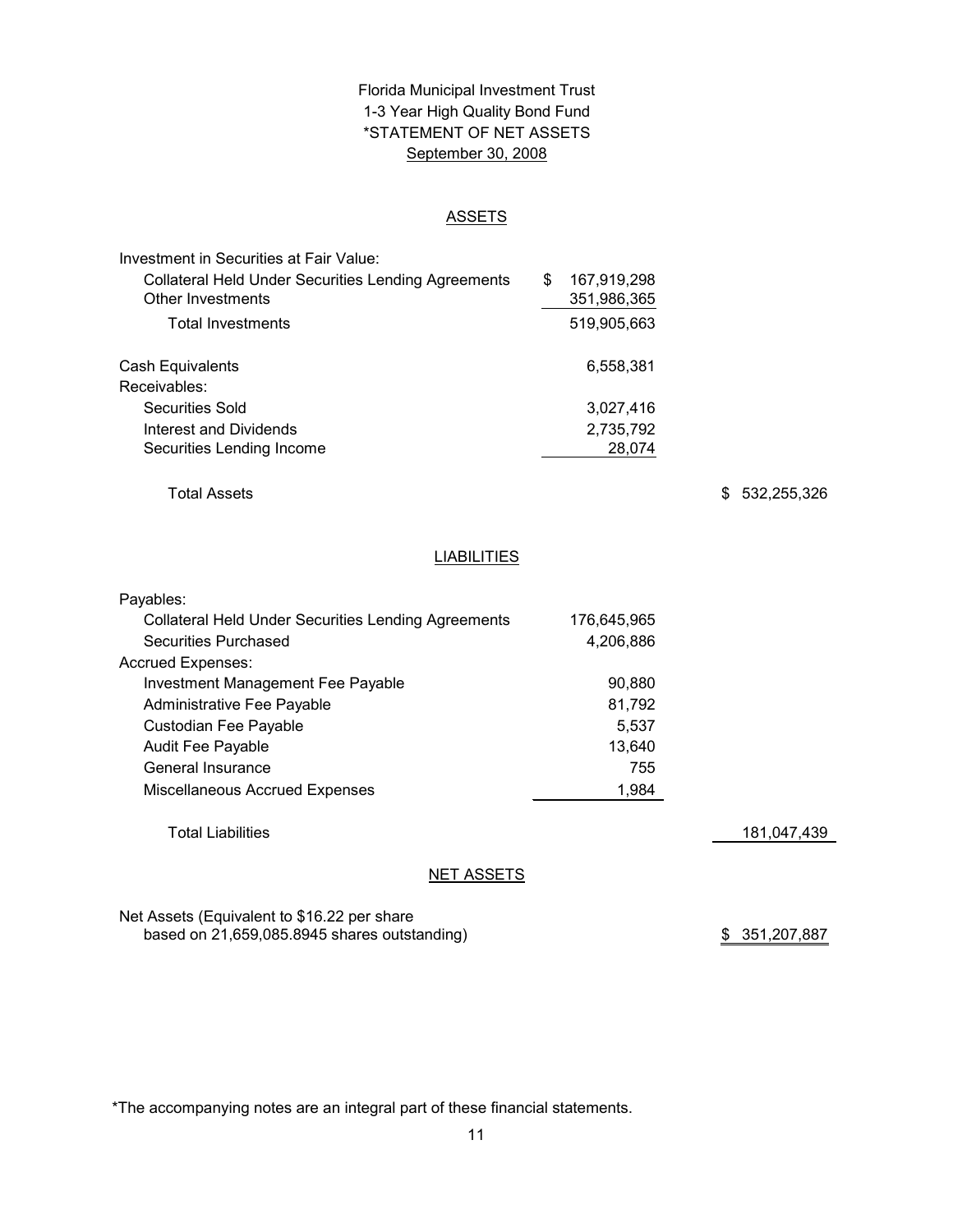# \*STATEMENT OF NET ASSETS Florida Municipal Investment Trust 1-3 Year High Quality Bond Fund September 30, 2008

#### ASSETS

| Investment in Securities at Fair Value:                    |                   |
|------------------------------------------------------------|-------------------|
| <b>Collateral Held Under Securities Lending Agreements</b> | \$<br>167,919,298 |
| Other Investments                                          | 351,986,365       |
| <b>Total Investments</b>                                   | 519,905,663       |
| Cash Equivalents                                           | 6,558,381         |
| Receivables:                                               |                   |
| Securities Sold                                            | 3,027,416         |
| Interest and Dividends                                     | 2,735,792         |
| Securities Lending Income                                  | 28,074            |

Total Assets

\$ 532,255,326

# **LIABILITIES**

| Payables:                                                  |             |             |
|------------------------------------------------------------|-------------|-------------|
| <b>Collateral Held Under Securities Lending Agreements</b> | 176,645,965 |             |
| Securities Purchased                                       | 4,206,886   |             |
| <b>Accrued Expenses:</b>                                   |             |             |
| Investment Management Fee Payable                          | 90.880      |             |
| Administrative Fee Payable                                 | 81,792      |             |
| Custodian Fee Payable                                      | 5,537       |             |
| <b>Audit Fee Payable</b>                                   | 13,640      |             |
| General Insurance                                          | 755         |             |
| Miscellaneous Accrued Expenses                             | 1,984       |             |
| <b>Total Liabilities</b>                                   |             | 181,047,439 |
| <b>NET ASSETS</b>                                          |             |             |

Net Assets (Equivalent to \$16.22 per share based on 21,659,085.8945 shares outstanding)

\$ 351,207,887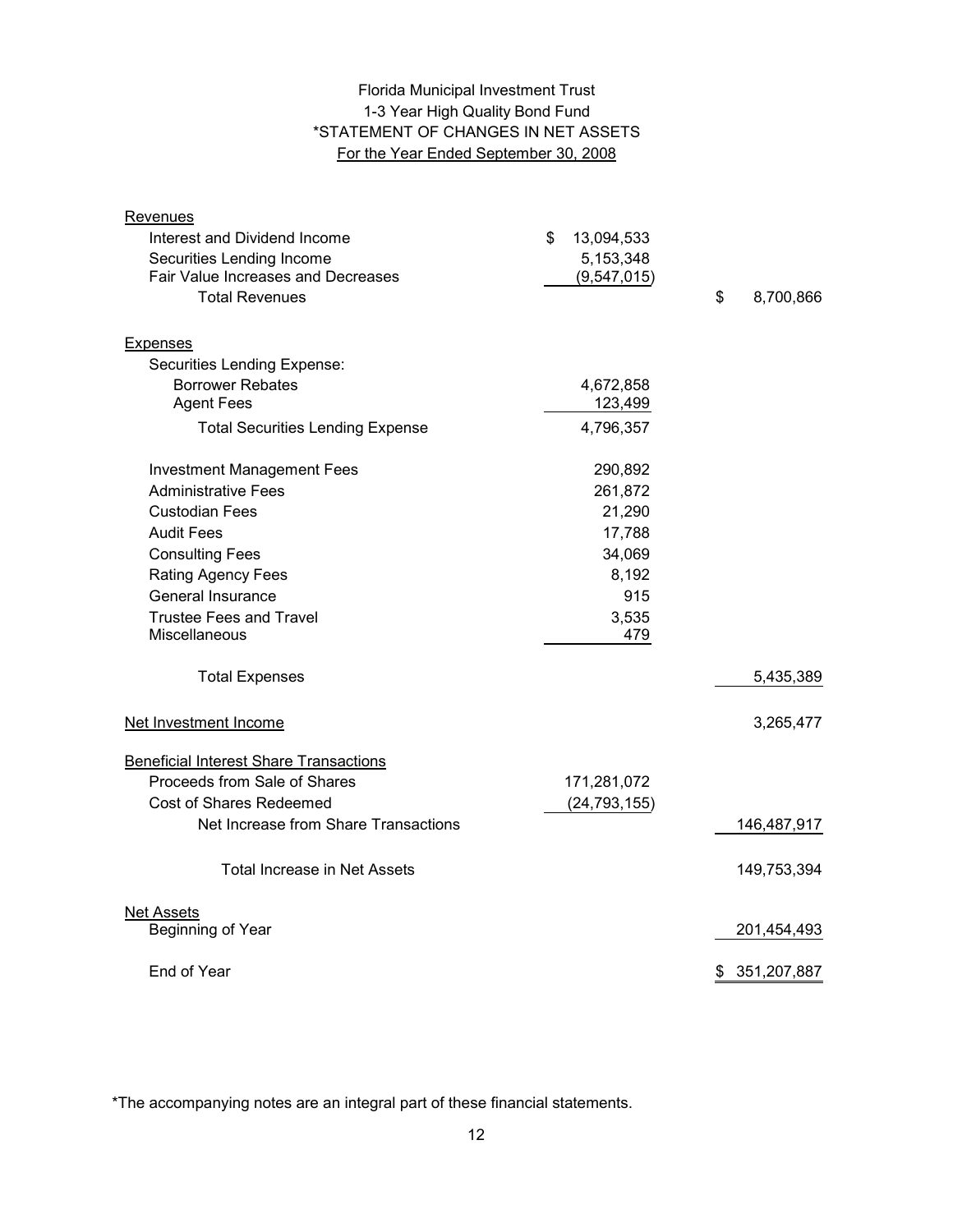# 1-3 Year High Quality Bond Fund \*STATEMENT OF CHANGES IN NET ASSETS For the Year Ended September 30, 2008 Florida Municipal Investment Trust

| Revenues                                      |                  |                   |
|-----------------------------------------------|------------------|-------------------|
| Interest and Dividend Income                  | \$<br>13,094,533 |                   |
| Securities Lending Income                     | 5,153,348        |                   |
| Fair Value Increases and Decreases            | (9,547,015)      |                   |
| <b>Total Revenues</b>                         |                  | \$<br>8,700,866   |
| <b>Expenses</b>                               |                  |                   |
| Securities Lending Expense:                   |                  |                   |
| <b>Borrower Rebates</b>                       | 4,672,858        |                   |
| <b>Agent Fees</b>                             | 123,499          |                   |
| <b>Total Securities Lending Expense</b>       | 4,796,357        |                   |
| <b>Investment Management Fees</b>             | 290,892          |                   |
| <b>Administrative Fees</b>                    | 261,872          |                   |
| <b>Custodian Fees</b>                         | 21,290           |                   |
| <b>Audit Fees</b>                             | 17,788           |                   |
| <b>Consulting Fees</b>                        | 34,069           |                   |
| <b>Rating Agency Fees</b>                     | 8,192            |                   |
| <b>General Insurance</b>                      | 915              |                   |
| <b>Trustee Fees and Travel</b>                | 3,535            |                   |
| <b>Miscellaneous</b>                          | 479              |                   |
| <b>Total Expenses</b>                         |                  | 5,435,389         |
| Net Investment Income                         |                  | 3,265,477         |
| <b>Beneficial Interest Share Transactions</b> |                  |                   |
| Proceeds from Sale of Shares                  | 171,281,072      |                   |
| Cost of Shares Redeemed                       | (24, 793, 155)   |                   |
| Net Increase from Share Transactions          |                  | 146,487,917       |
| <b>Total Increase in Net Assets</b>           |                  | 149,753,394       |
| <b>Net Assets</b>                             |                  |                   |
| Beginning of Year                             |                  | 201,454,493       |
| End of Year                                   |                  | 351,207,887<br>\$ |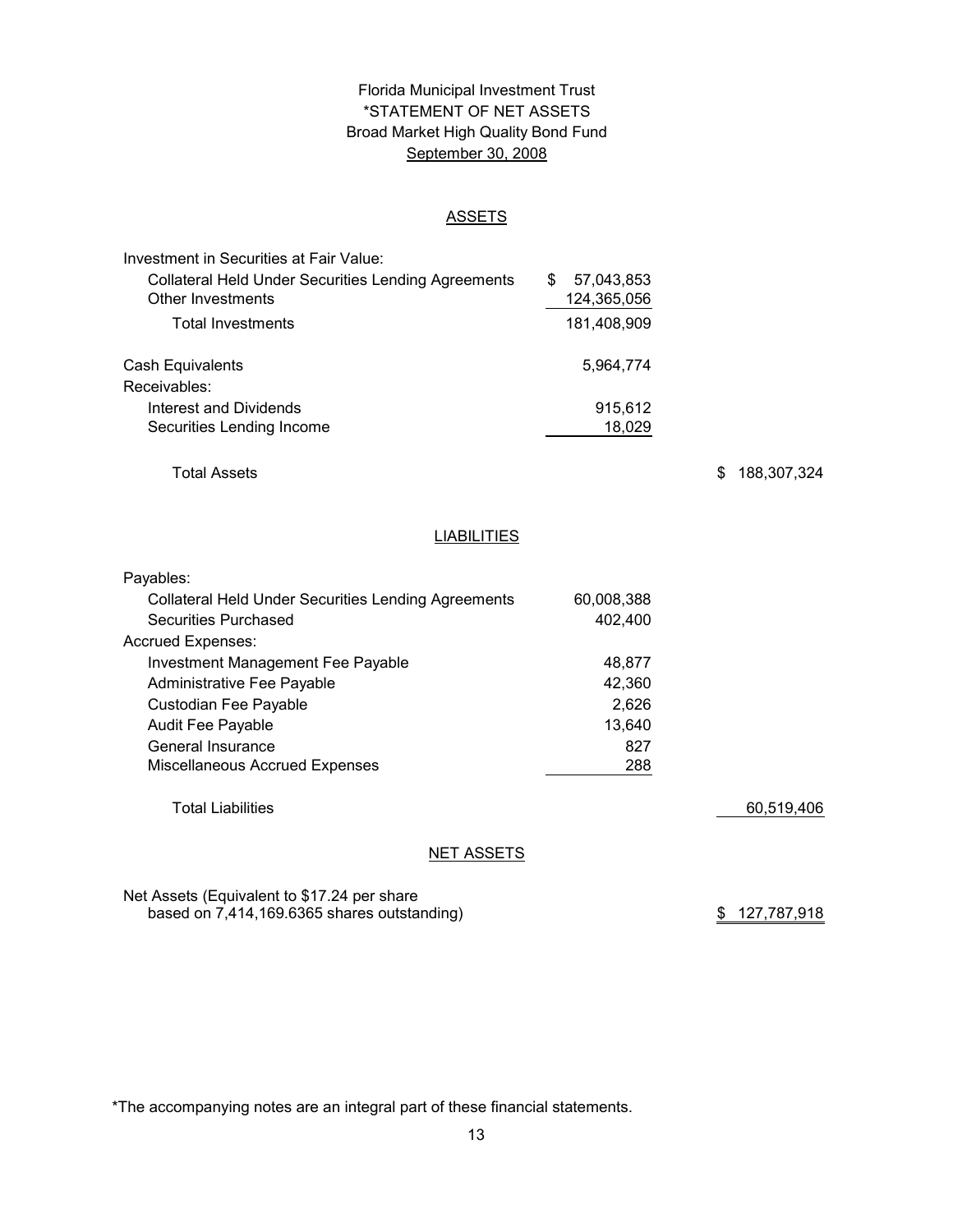# Florida Municipal Investment Trust Broad Market High Quality Bond Fund September 30, 2008 \*STATEMENT OF NET ASSETS

#### ASSETS

| Investment in Securities at Fair Value:                    |                  |
|------------------------------------------------------------|------------------|
| <b>Collateral Held Under Securities Lending Agreements</b> | 57.043.853<br>\$ |
| Other Investments                                          | 124,365,056      |
| <b>Total Investments</b>                                   | 181,408,909      |
| Cash Equivalents                                           | 5,964,774        |
| Receivables:                                               |                  |
| Interest and Dividends                                     | 915,612          |
| Securities Lending Income                                  | 18,029           |

Total Assets

\$ 188,307,324

#### **LIABILITIES**

| Payables:                                                  |            |            |
|------------------------------------------------------------|------------|------------|
| <b>Collateral Held Under Securities Lending Agreements</b> | 60,008,388 |            |
| Securities Purchased                                       | 402.400    |            |
| <b>Accrued Expenses:</b>                                   |            |            |
| Investment Management Fee Payable                          | 48.877     |            |
| Administrative Fee Payable                                 | 42.360     |            |
| Custodian Fee Payable                                      | 2.626      |            |
| <b>Audit Fee Payable</b>                                   | 13.640     |            |
| General Insurance                                          | 827        |            |
| Miscellaneous Accrued Expenses                             | 288        |            |
|                                                            |            |            |
| <b>Total Liabilities</b>                                   |            | 60,519,406 |
|                                                            |            |            |

#### **NET ASSETS**

Net Assets (Equivalent to \$17.24 per share based on 7,414,169.6365 shares outstanding)

\$ 127,787,918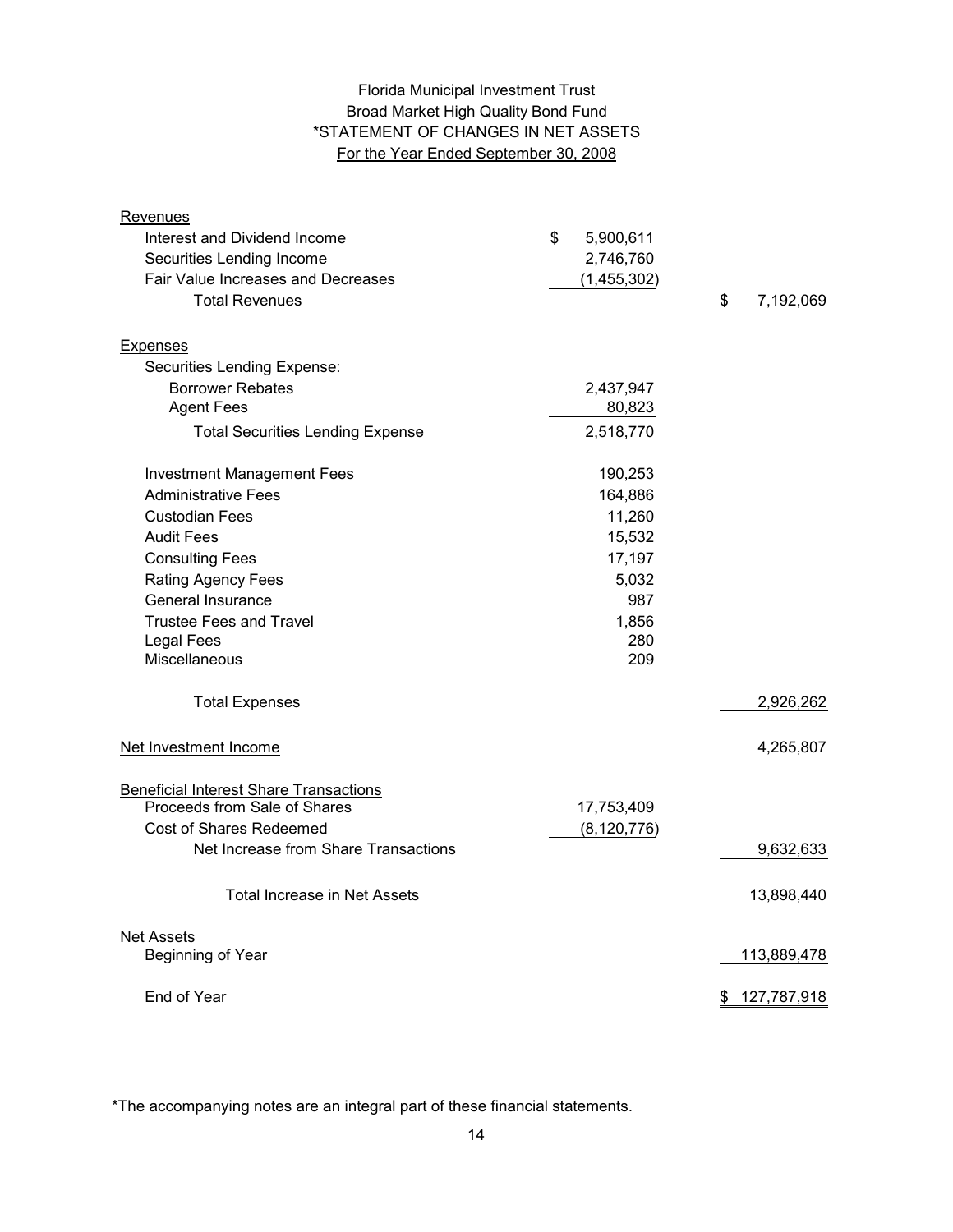# Florida Municipal Investment Trust Broad Market High Quality Bond Fund \*STATEMENT OF CHANGES IN NET ASSETS For the Year Ended September 30, 2008

| Revenues                                      |                 |                   |
|-----------------------------------------------|-----------------|-------------------|
| Interest and Dividend Income                  | \$<br>5,900,611 |                   |
| Securities Lending Income                     | 2,746,760       |                   |
| Fair Value Increases and Decreases            | (1,455,302)     |                   |
| <b>Total Revenues</b>                         |                 | \$<br>7,192,069   |
| <b>Expenses</b>                               |                 |                   |
| Securities Lending Expense:                   |                 |                   |
| <b>Borrower Rebates</b>                       | 2,437,947       |                   |
| <b>Agent Fees</b>                             | 80,823          |                   |
| <b>Total Securities Lending Expense</b>       | 2,518,770       |                   |
| <b>Investment Management Fees</b>             | 190,253         |                   |
| <b>Administrative Fees</b>                    | 164,886         |                   |
| <b>Custodian Fees</b>                         | 11,260          |                   |
| <b>Audit Fees</b>                             | 15,532          |                   |
| <b>Consulting Fees</b>                        | 17,197          |                   |
| Rating Agency Fees                            | 5,032           |                   |
| General Insurance                             | 987             |                   |
| <b>Trustee Fees and Travel</b>                | 1,856           |                   |
| <b>Legal Fees</b>                             | 280             |                   |
| Miscellaneous                                 | 209             |                   |
| <b>Total Expenses</b>                         |                 | 2,926,262         |
| Net Investment Income                         |                 | 4,265,807         |
| <b>Beneficial Interest Share Transactions</b> |                 |                   |
| Proceeds from Sale of Shares                  | 17,753,409      |                   |
| Cost of Shares Redeemed                       | (8, 120, 776)   |                   |
| Net Increase from Share Transactions          |                 | 9,632,633         |
| <b>Total Increase in Net Assets</b>           |                 | 13,898,440        |
| <b>Net Assets</b>                             |                 |                   |
| Beginning of Year                             |                 | 113,889,478       |
| End of Year                                   |                 | 127,787,918<br>\$ |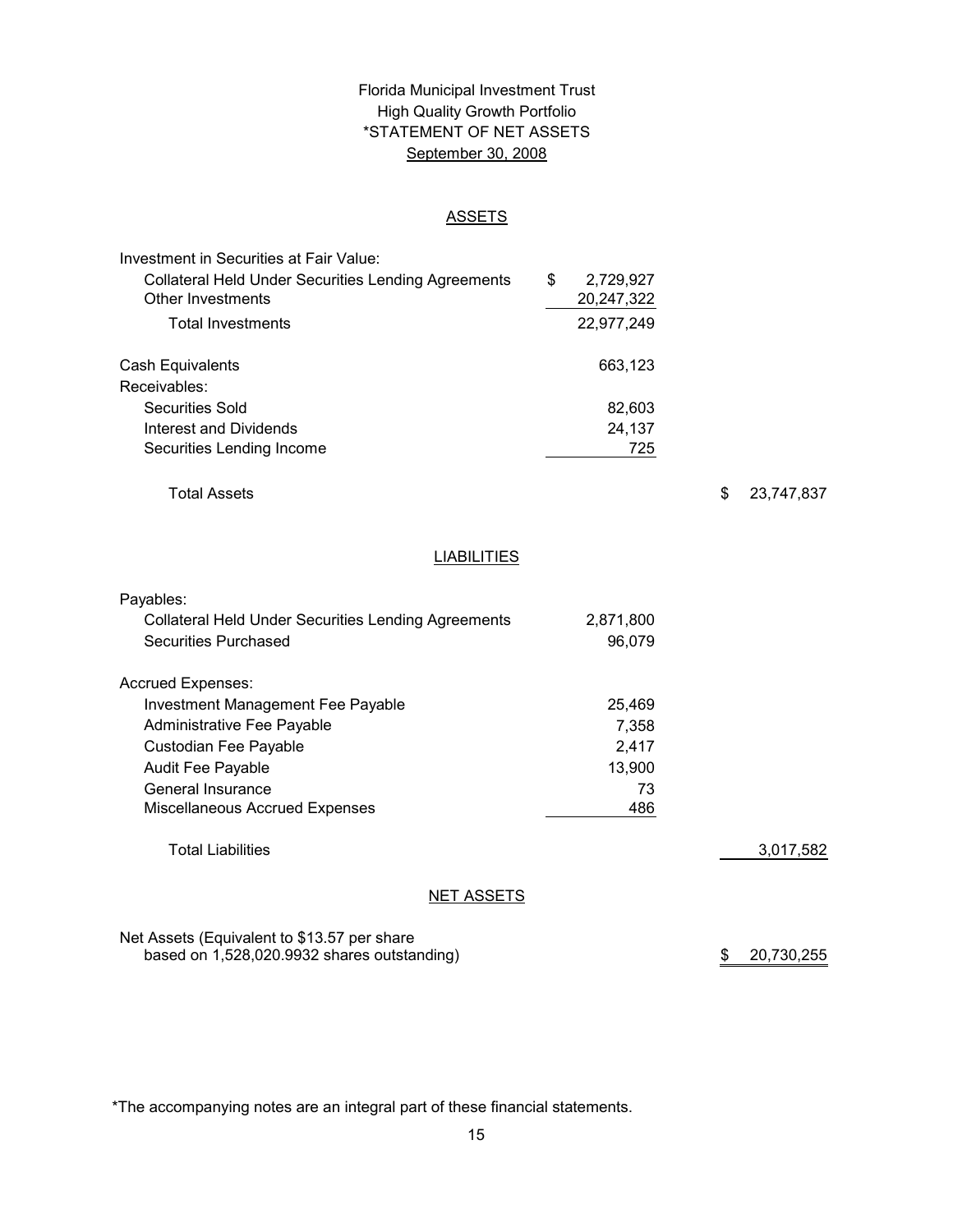# \*STATEMENT OF NET ASSETS Florida Municipal Investment Trust High Quality Growth Portfolio September 30, 2008

#### ASSETS

| Investment in Securities at Fair Value:                    |                 |  |
|------------------------------------------------------------|-----------------|--|
| <b>Collateral Held Under Securities Lending Agreements</b> | \$<br>2,729,927 |  |
| Other Investments                                          | 20,247,322      |  |
| <b>Total Investments</b>                                   | 22,977,249      |  |
| Cash Equivalents                                           | 663,123         |  |
| Receivables:                                               |                 |  |
| Securities Sold                                            | 82,603          |  |
| Interest and Dividends                                     | 24,137          |  |
| Securities Lending Income                                  | 725             |  |
|                                                            |                 |  |

Total Assets

\$ 23,747,837

# **LIABILITIES**

| Payables:                                                  |           |           |
|------------------------------------------------------------|-----------|-----------|
| <b>Collateral Held Under Securities Lending Agreements</b> | 2,871,800 |           |
| Securities Purchased                                       | 96,079    |           |
| <b>Accrued Expenses:</b>                                   |           |           |
| Investment Management Fee Payable                          | 25,469    |           |
| Administrative Fee Payable                                 | 7,358     |           |
| Custodian Fee Payable                                      | 2,417     |           |
| <b>Audit Fee Payable</b>                                   | 13,900    |           |
| General Insurance                                          | 73        |           |
| Miscellaneous Accrued Expenses                             | 486       |           |
| <b>Total Liabilities</b>                                   |           | 3,017,582 |
| NET ASSETS                                                 |           |           |

Net Assets (Equivalent to \$13.57 per share based on 1,528,020.9932 shares outstanding)

\$ 20,730,255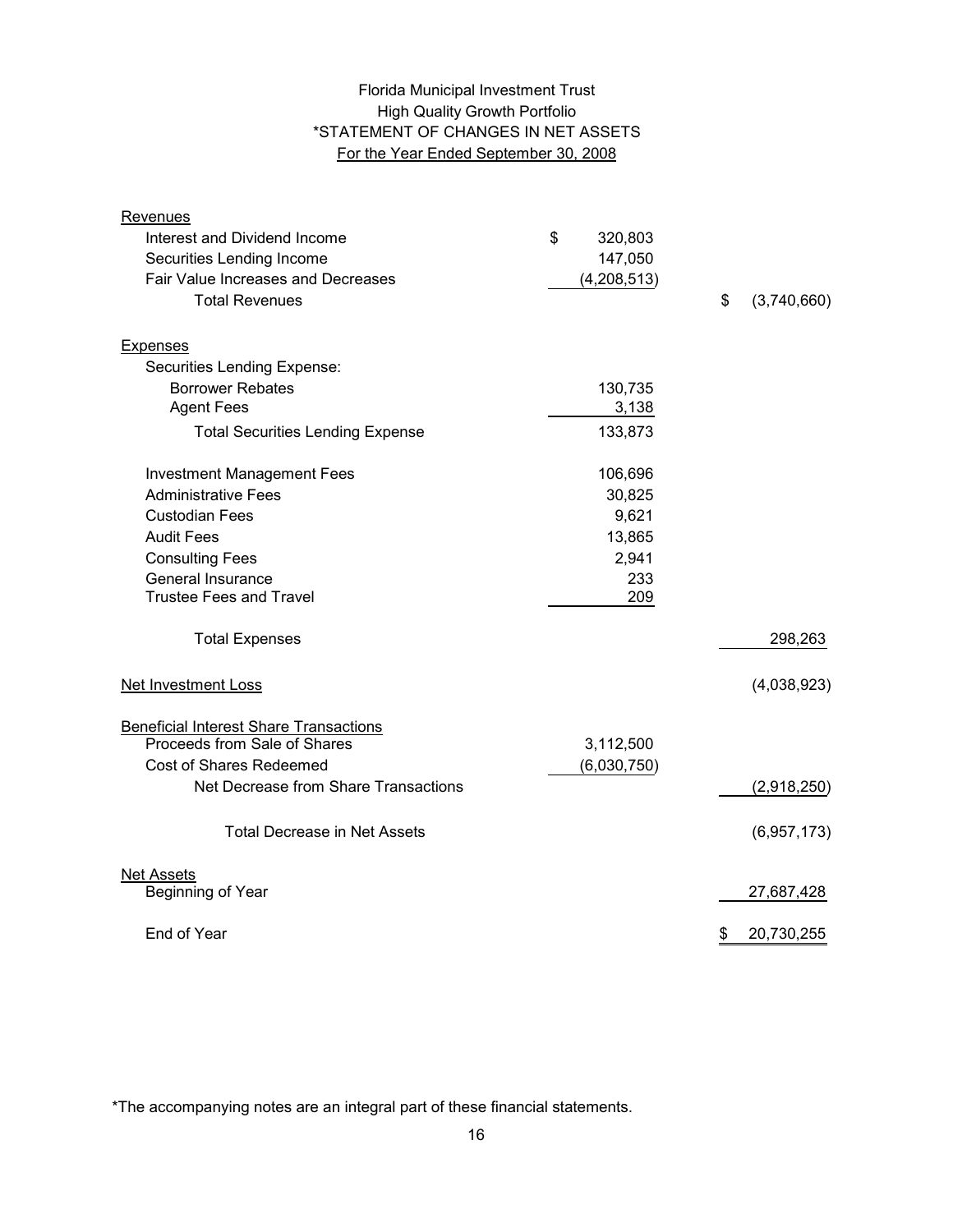# High Quality Growth Portfolio \*STATEMENT OF CHANGES IN NET ASSETS For the Year Ended September 30, 2008 Florida Municipal Investment Trust

| <b>Revenues</b>                               |               |                   |
|-----------------------------------------------|---------------|-------------------|
| Interest and Dividend Income                  | \$<br>320,803 |                   |
| Securities Lending Income                     | 147,050       |                   |
| Fair Value Increases and Decreases            | (4,208,513)   |                   |
| <b>Total Revenues</b>                         |               | \$<br>(3,740,660) |
| <b>Expenses</b>                               |               |                   |
| Securities Lending Expense:                   |               |                   |
| <b>Borrower Rebates</b>                       | 130,735       |                   |
| <b>Agent Fees</b>                             | 3,138         |                   |
| <b>Total Securities Lending Expense</b>       | 133,873       |                   |
| <b>Investment Management Fees</b>             | 106,696       |                   |
| <b>Administrative Fees</b>                    | 30,825        |                   |
| <b>Custodian Fees</b>                         | 9,621         |                   |
| <b>Audit Fees</b>                             | 13,865        |                   |
| <b>Consulting Fees</b>                        | 2,941         |                   |
| General Insurance                             | 233           |                   |
| <b>Trustee Fees and Travel</b>                | 209           |                   |
| <b>Total Expenses</b>                         |               | 298,263           |
| <b>Net Investment Loss</b>                    |               | (4,038,923)       |
| <b>Beneficial Interest Share Transactions</b> |               |                   |
| Proceeds from Sale of Shares                  | 3,112,500     |                   |
| Cost of Shares Redeemed                       | (6,030,750)   |                   |
| Net Decrease from Share Transactions          |               | (2,918,250)       |
| <b>Total Decrease in Net Assets</b>           |               | (6,957,173)       |
| <b>Net Assets</b>                             |               |                   |
| Beginning of Year                             |               | 27,687,428        |
| End of Year                                   |               | \$<br>20,730,255  |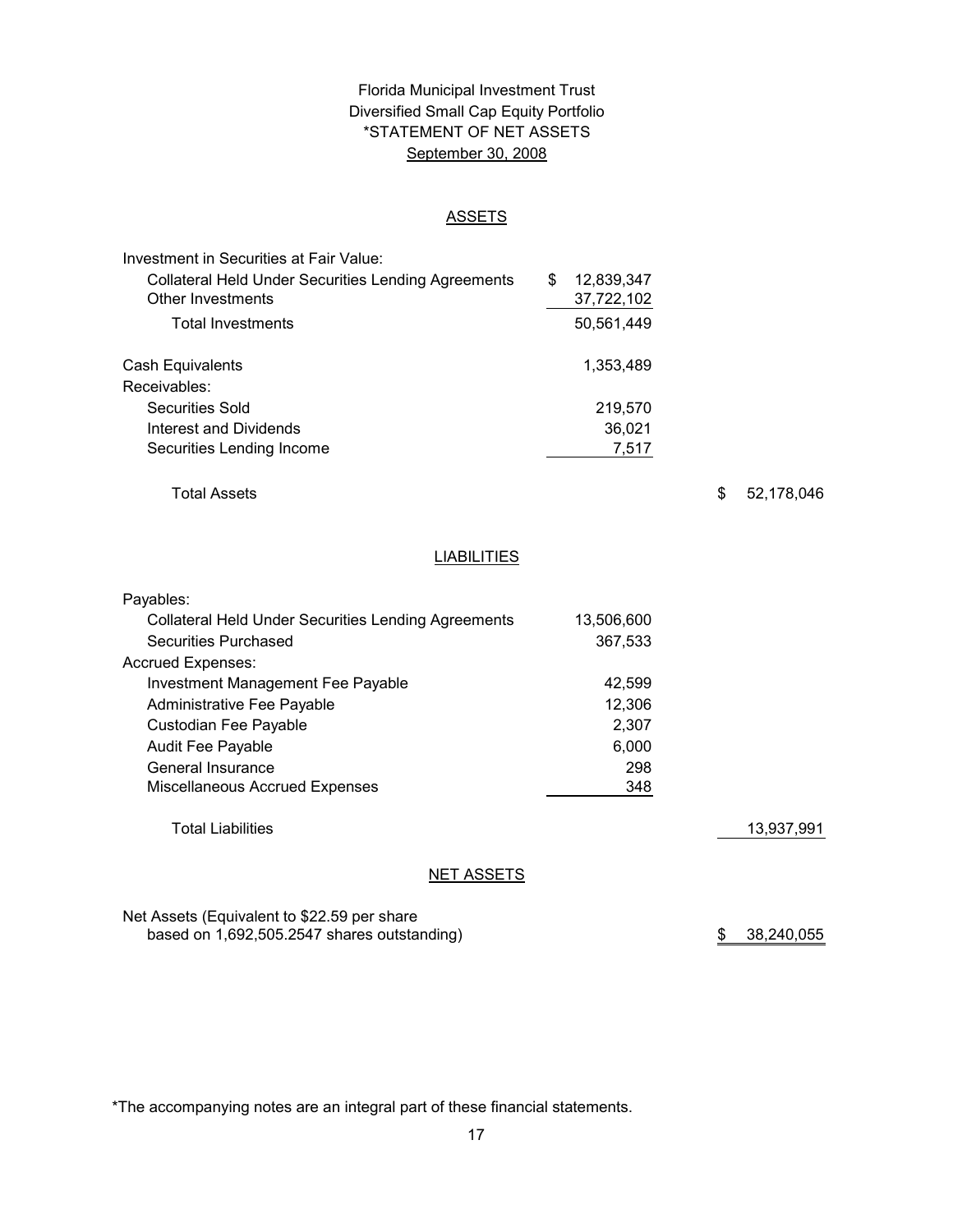# \*STATEMENT OF NET ASSETS Florida Municipal Investment Trust Diversified Small Cap Equity Portfolio September 30, 2008

#### ASSETS

| Investment in Securities at Fair Value:                    |   |            |
|------------------------------------------------------------|---|------------|
| <b>Collateral Held Under Securities Lending Agreements</b> | S | 12,839,347 |
| Other Investments                                          |   | 37,722,102 |
| <b>Total Investments</b>                                   |   | 50,561,449 |
| Cash Equivalents                                           |   | 1,353,489  |
| Receivables:                                               |   |            |
| Securities Sold                                            |   | 219,570    |
| Interest and Dividends                                     |   | 36,021     |
| Securities Lending Income                                  |   | 7,517      |

Total Assets

\$ 52,178,046

# **LIABILITIES**

| Payables:                                                  |            |            |
|------------------------------------------------------------|------------|------------|
| <b>Collateral Held Under Securities Lending Agreements</b> | 13,506,600 |            |
| Securities Purchased                                       | 367,533    |            |
| <b>Accrued Expenses:</b>                                   |            |            |
| Investment Management Fee Payable                          | 42,599     |            |
| Administrative Fee Payable                                 | 12,306     |            |
| Custodian Fee Payable                                      | 2,307      |            |
| <b>Audit Fee Payable</b>                                   | 6,000      |            |
| General Insurance                                          | 298        |            |
| <b>Miscellaneous Accrued Expenses</b>                      | 348        |            |
| <b>Total Liabilities</b>                                   |            | 13,937,991 |
| <b>NET ASSETS</b>                                          |            |            |

Net Assets (Equivalent to \$22.59 per share based on 1,692,505.2547 shares outstanding) 38,240,055 \$ 38,240,055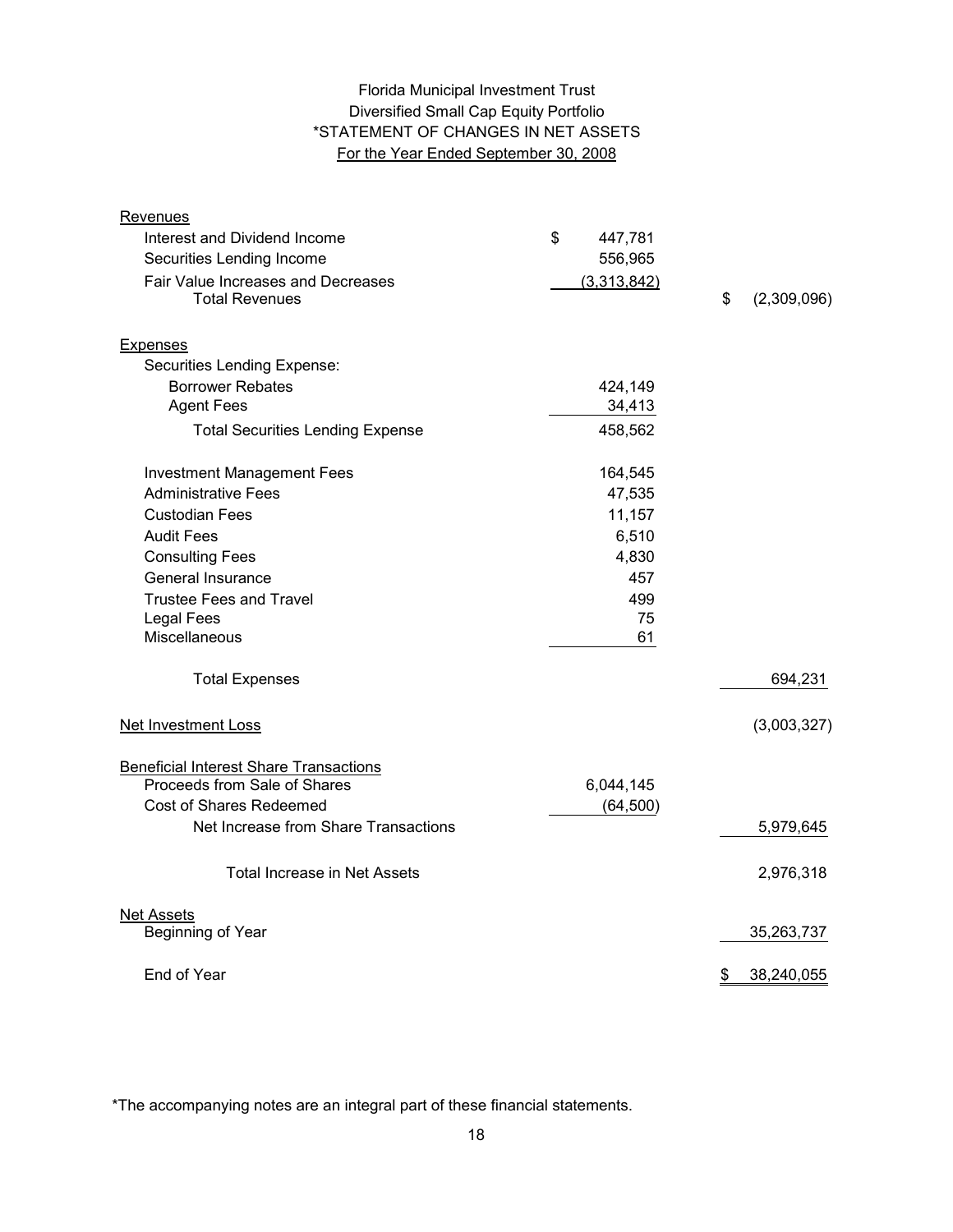# Diversified Small Cap Equity Portfolio \*STATEMENT OF CHANGES IN NET ASSETS For the Year Ended September 30, 2008 Florida Municipal Investment Trust

| Revenues                                                    |               |                   |
|-------------------------------------------------------------|---------------|-------------------|
| Interest and Dividend Income                                | \$<br>447,781 |                   |
| Securities Lending Income                                   | 556,965       |                   |
| Fair Value Increases and Decreases<br><b>Total Revenues</b> | (3,313,842)   | \$<br>(2,309,096) |
| <b>Expenses</b>                                             |               |                   |
| Securities Lending Expense:                                 |               |                   |
| <b>Borrower Rebates</b>                                     | 424,149       |                   |
| <b>Agent Fees</b>                                           | 34,413        |                   |
| <b>Total Securities Lending Expense</b>                     | 458,562       |                   |
| <b>Investment Management Fees</b>                           | 164,545       |                   |
| <b>Administrative Fees</b>                                  | 47,535        |                   |
| <b>Custodian Fees</b>                                       | 11,157        |                   |
| <b>Audit Fees</b>                                           | 6,510         |                   |
| <b>Consulting Fees</b>                                      | 4,830         |                   |
| General Insurance                                           | 457           |                   |
| <b>Trustee Fees and Travel</b>                              | 499           |                   |
| <b>Legal Fees</b>                                           | 75            |                   |
| Miscellaneous                                               | 61            |                   |
| <b>Total Expenses</b>                                       |               | 694,231           |
| <b>Net Investment Loss</b>                                  |               | (3,003,327)       |
| <b>Beneficial Interest Share Transactions</b>               |               |                   |
| Proceeds from Sale of Shares                                | 6,044,145     |                   |
| Cost of Shares Redeemed                                     | (64, 500)     |                   |
| Net Increase from Share Transactions                        |               | 5,979,645         |
| <b>Total Increase in Net Assets</b>                         |               | 2,976,318         |
| <b>Net Assets</b>                                           |               |                   |
| Beginning of Year                                           |               | 35,263,737        |
| End of Year                                                 |               | 38,240,055<br>\$  |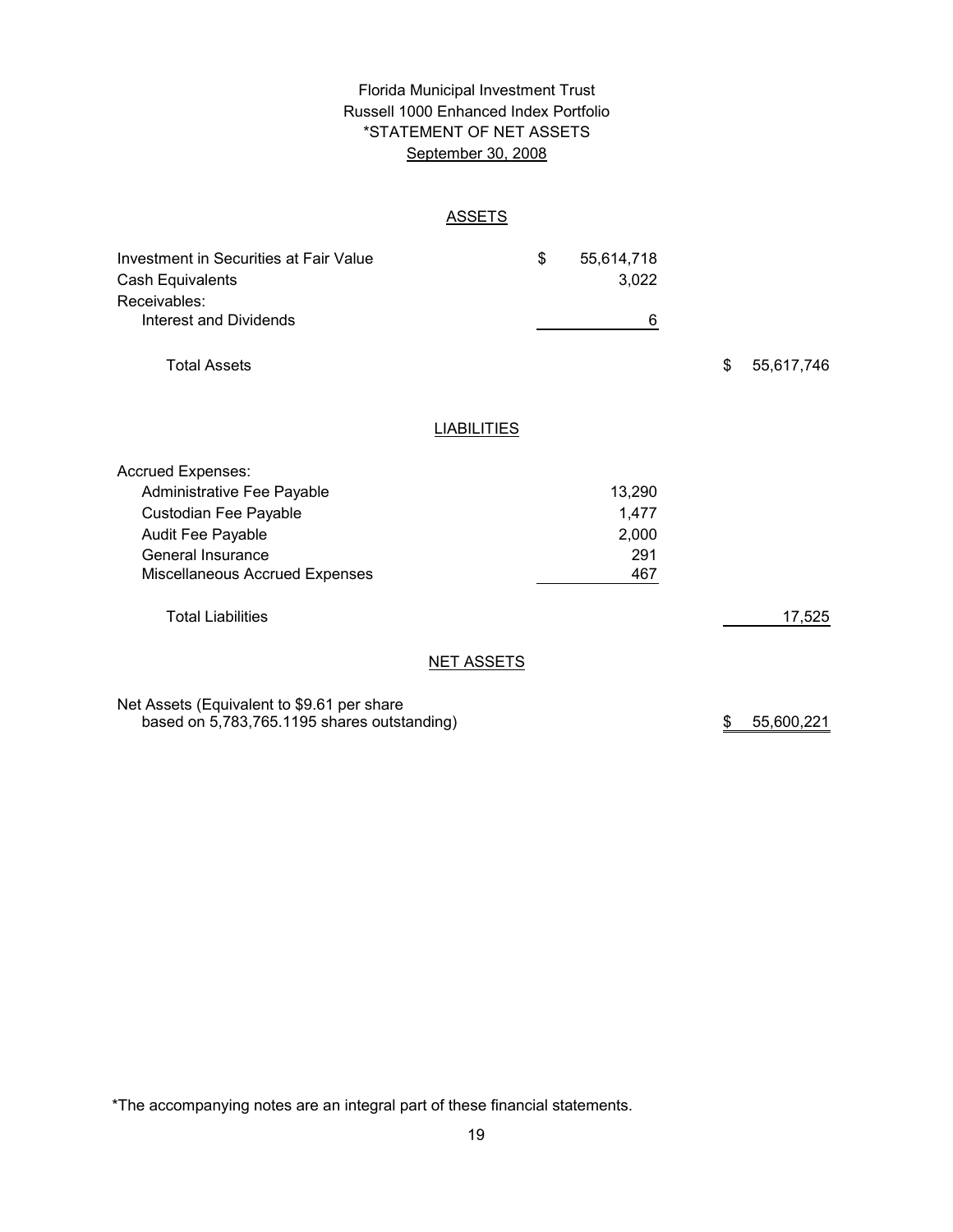# \*STATEMENT OF NET ASSETS Florida Municipal Investment Trust Russell 1000 Enhanced Index Portfolio September 30, 2008

## **ASSETS**

| Investment in Securities at Fair Value<br>Cash Equivalents |                    | \$<br>55,614,718<br>3,022 |                  |
|------------------------------------------------------------|--------------------|---------------------------|------------------|
| Receivables:                                               |                    |                           |                  |
| <b>Interest and Dividends</b>                              |                    | 6                         |                  |
| <b>Total Assets</b>                                        |                    |                           | \$<br>55,617,746 |
|                                                            | <b>LIABILITIES</b> |                           |                  |
| Accrued Expenses:                                          |                    |                           |                  |
| Administrative Fee Payable                                 |                    | 13,290                    |                  |
| Custodian Fee Payable                                      |                    | 1,477                     |                  |
| Audit Fee Payable                                          |                    | 2,000                     |                  |
| General Insurance                                          |                    | 291                       |                  |
| <b>Miscellaneous Accrued Expenses</b>                      |                    | 467                       |                  |
| <b>Total Liabilities</b>                                   |                    |                           | 17,525           |
|                                                            | <b>NET ASSETS</b>  |                           |                  |
| Not Accote (Equivalent to \$9.61 per charge                |                    |                           |                  |

Net Assets (Equivalent to \$9.61 per share based on 5,783,765.1195 shares outstanding)

\$ 55,600,221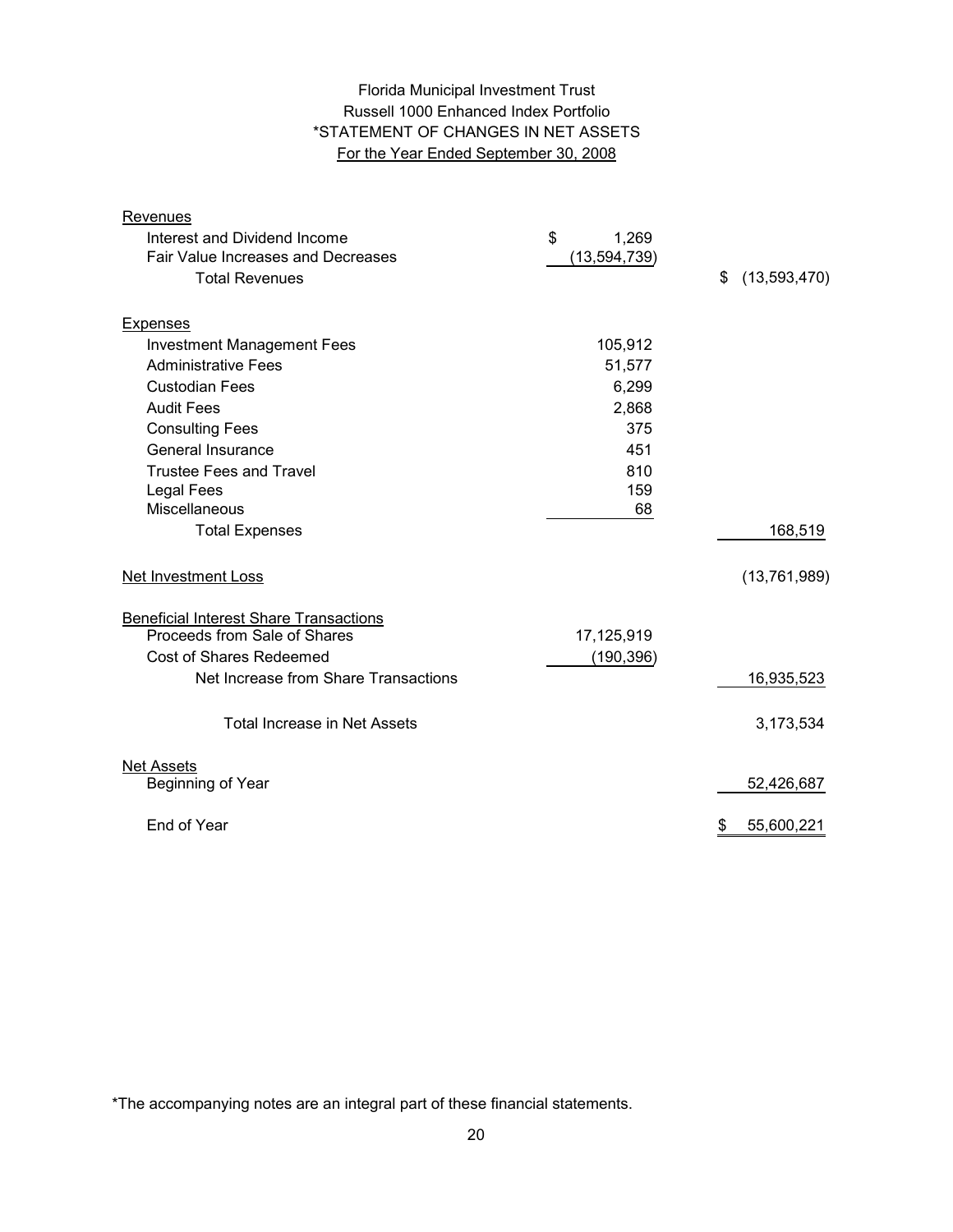# Florida Municipal Investment Trust Russell 1000 Enhanced Index Portfolio \*STATEMENT OF CHANGES IN NET ASSETS For the Year Ended September 30, 2008

| Revenues                                      |                |                    |
|-----------------------------------------------|----------------|--------------------|
| Interest and Dividend Income                  | \$<br>1,269    |                    |
| Fair Value Increases and Decreases            | (13, 594, 739) |                    |
| <b>Total Revenues</b>                         |                | \$<br>(13,593,470) |
|                                               |                |                    |
| <b>Expenses</b>                               |                |                    |
| <b>Investment Management Fees</b>             | 105,912        |                    |
| <b>Administrative Fees</b>                    | 51,577         |                    |
| <b>Custodian Fees</b>                         | 6,299          |                    |
| <b>Audit Fees</b>                             | 2,868          |                    |
| <b>Consulting Fees</b>                        | 375            |                    |
| General Insurance                             | 451            |                    |
| <b>Trustee Fees and Travel</b>                | 810            |                    |
| <b>Legal Fees</b>                             | 159            |                    |
| Miscellaneous                                 | 68             |                    |
| <b>Total Expenses</b>                         |                | 168,519            |
| Net Investment Loss                           |                | (13,761,989)       |
| <b>Beneficial Interest Share Transactions</b> |                |                    |
| Proceeds from Sale of Shares                  | 17,125,919     |                    |
| <b>Cost of Shares Redeemed</b>                | (190, 396)     |                    |
| Net Increase from Share Transactions          |                | 16,935,523         |
| <b>Total Increase in Net Assets</b>           |                | 3,173,534          |
| <b>Net Assets</b>                             |                |                    |
| Beginning of Year                             |                | 52,426,687         |
| End of Year                                   |                | 55,600,221<br>\$   |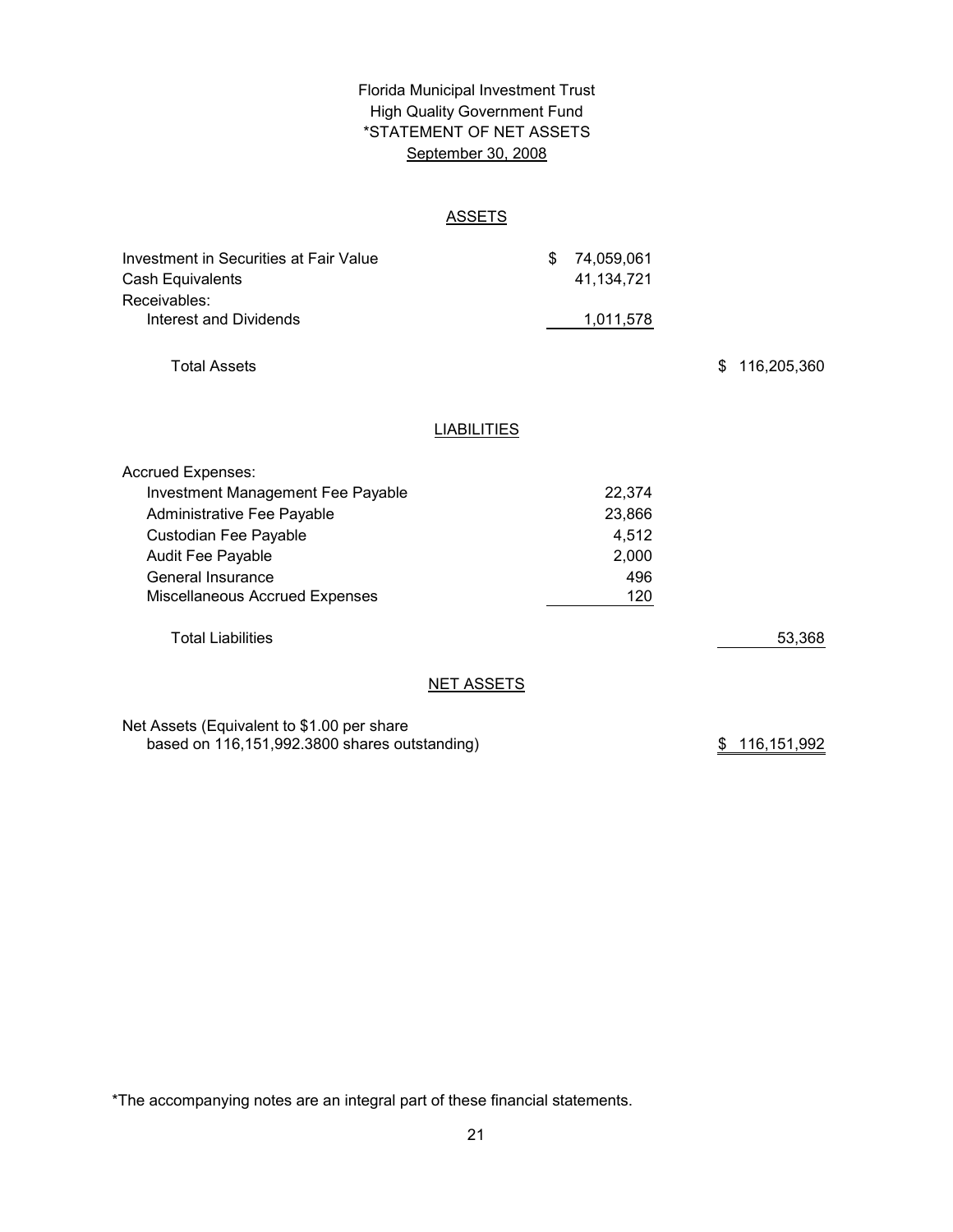# High Quality Government Fund September 30, 2008 \*STATEMENT OF NET ASSETS Florida Municipal Investment Trust

## ASSETS

| Investment in Securities at Fair Value<br>Cash Equivalents<br>Receivables: |                    | \$<br>74,059,061<br>41,134,721 |                   |
|----------------------------------------------------------------------------|--------------------|--------------------------------|-------------------|
| Interest and Dividends                                                     |                    | 1,011,578                      |                   |
| <b>Total Assets</b>                                                        |                    |                                | \$<br>116,205,360 |
|                                                                            | <b>LIABILITIES</b> |                                |                   |
| Accrued Expenses:                                                          |                    |                                |                   |
| Investment Management Fee Payable                                          |                    | 22,374                         |                   |
| Administrative Fee Payable                                                 |                    | 23,866                         |                   |
| Custodian Fee Payable                                                      |                    | 4,512                          |                   |
| Audit Fee Payable                                                          |                    | 2,000                          |                   |
| General Insurance                                                          |                    | 496                            |                   |
| Miscellaneous Accrued Expenses                                             |                    | 120                            |                   |
| <b>Total Liabilities</b>                                                   |                    |                                | 53,368            |
|                                                                            | <b>NET ASSETS</b>  |                                |                   |
| Not Accota (Equivalent to $61,00$ per obera                                |                    |                                |                   |

Net Assets (Equivalent to \$1.00 per share based on 116,151,992.3800 shares outstanding)

\$ 116,151,992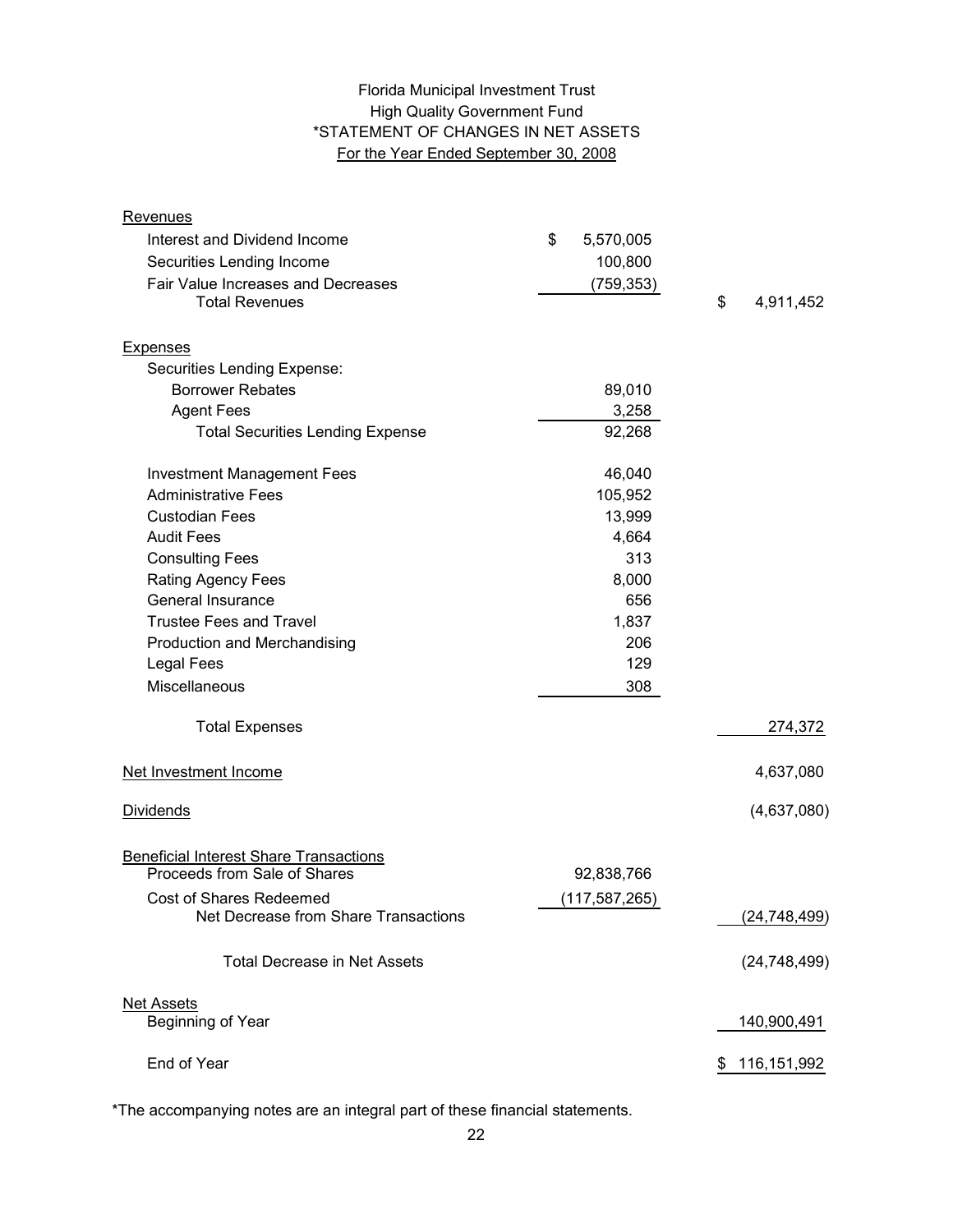# High Quality Government Fund \*STATEMENT OF CHANGES IN NET ASSETS For the Year Ended September 30, 2008 Florida Municipal Investment Trust

| <b>Revenues</b>                               |                 |                 |
|-----------------------------------------------|-----------------|-----------------|
| Interest and Dividend Income                  | \$<br>5,570,005 |                 |
| Securities Lending Income                     | 100,800         |                 |
| Fair Value Increases and Decreases            | (759, 353)      |                 |
| <b>Total Revenues</b>                         |                 | \$<br>4,911,452 |
| <b>Expenses</b>                               |                 |                 |
| Securities Lending Expense:                   |                 |                 |
| <b>Borrower Rebates</b>                       | 89,010          |                 |
| <b>Agent Fees</b>                             | 3,258           |                 |
| <b>Total Securities Lending Expense</b>       | 92,268          |                 |
| <b>Investment Management Fees</b>             | 46,040          |                 |
| <b>Administrative Fees</b>                    | 105,952         |                 |
| <b>Custodian Fees</b>                         | 13,999          |                 |
| <b>Audit Fees</b>                             | 4,664           |                 |
| <b>Consulting Fees</b>                        | 313             |                 |
| <b>Rating Agency Fees</b>                     | 8,000           |                 |
| General Insurance                             | 656             |                 |
| <b>Trustee Fees and Travel</b>                | 1,837           |                 |
| Production and Merchandising                  | 206             |                 |
| Legal Fees                                    | 129             |                 |
| Miscellaneous                                 | 308             |                 |
| <b>Total Expenses</b>                         |                 | 274,372         |
| Net Investment Income                         |                 | 4,637,080       |
| <b>Dividends</b>                              |                 | (4,637,080)     |
| <b>Beneficial Interest Share Transactions</b> |                 |                 |
| Proceeds from Sale of Shares                  | 92,838,766      |                 |
| <b>Cost of Shares Redeemed</b>                | (117, 587, 265) |                 |
| Net Decrease from Share Transactions          |                 | (24, 748, 499)  |
| <b>Total Decrease in Net Assets</b>           |                 | (24, 748, 499)  |
| <b>Net Assets</b>                             |                 |                 |
| Beginning of Year                             |                 | 140,900,491     |
| End of Year                                   |                 | \$116,151,992   |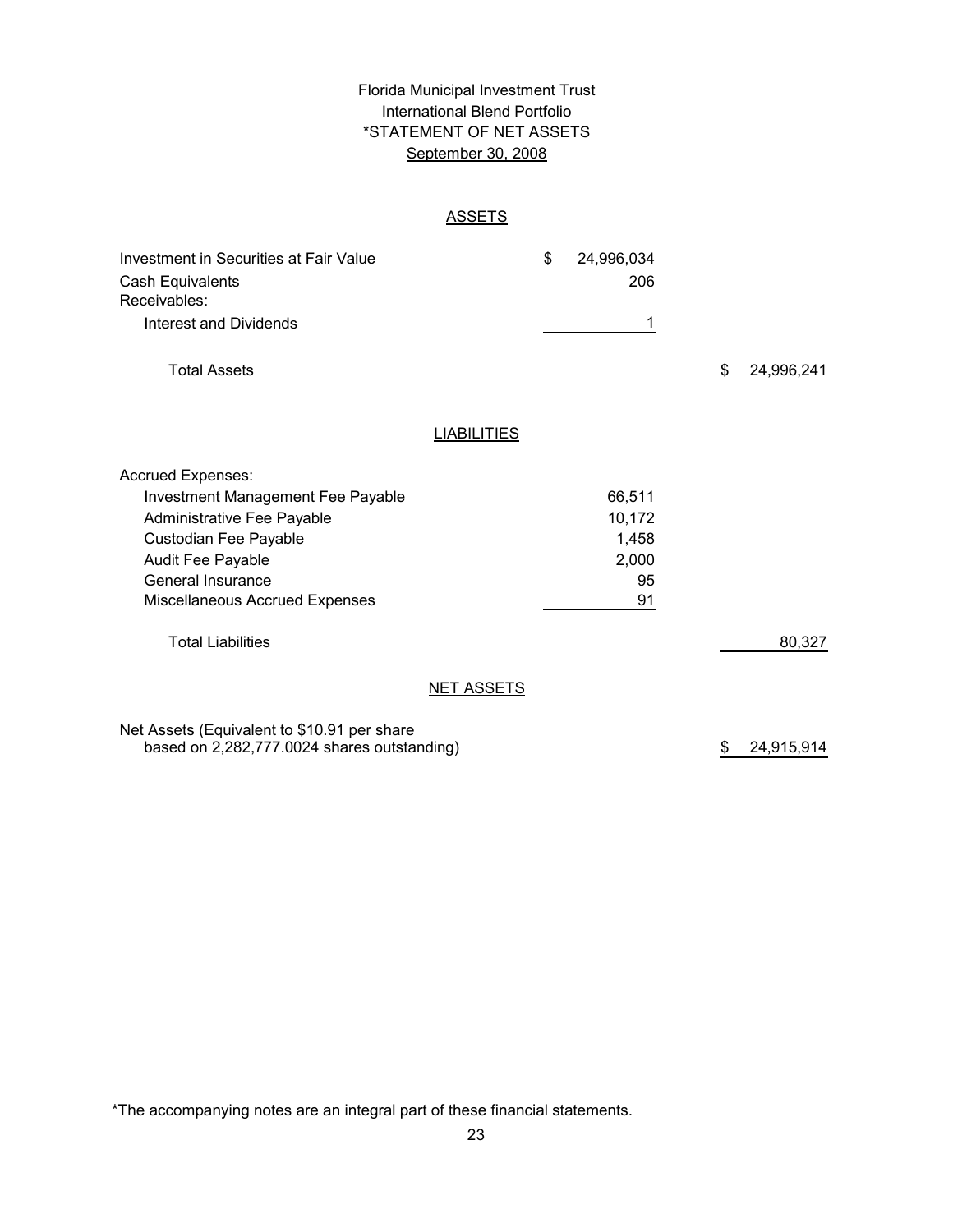# \*STATEMENT OF NET ASSETS Florida Municipal Investment Trust International Blend Portfolio September 30, 2008

## **ASSETS**

| Investment in Securities at Fair Value      |                    | \$<br>24,996,034 |                  |
|---------------------------------------------|--------------------|------------------|------------------|
| Cash Equivalents<br>Receivables:            |                    | 206              |                  |
| <b>Interest and Dividends</b>               |                    | 1                |                  |
| <b>Total Assets</b>                         |                    |                  | \$<br>24,996,241 |
|                                             | <b>LIABILITIES</b> |                  |                  |
| <b>Accrued Expenses:</b>                    |                    |                  |                  |
| Investment Management Fee Payable           |                    | 66,511           |                  |
| Administrative Fee Payable                  |                    | 10,172           |                  |
| Custodian Fee Payable                       |                    | 1,458            |                  |
| Audit Fee Payable                           |                    | 2,000            |                  |
| General Insurance                           |                    | 95               |                  |
| Miscellaneous Accrued Expenses              |                    | 91               |                  |
| <b>Total Liabilities</b>                    |                    |                  | 80,327           |
|                                             | <b>NET ASSETS</b>  |                  |                  |
| Net Assets (Equivalent to \$10.91 per share |                    |                  |                  |

based on 2,282,777.0024 shares outstanding) 24,915,914 \$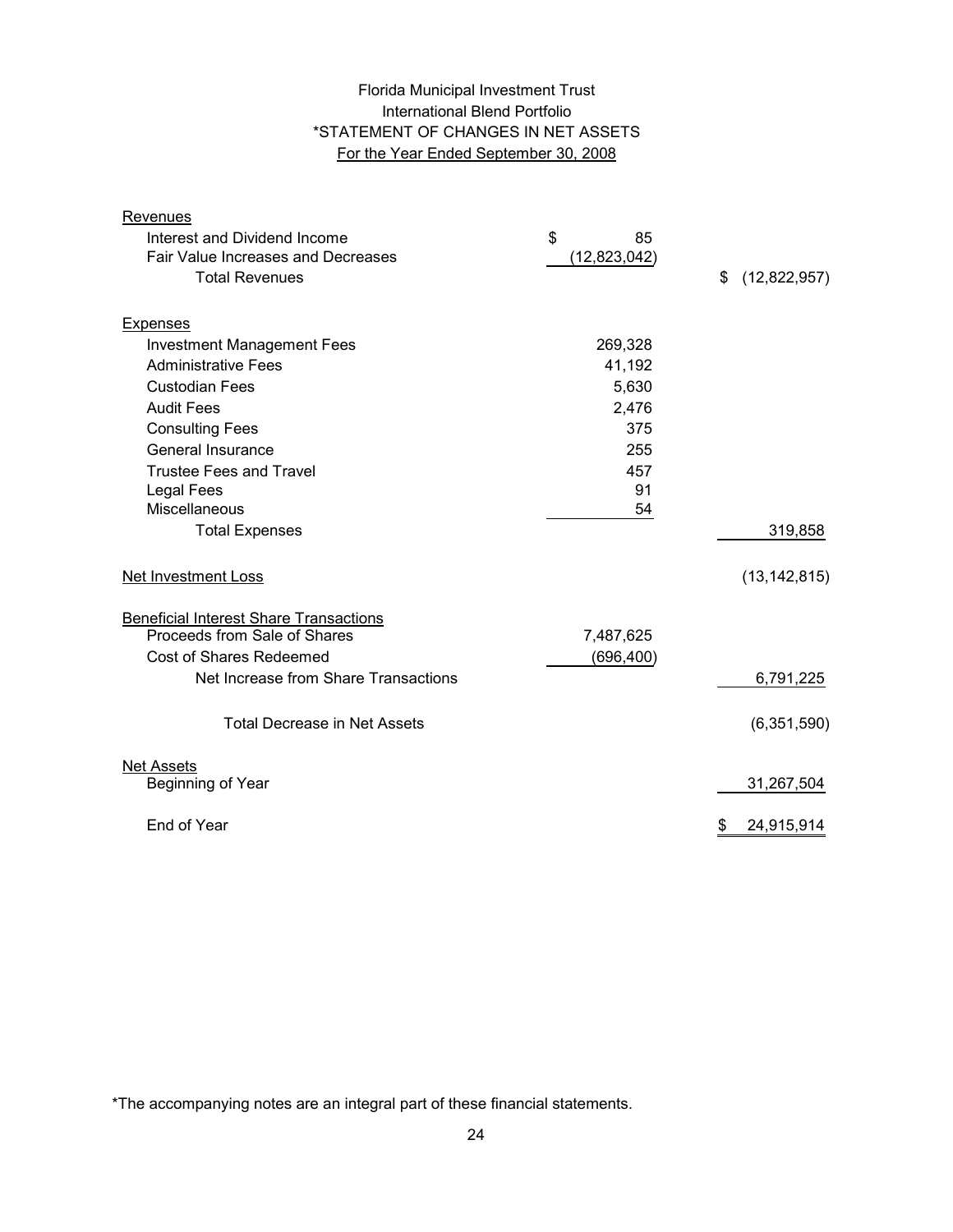# Florida Municipal Investment Trust International Blend Portfolio \*STATEMENT OF CHANGES IN NET ASSETS For the Year Ended September 30, 2008

| Revenues                                      |              |                    |
|-----------------------------------------------|--------------|--------------------|
| Interest and Dividend Income                  | \$<br>85     |                    |
| Fair Value Increases and Decreases            | (12,823,042) |                    |
| <b>Total Revenues</b>                         |              | \$<br>(12,822,957) |
|                                               |              |                    |
| <b>Expenses</b>                               |              |                    |
| <b>Investment Management Fees</b>             | 269,328      |                    |
| <b>Administrative Fees</b>                    | 41,192       |                    |
| <b>Custodian Fees</b>                         | 5,630        |                    |
| <b>Audit Fees</b>                             | 2,476        |                    |
| <b>Consulting Fees</b>                        | 375          |                    |
| General Insurance                             | 255          |                    |
| <b>Trustee Fees and Travel</b>                | 457          |                    |
| <b>Legal Fees</b>                             | 91           |                    |
| Miscellaneous                                 | 54           |                    |
| <b>Total Expenses</b>                         |              | 319,858            |
| Net Investment Loss                           |              | (13, 142, 815)     |
| <b>Beneficial Interest Share Transactions</b> |              |                    |
| Proceeds from Sale of Shares                  | 7,487,625    |                    |
| <b>Cost of Shares Redeemed</b>                | (696, 400)   |                    |
| Net Increase from Share Transactions          |              | 6,791,225          |
| <b>Total Decrease in Net Assets</b>           |              | (6,351,590)        |
| <b>Net Assets</b>                             |              |                    |
| Beginning of Year                             |              | 31,267,504         |
| End of Year                                   |              | 24,915,914<br>\$   |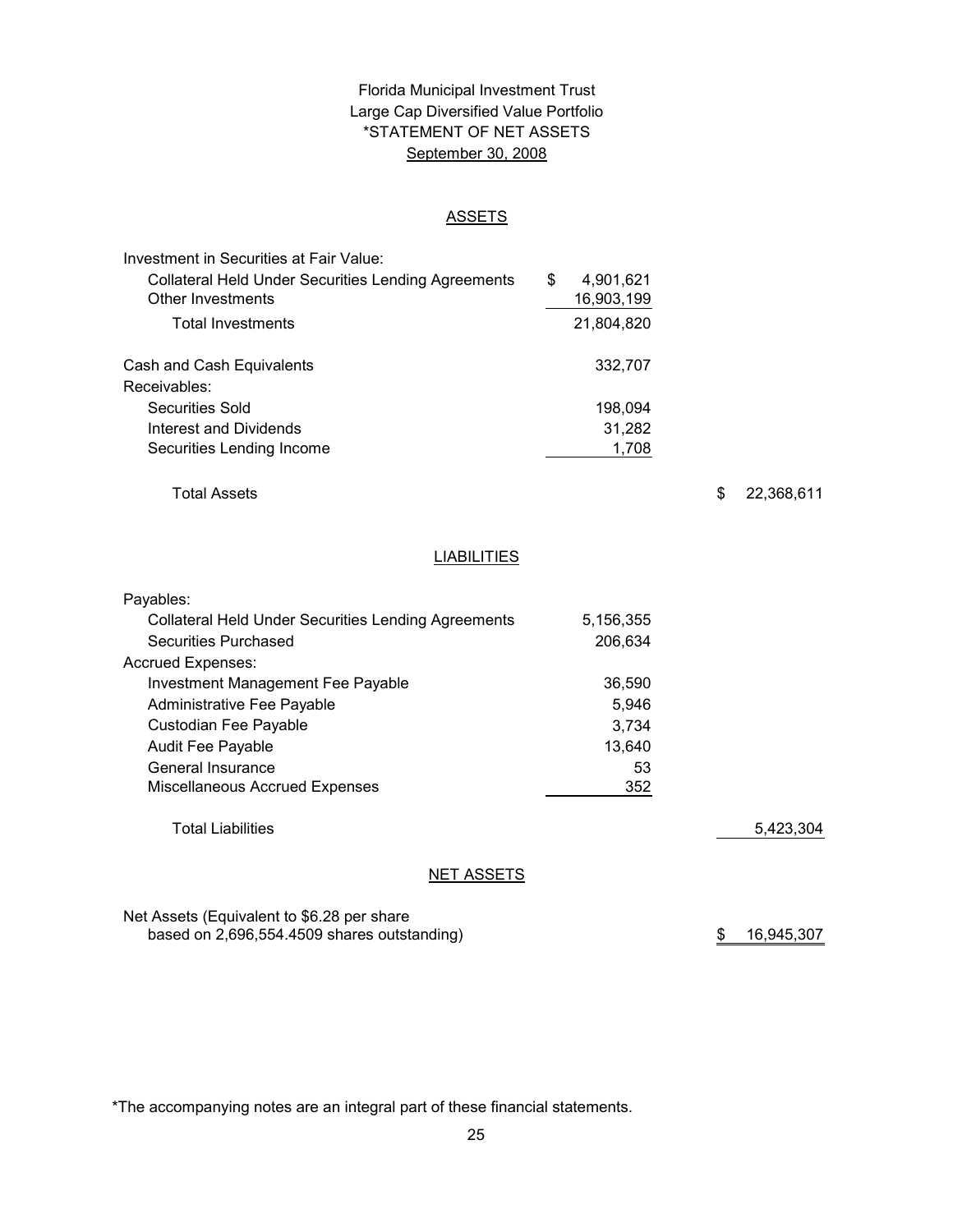# \*STATEMENT OF NET ASSETS Florida Municipal Investment Trust Large Cap Diversified Value Portfolio September 30, 2008

#### ASSETS

| Investment in Securities at Fair Value:                    |                 |
|------------------------------------------------------------|-----------------|
| <b>Collateral Held Under Securities Lending Agreements</b> | \$<br>4,901,621 |
| Other Investments                                          | 16,903,199      |
| <b>Total Investments</b>                                   | 21,804,820      |
| Cash and Cash Equivalents                                  | 332,707         |
| Receivables:                                               |                 |
| Securities Sold                                            | 198,094         |
| Interest and Dividends                                     | 31,282          |
| Securities Lending Income                                  | 1,708           |

Total Assets

\$ 22,368,611

# **LIABILITIES**

| Payables:                                                  |           |           |
|------------------------------------------------------------|-----------|-----------|
| <b>Collateral Held Under Securities Lending Agreements</b> | 5.156,355 |           |
| Securities Purchased                                       | 206.634   |           |
| <b>Accrued Expenses:</b>                                   |           |           |
| Investment Management Fee Payable                          | 36,590    |           |
| Administrative Fee Payable                                 | 5,946     |           |
| Custodian Fee Payable                                      | 3.734     |           |
| <b>Audit Fee Payable</b>                                   | 13,640    |           |
| General Insurance                                          | 53        |           |
| Miscellaneous Accrued Expenses                             | 352       |           |
| <b>Total Liabilities</b>                                   |           | 5,423,304 |
| <b>NET ASSETS</b>                                          |           |           |

Net Assets (Equivalent to \$6.28 per share based on 2,696,554.4509 shares outstanding)

\$ 16,945,307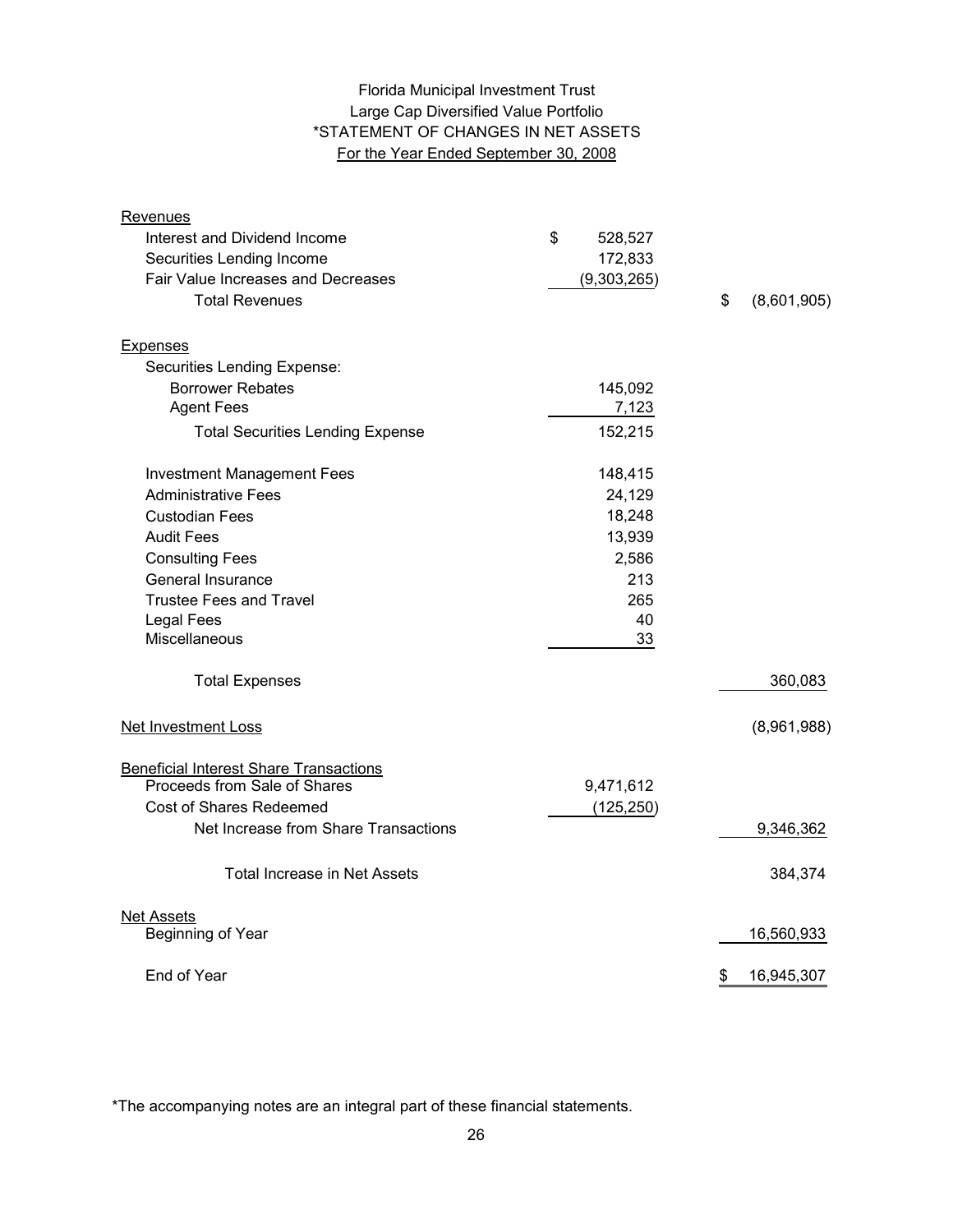# Large Cap Diversified Value Portfolio \*STATEMENT OF CHANGES IN NET ASSETS For the Year Ended September 30, 2008 Florida Municipal Investment Trust

| Revenues                                      |               |                   |
|-----------------------------------------------|---------------|-------------------|
| Interest and Dividend Income                  | \$<br>528,527 |                   |
| Securities Lending Income                     | 172,833       |                   |
| Fair Value Increases and Decreases            | (9,303,265)   |                   |
| <b>Total Revenues</b>                         |               | \$<br>(8,601,905) |
| <b>Expenses</b>                               |               |                   |
| Securities Lending Expense:                   |               |                   |
| <b>Borrower Rebates</b>                       | 145,092       |                   |
| <b>Agent Fees</b>                             | 7,123         |                   |
| <b>Total Securities Lending Expense</b>       | 152,215       |                   |
| <b>Investment Management Fees</b>             | 148,415       |                   |
| <b>Administrative Fees</b>                    | 24,129        |                   |
| <b>Custodian Fees</b>                         | 18,248        |                   |
| <b>Audit Fees</b>                             | 13,939        |                   |
| <b>Consulting Fees</b>                        | 2,586         |                   |
| General Insurance                             | 213           |                   |
| <b>Trustee Fees and Travel</b>                | 265           |                   |
| <b>Legal Fees</b>                             | 40            |                   |
| <b>Miscellaneous</b>                          | 33            |                   |
| <b>Total Expenses</b>                         |               | 360,083           |
| <b>Net Investment Loss</b>                    |               | (8,961,988)       |
| <b>Beneficial Interest Share Transactions</b> |               |                   |
| Proceeds from Sale of Shares                  | 9,471,612     |                   |
| <b>Cost of Shares Redeemed</b>                | (125, 250)    |                   |
| Net Increase from Share Transactions          |               | 9,346,362         |
| Total Increase in Net Assets                  |               | 384,374           |
| <b>Net Assets</b>                             |               |                   |
| Beginning of Year                             |               | 16,560,933        |
| End of Year                                   |               | \$<br>16,945,307  |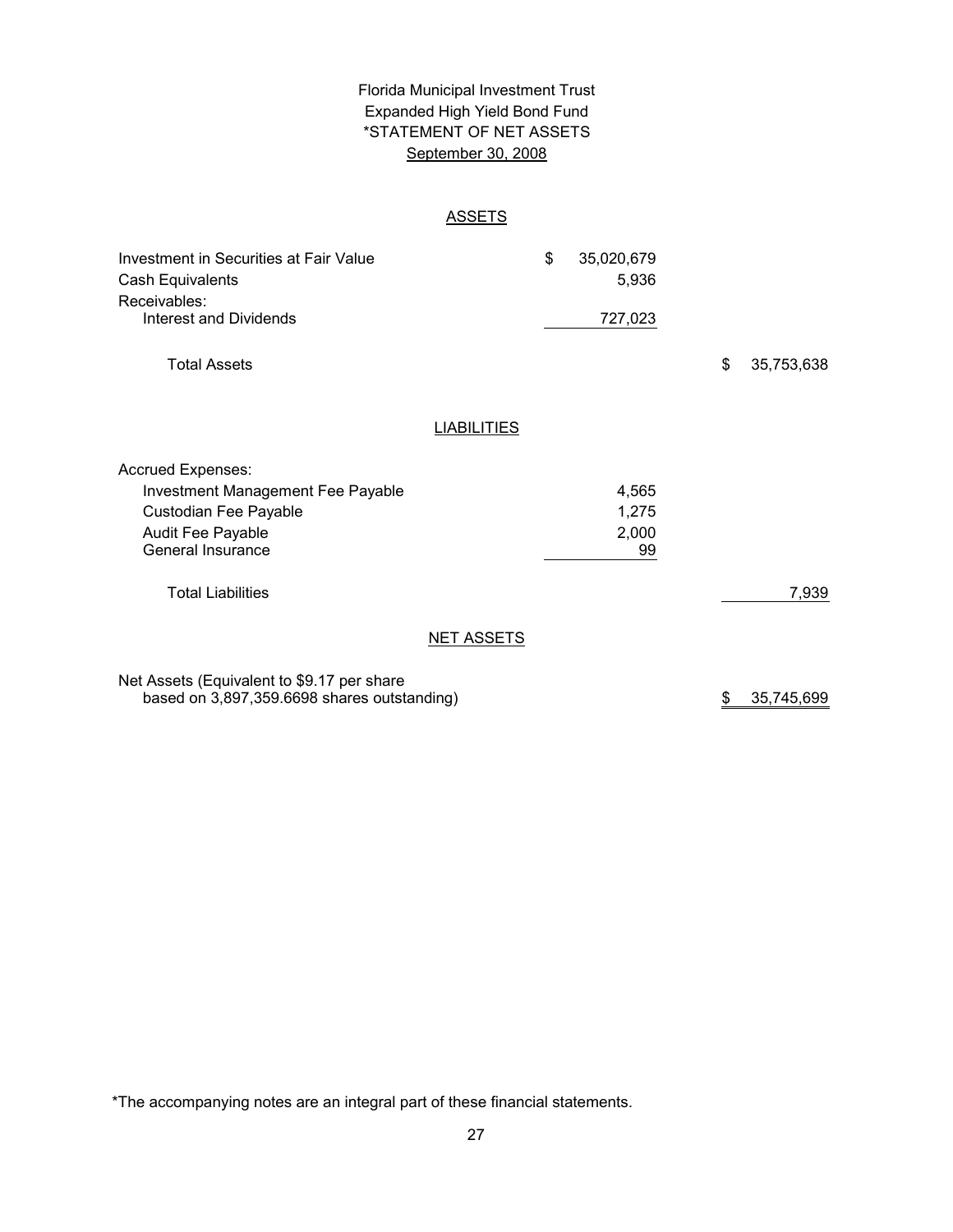# \*STATEMENT OF NET ASSETS Florida Municipal Investment Trust Expanded High Yield Bond Fund September 30, 2008

## **ASSETS**

| Investment in Securities at Fair Value<br>Cash Equivalents |                    | \$<br>35,020,679<br>5,936 |    |            |
|------------------------------------------------------------|--------------------|---------------------------|----|------------|
| Receivables:                                               |                    |                           |    |            |
| <b>Interest and Dividends</b>                              |                    | 727,023                   |    |            |
| <b>Total Assets</b>                                        |                    |                           | \$ | 35,753,638 |
|                                                            | <b>LIABILITIES</b> |                           |    |            |
|                                                            |                    |                           |    |            |
| <b>Accrued Expenses:</b>                                   |                    |                           |    |            |
| <b>Investment Management Fee Payable</b>                   |                    | 4,565                     |    |            |
| Custodian Fee Payable                                      |                    | 1,275                     |    |            |
| <b>Audit Fee Payable</b>                                   |                    | 2,000                     |    |            |
| General Insurance                                          |                    | 99                        |    |            |
| <b>Total Liabilities</b>                                   |                    |                           |    | 7,939      |
|                                                            | <b>NET ASSETS</b>  |                           |    |            |
| Net Assets (Equivalent to \$9.17 per share                 |                    |                           |    |            |
| based on 3,897,359.6698 shares outstanding)                |                    |                           | \$ | 35,745,699 |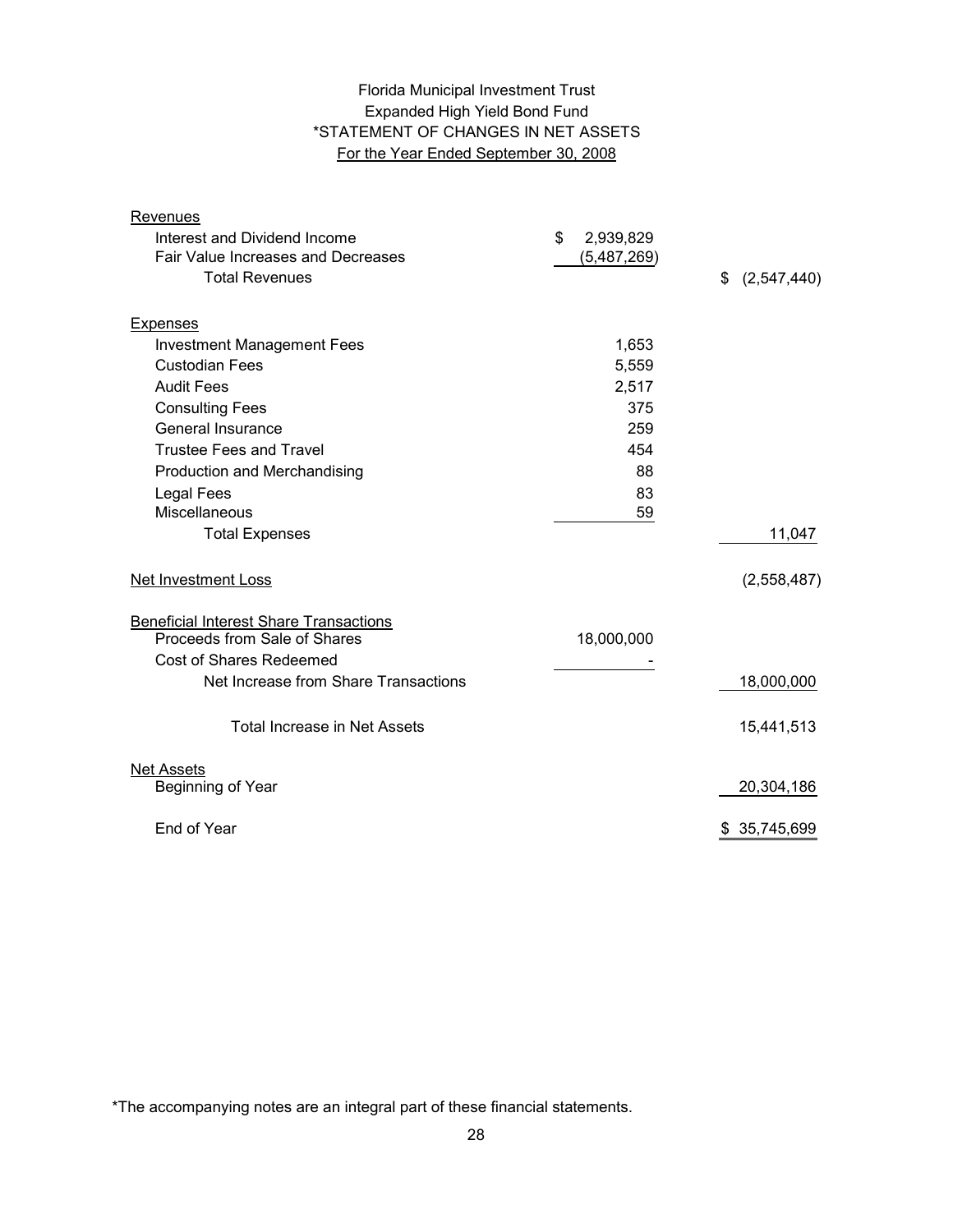# Expanded High Yield Bond Fund \*STATEMENT OF CHANGES IN NET ASSETS For the Year Ended September 30, 2008 Florida Municipal Investment Trust

| Revenues                                      |                 |                   |
|-----------------------------------------------|-----------------|-------------------|
| Interest and Dividend Income                  | \$<br>2,939,829 |                   |
| <b>Fair Value Increases and Decreases</b>     | (5,487,269)     |                   |
| <b>Total Revenues</b>                         |                 | \$<br>(2,547,440) |
|                                               |                 |                   |
| <b>Expenses</b>                               |                 |                   |
| <b>Investment Management Fees</b>             | 1,653           |                   |
| <b>Custodian Fees</b>                         | 5,559           |                   |
| <b>Audit Fees</b>                             | 2,517           |                   |
| <b>Consulting Fees</b>                        | 375             |                   |
| General Insurance                             | 259             |                   |
| <b>Trustee Fees and Travel</b>                | 454             |                   |
| Production and Merchandising                  | 88              |                   |
| Legal Fees                                    | 83              |                   |
| <b>Miscellaneous</b>                          | 59              |                   |
| <b>Total Expenses</b>                         |                 | 11,047            |
| <b>Net Investment Loss</b>                    |                 | (2,558,487)       |
| <b>Beneficial Interest Share Transactions</b> |                 |                   |
| Proceeds from Sale of Shares                  | 18,000,000      |                   |
| <b>Cost of Shares Redeemed</b>                |                 |                   |
| Net Increase from Share Transactions          |                 | 18,000,000        |
| Total Increase in Net Assets                  |                 | 15,441,513        |
| <b>Net Assets</b>                             |                 |                   |
| Beginning of Year                             |                 | 20,304,186        |
| End of Year                                   |                 | \$ 35,745,699     |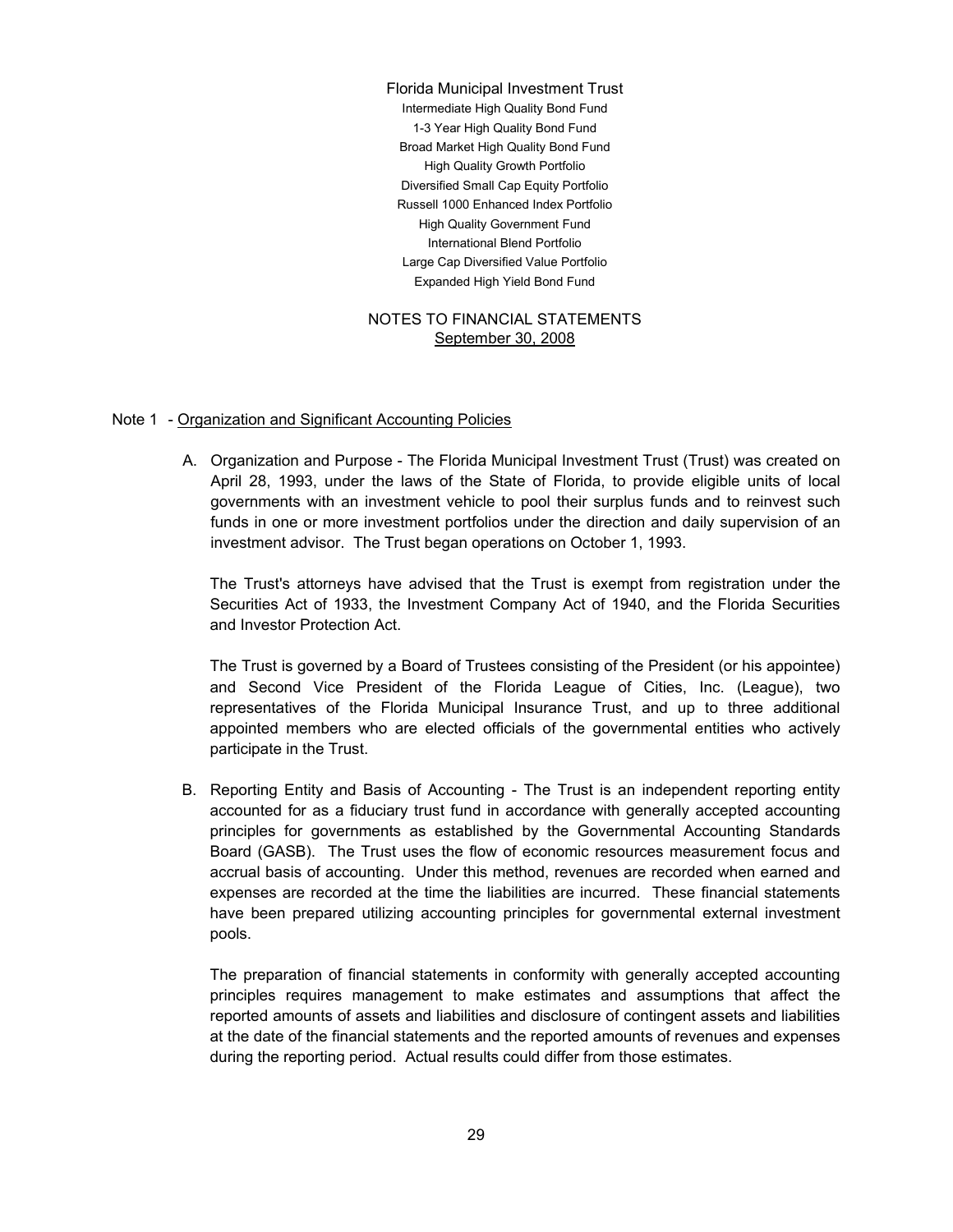Large Cap Diversified Value Portfolio Expanded High Yield Bond Fund Russell 1000 Enhanced Index Portfolio High Quality Government Fund International Blend Portfolio Florida Municipal Investment Trust Intermediate High Quality Bond Fund 1-3 Year High Quality Bond Fund Broad Market High Quality Bond Fund High Quality Growth Portfolio Diversified Small Cap Equity Portfolio

#### NOTES TO FINANCIAL STATEMENTS September 30, 2008

## Note 1 - Organization and Significant Accounting Policies

A. Organization and Purpose - The Florida Municipal Investment Trust (Trust) was created on April 28, 1993, under the laws of the State of Florida, to provide eligible units of local governments with an investment vehicle to pool their surplus funds and to reinvest such funds in one or more investment portfolios under the direction and daily supervision of an investment advisor. The Trust began operations on October 1, 1993.

The Trust's attorneys have advised that the Trust is exempt from registration under the Securities Act of 1933, the Investment Company Act of 1940, and the Florida Securities and Investor Protection Act.

The Trust is governed by a Board of Trustees consisting of the President (or his appointee) and Second Vice President of the Florida League of Cities, Inc. (League), two representatives of the Florida Municipal Insurance Trust, and up to three additional appointed members who are elected officials of the governmental entities who actively participate in the Trust.

B. Reporting Entity and Basis of Accounting - The Trust is an independent reporting entity accounted for as a fiduciary trust fund in accordance with generally accepted accounting principles for governments as established by the Governmental Accounting Standards Board (GASB). The Trust uses the flow of economic resources measurement focus and accrual basis of accounting. Under this method, revenues are recorded when earned and expenses are recorded at the time the liabilities are incurred. These financial statements have been prepared utilizing accounting principles for governmental external investment pools.

The preparation of financial statements in conformity with generally accepted accounting principles requires management to make estimates and assumptions that affect the reported amounts of assets and liabilities and disclosure of contingent assets and liabilities at the date of the financial statements and the reported amounts of revenues and expenses during the reporting period. Actual results could differ from those estimates.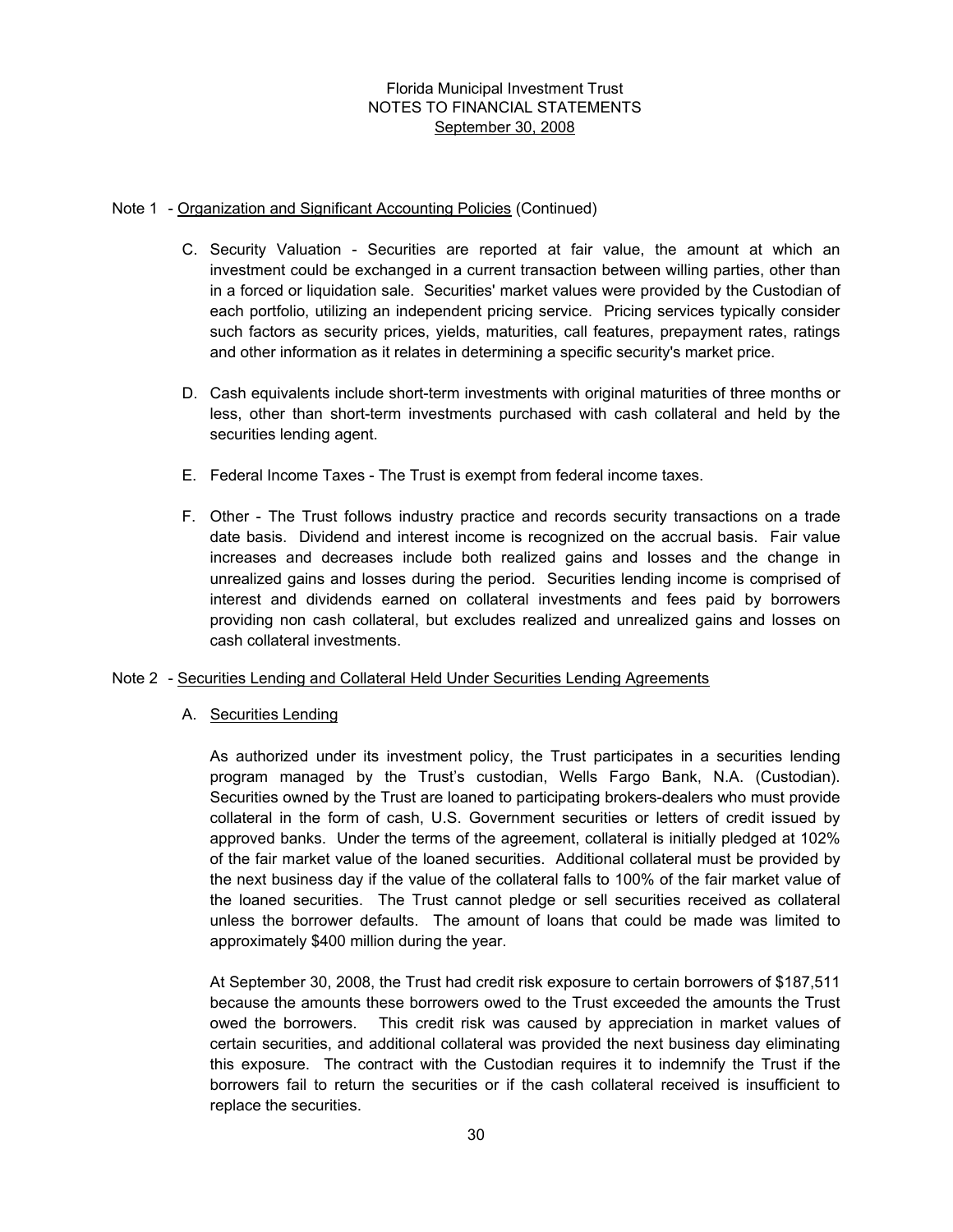## Note 1 - Organization and Significant Accounting Policies (Continued)

- C. Security Valuation Securities are reported at fair value, the amount at which an investment could be exchanged in a current transaction between willing parties, other than in a forced or liquidation sale. Securities' market values were provided by the Custodian of each portfolio, utilizing an independent pricing service. Pricing services typically consider such factors as security prices, yields, maturities, call features, prepayment rates, ratings and other information as it relates in determining a specific security's market price.
- D. Cash equivalents include short-term investments with original maturities of three months or less, other than short-term investments purchased with cash collateral and held by the securities lending agent.
- E. Federal Income Taxes The Trust is exempt from federal income taxes.
- F. Other The Trust follows industry practice and records security transactions on a trade date basis. Dividend and interest income is recognized on the accrual basis. Fair value increases and decreases include both realized gains and losses and the change in unrealized gains and losses during the period. Securities lending income is comprised of interest and dividends earned on collateral investments and fees paid by borrowers providing non cash collateral, but excludes realized and unrealized gains and losses on cash collateral investments.

## Note 2 - Securities Lending and Collateral Held Under Securities Lending Agreements

## A. Securities Lending

As authorized under its investment policy, the Trust participates in a securities lending program managed by the Trust's custodian, Wells Fargo Bank, N.A. (Custodian). Securities owned by the Trust are loaned to participating brokers-dealers who must provide collateral in the form of cash, U.S. Government securities or letters of credit issued by approved banks. Under the terms of the agreement, collateral is initially pledged at 102% of the fair market value of the loaned securities. Additional collateral must be provided by the next business day if the value of the collateral falls to 100% of the fair market value of the loaned securities. The Trust cannot pledge or sell securities received as collateral unless the borrower defaults. The amount of loans that could be made was limited to approximately \$400 million during the year.

At September 30, 2008, the Trust had credit risk exposure to certain borrowers of \$187,511 because the amounts these borrowers owed to the Trust exceeded the amounts the Trust owed the borrowers. This credit risk was caused by appreciation in market values of certain securities, and additional collateral was provided the next business day eliminating this exposure. The contract with the Custodian requires it to indemnify the Trust if the borrowers fail to return the securities or if the cash collateral received is insufficient to replace the securities.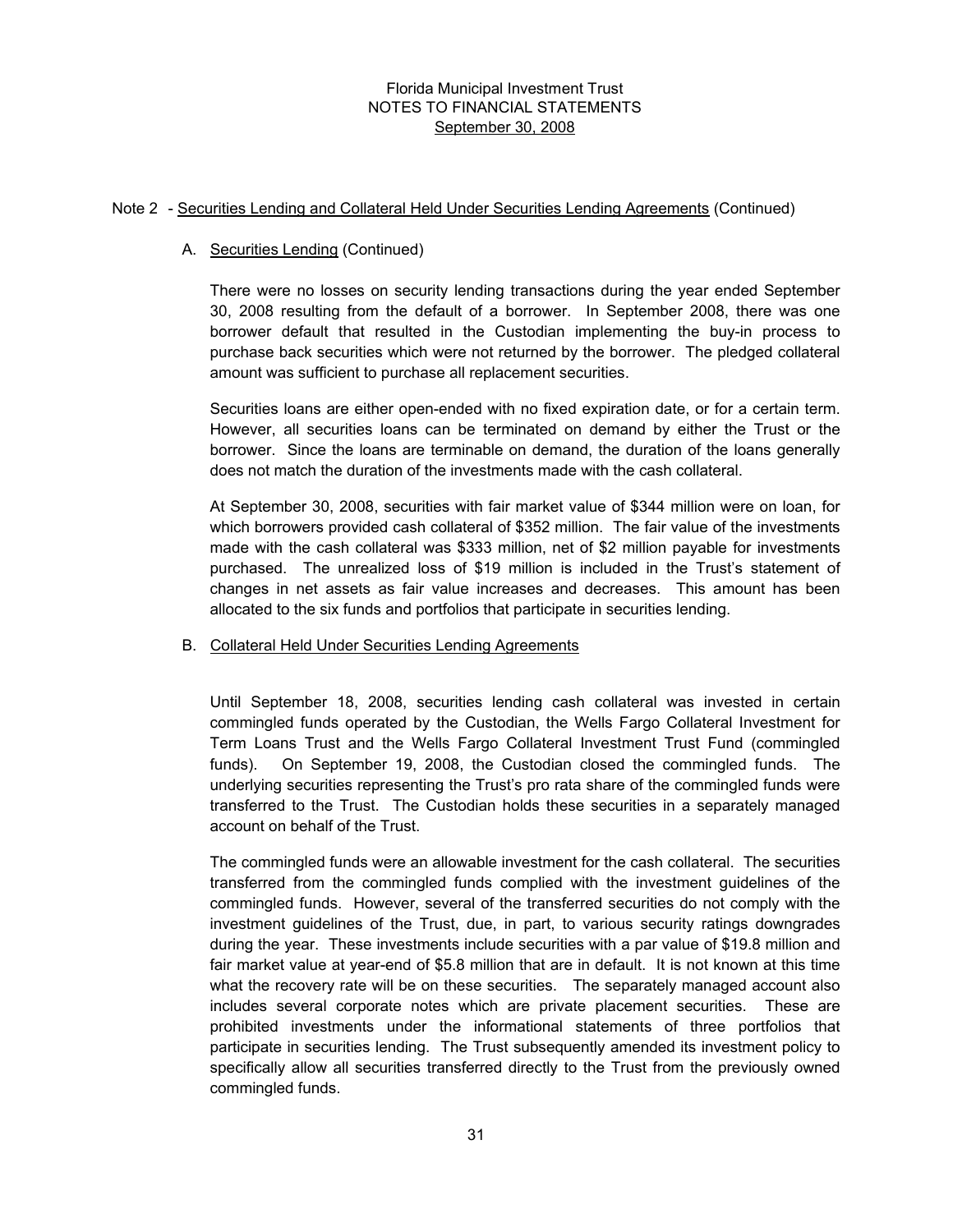#### Note 2 - Securities Lending and Collateral Held Under Securities Lending Agreements (Continued)

## A. Securities Lending (Continued)

There were no losses on security lending transactions during the year ended September 30, 2008 resulting from the default of a borrower. In September 2008, there was one borrower default that resulted in the Custodian implementing the buy-in process to purchase back securities which were not returned by the borrower. The pledged collateral amount was sufficient to purchase all replacement securities.

Securities loans are either open-ended with no fixed expiration date, or for a certain term. However, all securities loans can be terminated on demand by either the Trust or the borrower. Since the loans are terminable on demand, the duration of the loans generally does not match the duration of the investments made with the cash collateral.

At September 30, 2008, securities with fair market value of \$344 million were on loan, for which borrowers provided cash collateral of \$352 million. The fair value of the investments made with the cash collateral was \$333 million, net of \$2 million payable for investments purchased. The unrealized loss of \$19 million is included in the Trust's statement of changes in net assets as fair value increases and decreases. This amount has been allocated to the six funds and portfolios that participate in securities lending.

## B. Collateral Held Under Securities Lending Agreements

Until September 18, 2008, securities lending cash collateral was invested in certain commingled funds operated by the Custodian, the Wells Fargo Collateral Investment for Term Loans Trust and the Wells Fargo Collateral Investment Trust Fund (commingled funds). On September 19, 2008, the Custodian closed the commingled funds. The underlying securities representing the Trust's pro rata share of the commingled funds were transferred to the Trust. The Custodian holds these securities in a separately managed account on behalf of the Trust.

The commingled funds were an allowable investment for the cash collateral. The securities transferred from the commingled funds complied with the investment guidelines of the commingled funds. However, several of the transferred securities do not comply with the investment guidelines of the Trust, due, in part, to various security ratings downgrades during the year. These investments include securities with a par value of \$19.8 million and fair market value at year-end of \$5.8 million that are in default. It is not known at this time what the recovery rate will be on these securities. The separately managed account also includes several corporate notes which are private placement securities. These are prohibited investments under the informational statements of three portfolios that participate in securities lending. The Trust subsequently amended its investment policy to specifically allow all securities transferred directly to the Trust from the previously owned commingled funds.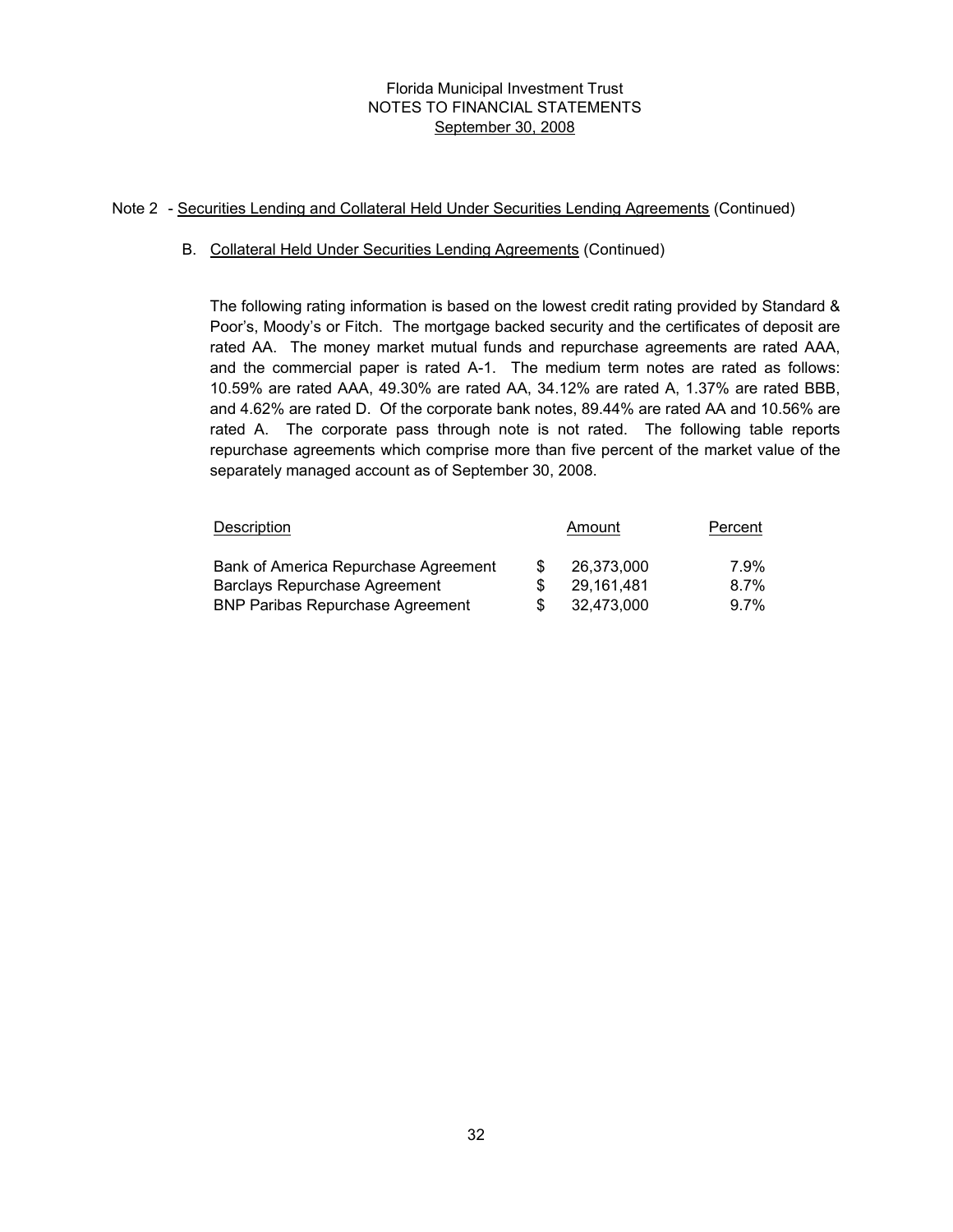## Note 2 - Securities Lending and Collateral Held Under Securities Lending Agreements (Continued)

## B. Collateral Held Under Securities Lending Agreements (Continued)

The following rating information is based on the lowest credit rating provided by Standard & Poor's, Moody's or Fitch. The mortgage backed security and the certificates of deposit are rated AA. The money market mutual funds and repurchase agreements are rated AAA, and the commercial paper is rated A-1. The medium term notes are rated as follows: 10.59% are rated AAA, 49.30% are rated AA, 34.12% are rated A, 1.37% are rated BBB, and 4.62% are rated D. Of the corporate bank notes, 89.44% are rated AA and 10.56% are rated A. The corporate pass through note is not rated. The following table reports repurchase agreements which comprise more than five percent of the market value of the separately managed account as of September 30, 2008.

| <b>Description</b>                      |     | Amount     | Percent |
|-----------------------------------------|-----|------------|---------|
| Bank of America Repurchase Agreement    | \$. | 26.373.000 | 7.9%    |
| Barclays Repurchase Agreement           |     | 29.161.481 | $8.7\%$ |
| <b>BNP Paribas Repurchase Agreement</b> | S   | 32.473.000 | $9.7\%$ |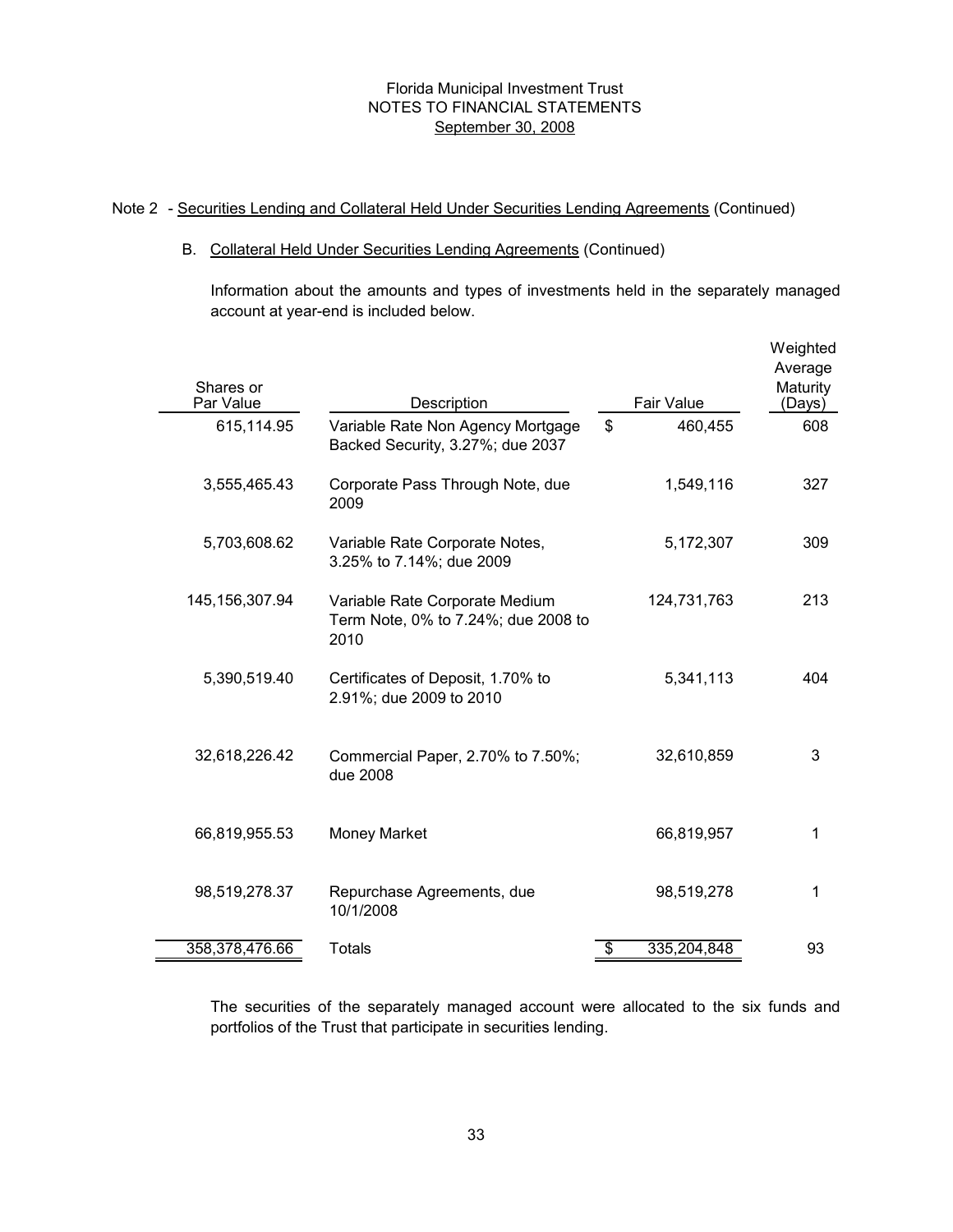### Note 2 - Securities Lending and Collateral Held Under Securities Lending Agreements (Continued)

#### B. Collateral Held Under Securities Lending Agreements (Continued)

Information about the amounts and types of investments held in the separately managed account at year-end is included below.

| Shares or<br>Par Value | Description                                                                   |                           | <b>Fair Value</b> | Weighted<br>Average<br>Maturity<br>(Days) |
|------------------------|-------------------------------------------------------------------------------|---------------------------|-------------------|-------------------------------------------|
| 615,114.95             | Variable Rate Non Agency Mortgage<br>Backed Security, 3.27%; due 2037         | $\boldsymbol{\mathsf{S}}$ | 460,455           | 608                                       |
| 3,555,465.43           | Corporate Pass Through Note, due<br>2009                                      |                           | 1,549,116         | 327                                       |
| 5,703,608.62           | Variable Rate Corporate Notes,<br>3.25% to 7.14%; due 2009                    |                           | 5,172,307         | 309                                       |
| 145, 156, 307. 94      | Variable Rate Corporate Medium<br>Term Note, 0% to 7.24%; due 2008 to<br>2010 |                           | 124,731,763       | 213                                       |
| 5,390,519.40           | Certificates of Deposit, 1.70% to<br>2.91%; due 2009 to 2010                  |                           | 5,341,113         | 404                                       |
| 32,618,226.42          | Commercial Paper, 2.70% to 7.50%;<br>due 2008                                 |                           | 32,610,859        | 3                                         |
| 66,819,955.53          | <b>Money Market</b>                                                           |                           | 66,819,957        | 1                                         |
| 98,519,278.37          | Repurchase Agreements, due<br>10/1/2008                                       |                           | 98,519,278        | 1                                         |
| 358,378,476.66         | <b>Totals</b>                                                                 | \$                        | 335,204,848       | 93                                        |

The securities of the separately managed account were allocated to the six funds and portfolios of the Trust that participate in securities lending.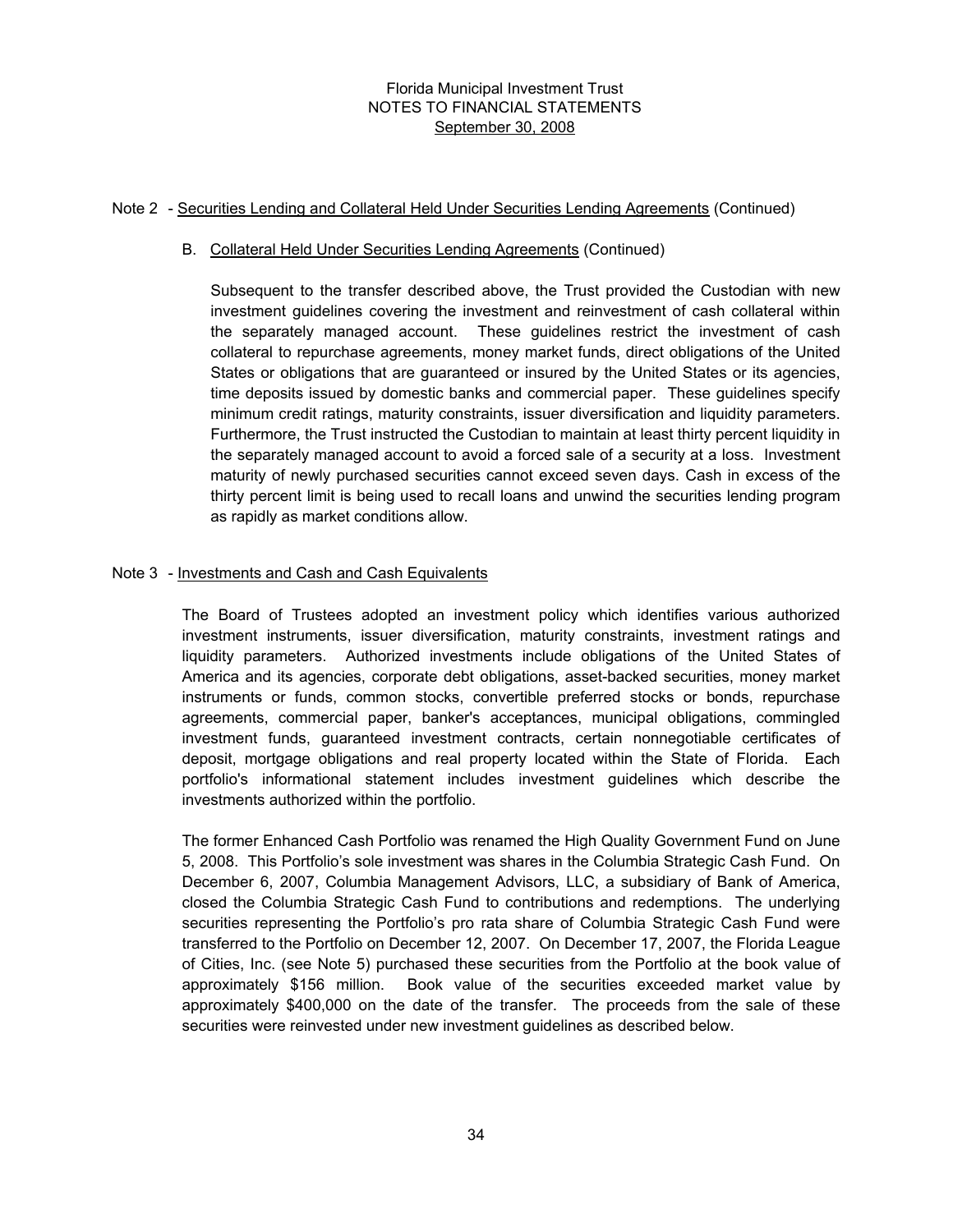#### Note 2 - Securities Lending and Collateral Held Under Securities Lending Agreements (Continued)

## B. Collateral Held Under Securities Lending Agreements (Continued)

Subsequent to the transfer described above, the Trust provided the Custodian with new investment guidelines covering the investment and reinvestment of cash collateral within the separately managed account. These guidelines restrict the investment of cash collateral to repurchase agreements, money market funds, direct obligations of the United States or obligations that are guaranteed or insured by the United States or its agencies, time deposits issued by domestic banks and commercial paper. These guidelines specify minimum credit ratings, maturity constraints, issuer diversification and liquidity parameters. Furthermore, the Trust instructed the Custodian to maintain at least thirty percent liquidity in the separately managed account to avoid a forced sale of a security at a loss. Investment maturity of newly purchased securities cannot exceed seven days. Cash in excess of the thirty percent limit is being used to recall loans and unwind the securities lending program as rapidly as market conditions allow.

## Note 3 - Investments and Cash and Cash Equivalents

The Board of Trustees adopted an investment policy which identifies various authorized investment instruments, issuer diversification, maturity constraints, investment ratings and liquidity parameters. Authorized investments include obligations of the United States of America and its agencies, corporate debt obligations, asset-backed securities, money market instruments or funds, common stocks, convertible preferred stocks or bonds, repurchase agreements, commercial paper, banker's acceptances, municipal obligations, commingled investment funds, guaranteed investment contracts, certain nonnegotiable certificates of deposit, mortgage obligations and real property located within the State of Florida. Each portfolio's informational statement includes investment guidelines which describe the investments authorized within the portfolio.

The former Enhanced Cash Portfolio was renamed the High Quality Government Fund on June 5, 2008. This Portfolio's sole investment was shares in the Columbia Strategic Cash Fund. On December 6, 2007, Columbia Management Advisors, LLC, a subsidiary of Bank of America, closed the Columbia Strategic Cash Fund to contributions and redemptions. The underlying securities representing the Portfolio's pro rata share of Columbia Strategic Cash Fund were transferred to the Portfolio on December 12, 2007. On December 17, 2007, the Florida League of Cities, Inc. (see Note 5) purchased these securities from the Portfolio at the book value of approximately \$156 million. Book value of the securities exceeded market value by approximately \$400,000 on the date of the transfer. The proceeds from the sale of these securities were reinvested under new investment guidelines as described below.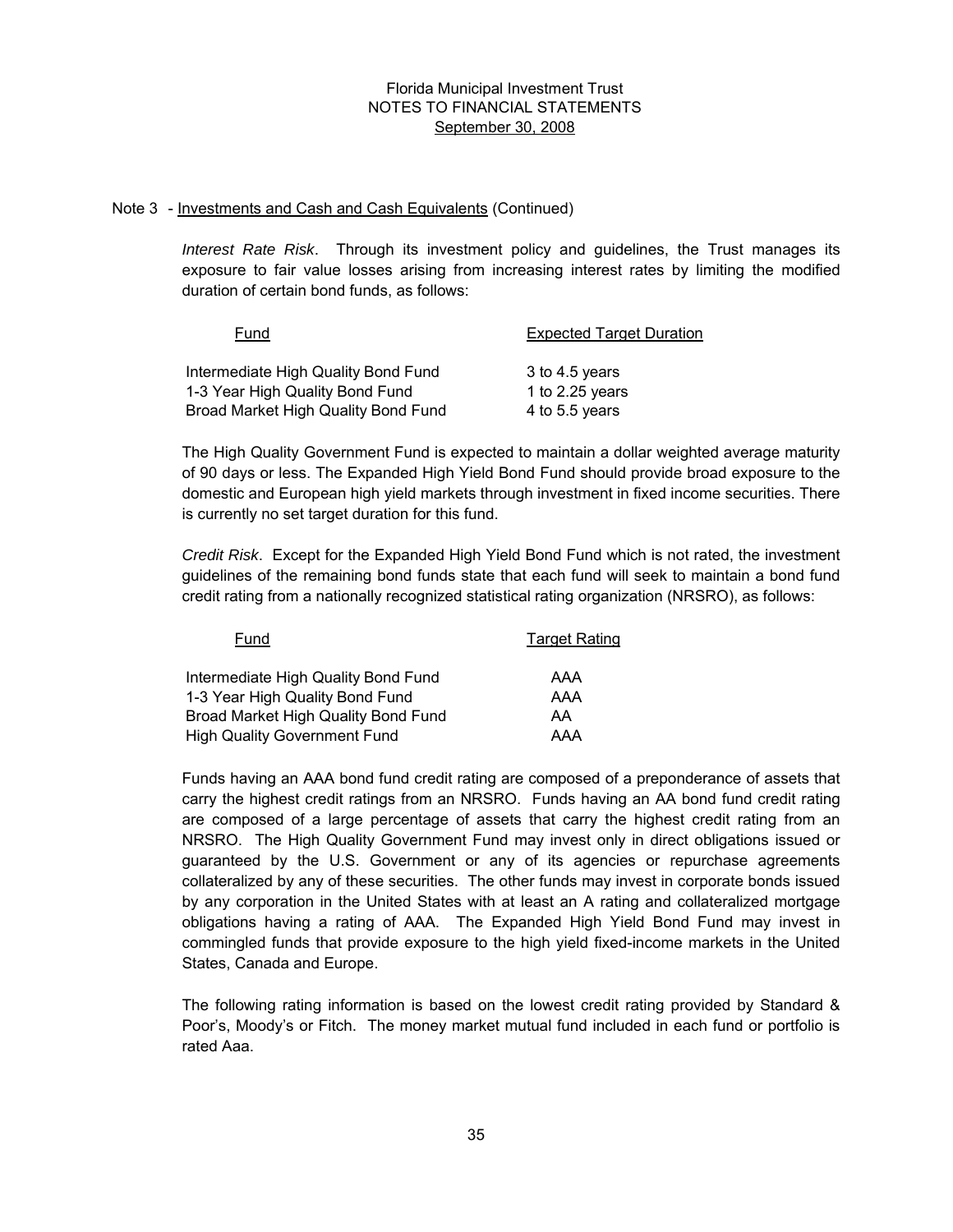#### Note 3 - Investments and Cash and Cash Equivalents (Continued)

*Interest Rate Risk*. Through its investment policy and guidelines, the Trust manages its exposure to fair value losses arising from increasing interest rates by limiting the modified duration of certain bond funds, as follows:

| Fund                                | <b>Expected Target Duration</b> |
|-------------------------------------|---------------------------------|
| Intermediate High Quality Bond Fund | 3 to 4.5 years                  |
| 1-3 Year High Quality Bond Fund     | 1 to $2.25$ years               |
| Broad Market High Quality Bond Fund | 4 to 5.5 years                  |

The High Quality Government Fund is expected to maintain a dollar weighted average maturity of 90 days or less. The Expanded High Yield Bond Fund should provide broad exposure to the domestic and European high yield markets through investment in fixed income securities. There is currently no set target duration for this fund.

*Credit Risk*. Except for the Expanded High Yield Bond Fund which is not rated, the investment guidelines of the remaining bond funds state that each fund will seek to maintain a bond fund credit rating from a nationally recognized statistical rating organization (NRSRO), as follows:

| Fund                                | <b>Target Rating</b> |
|-------------------------------------|----------------------|
| Intermediate High Quality Bond Fund | AAA                  |
| 1-3 Year High Quality Bond Fund     | AAA                  |
| Broad Market High Quality Bond Fund | AA                   |
| <b>High Quality Government Fund</b> | AAA                  |

Funds having an AAA bond fund credit rating are composed of a preponderance of assets that carry the highest credit ratings from an NRSRO. Funds having an AA bond fund credit rating are composed of a large percentage of assets that carry the highest credit rating from an NRSRO. The High Quality Government Fund may invest only in direct obligations issued or guaranteed by the U.S. Government or any of its agencies or repurchase agreements collateralized by any of these securities. The other funds may invest in corporate bonds issued by any corporation in the United States with at least an A rating and collateralized mortgage obligations having a rating of AAA. The Expanded High Yield Bond Fund may invest in commingled funds that provide exposure to the high yield fixed-income markets in the United States, Canada and Europe.

The following rating information is based on the lowest credit rating provided by Standard & Poor's, Moody's or Fitch. The money market mutual fund included in each fund or portfolio is rated Aaa.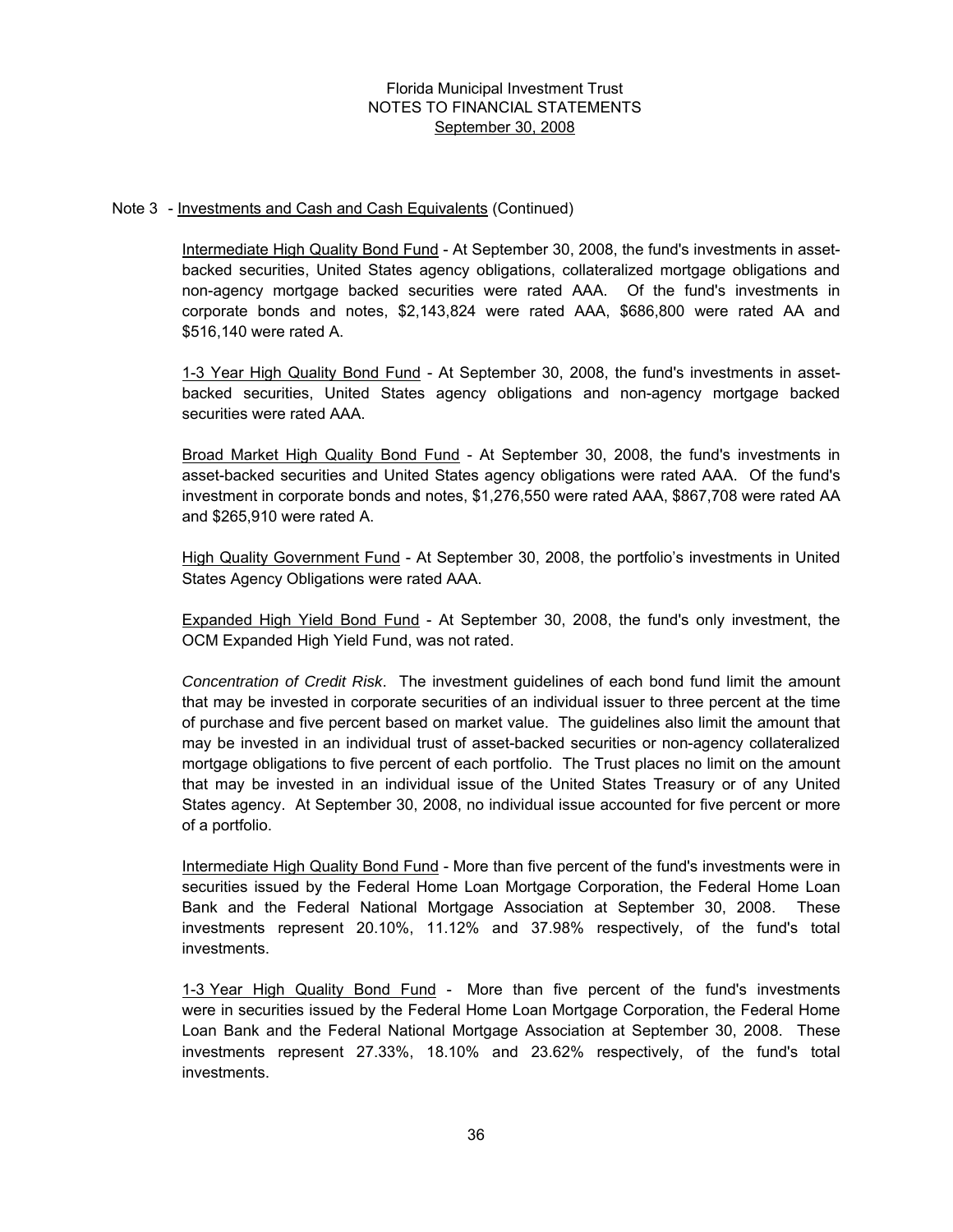#### Note 3 - Investments and Cash and Cash Equivalents (Continued)

Intermediate High Quality Bond Fund - At September 30, 2008, the fund's investments in assetbacked securities, United States agency obligations, collateralized mortgage obligations and non-agency mortgage backed securities were rated AAA. Of the fund's investments in corporate bonds and notes, \$2,143,824 were rated AAA, \$686,800 were rated AA and \$516,140 were rated A.

1-3 Year High Quality Bond Fund - At September 30, 2008, the fund's investments in assetbacked securities, United States agency obligations and non-agency mortgage backed securities were rated AAA.

Broad Market High Quality Bond Fund - At September 30, 2008, the fund's investments in asset-backed securities and United States agency obligations were rated AAA. Of the fund's investment in corporate bonds and notes, \$1,276,550 were rated AAA, \$867,708 were rated AA and \$265,910 were rated A.

High Quality Government Fund - At September 30, 2008, the portfolio's investments in United States Agency Obligations were rated AAA.

Expanded High Yield Bond Fund - At September 30, 2008, the fund's only investment, the OCM Expanded High Yield Fund, was not rated.

*Concentration of Credit Risk*. The investment guidelines of each bond fund limit the amount that may be invested in corporate securities of an individual issuer to three percent at the time of purchase and five percent based on market value. The guidelines also limit the amount that may be invested in an individual trust of asset-backed securities or non-agency collateralized mortgage obligations to five percent of each portfolio. The Trust places no limit on the amount that may be invested in an individual issue of the United States Treasury or of any United States agency. At September 30, 2008, no individual issue accounted for five percent or more of a portfolio.

Intermediate High Quality Bond Fund - More than five percent of the fund's investments were in securities issued by the Federal Home Loan Mortgage Corporation, the Federal Home Loan Bank and the Federal National Mortgage Association at September 30, 2008. These investments represent 20.10%, 11.12% and 37.98% respectively, of the fund's total investments.

1-3 Year High Quality Bond Fund - More than five percent of the fund's investments were in securities issued by the Federal Home Loan Mortgage Corporation, the Federal Home Loan Bank and the Federal National Mortgage Association at September 30, 2008. These investments represent 27.33%, 18.10% and 23.62% respectively, of the fund's total investments.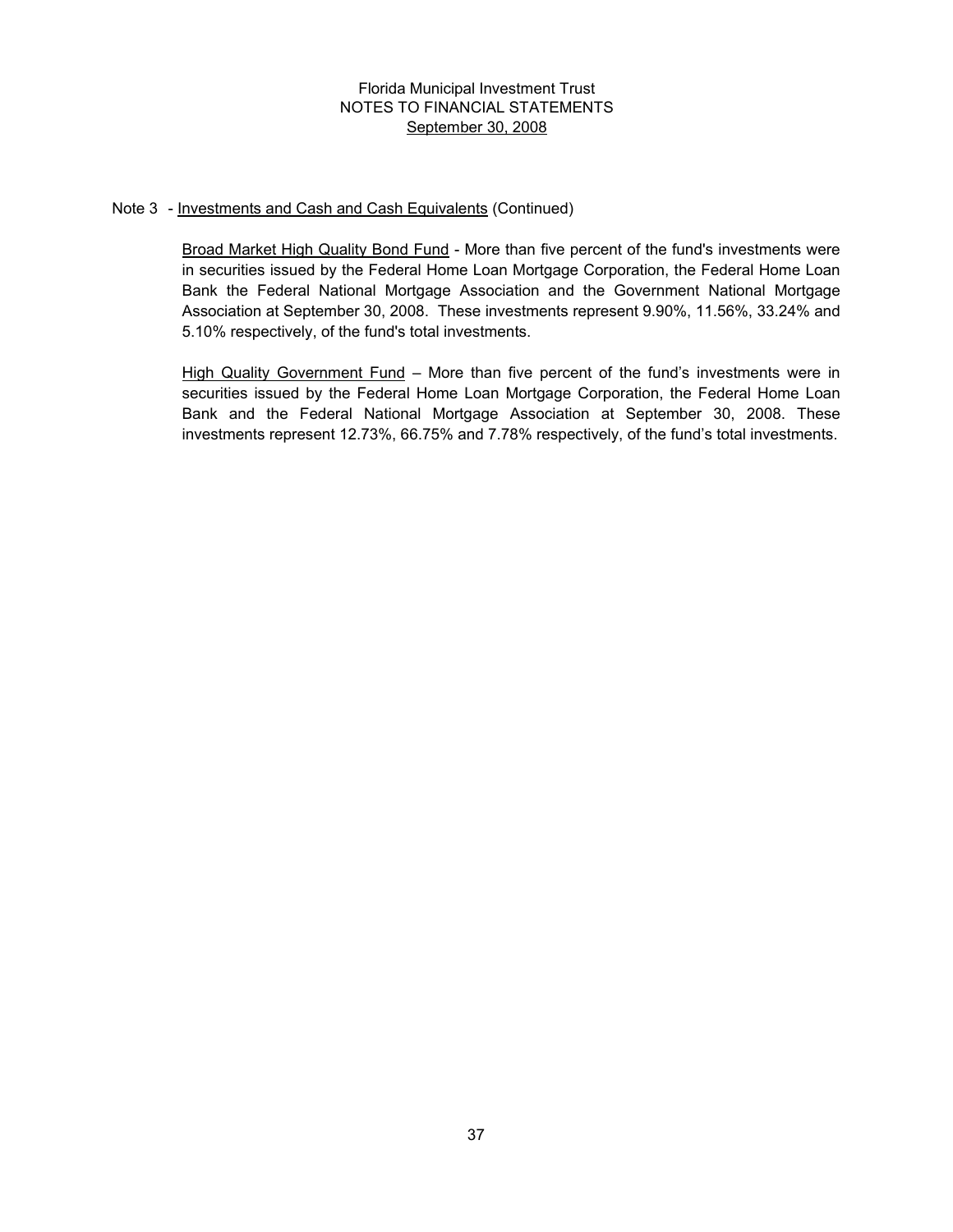#### Note 3 - Investments and Cash and Cash Equivalents (Continued)

Broad Market High Quality Bond Fund - More than five percent of the fund's investments were in securities issued by the Federal Home Loan Mortgage Corporation, the Federal Home Loan Bank the Federal National Mortgage Association and the Government National Mortgage Association at September 30, 2008. These investments represent 9.90%, 11.56%, 33.24% and 5.10% respectively, of the fund's total investments.

High Quality Government Fund – More than five percent of the fund's investments were in securities issued by the Federal Home Loan Mortgage Corporation, the Federal Home Loan Bank and the Federal National Mortgage Association at September 30, 2008. These investments represent 12.73%, 66.75% and 7.78% respectively, of the fund's total investments.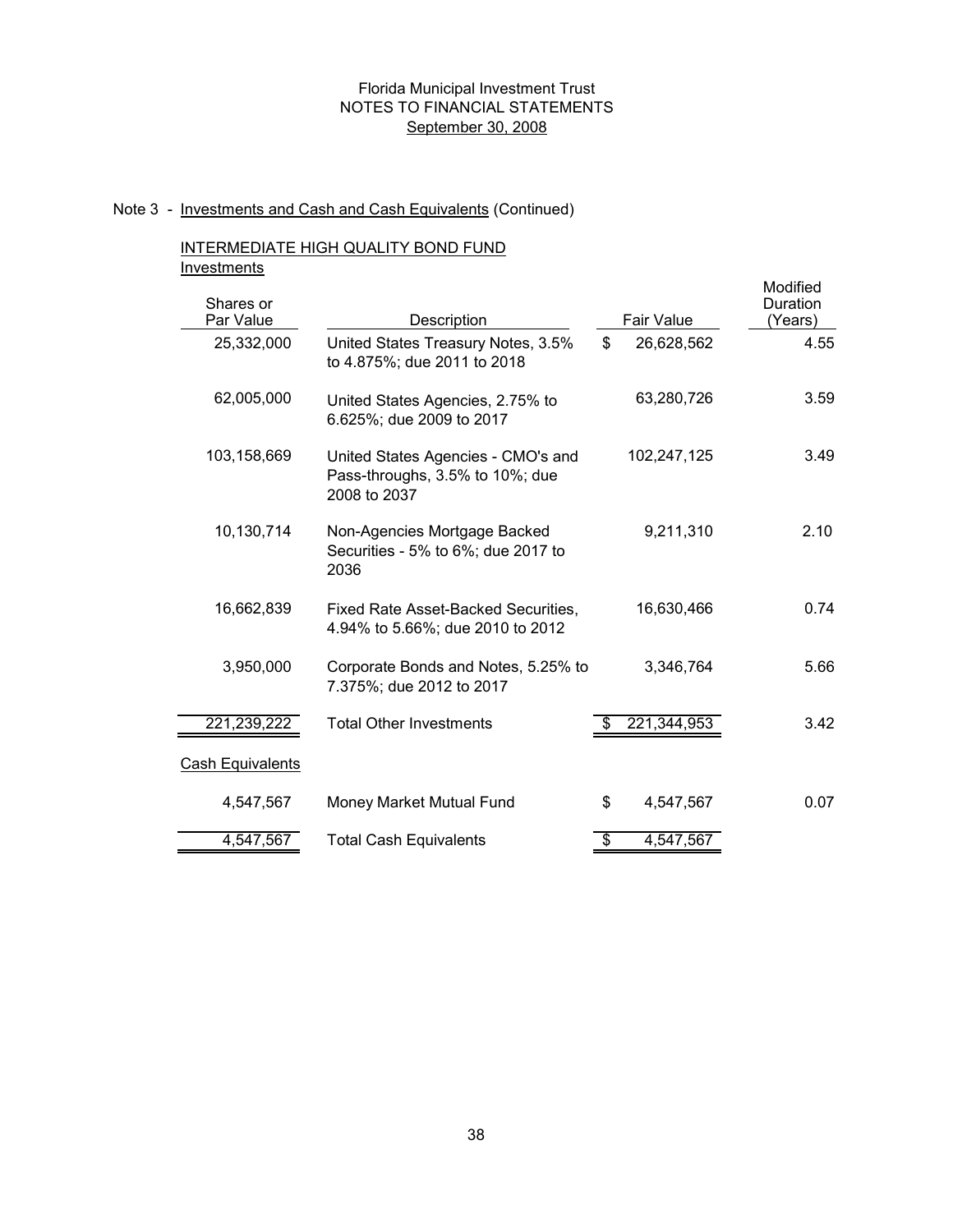#### Note 3 - Investments and Cash and Cash Equivalents (Continued)

## INTERMEDIATE HIGH QUALITY BOND FUND **Investments**

| . <b>. . . . .</b><br>Shares or |                                                                                       |                  | Modified<br>Duration |
|---------------------------------|---------------------------------------------------------------------------------------|------------------|----------------------|
| Par Value                       | Description                                                                           | Fair Value       | (Years)              |
| 25,332,000                      | United States Treasury Notes, 3.5%<br>to 4.875%; due 2011 to 2018                     | \$<br>26,628,562 | 4.55                 |
| 62,005,000                      | United States Agencies, 2.75% to<br>6.625%; due 2009 to 2017                          | 63,280,726       | 3.59                 |
| 103,158,669                     | United States Agencies - CMO's and<br>Pass-throughs, 3.5% to 10%; due<br>2008 to 2037 | 102,247,125      | 3.49                 |
| 10,130,714                      | Non-Agencies Mortgage Backed<br>Securities - 5% to 6%; due 2017 to<br>2036            | 9,211,310        | 2.10                 |
| 16,662,839                      | Fixed Rate Asset-Backed Securities,<br>4.94% to 5.66%; due 2010 to 2012               | 16,630,466       | 0.74                 |
| 3,950,000                       | Corporate Bonds and Notes, 5.25% to<br>7.375%; due 2012 to 2017                       | 3,346,764        | 5.66                 |
| 221,239,222                     | <b>Total Other Investments</b>                                                        | 221,344,953      | 3.42                 |
| <b>Cash Equivalents</b>         |                                                                                       |                  |                      |
| 4,547,567                       | Money Market Mutual Fund                                                              | \$<br>4,547,567  | 0.07                 |
| 4,547,567                       | <b>Total Cash Equivalents</b>                                                         | \$<br>4,547,567  |                      |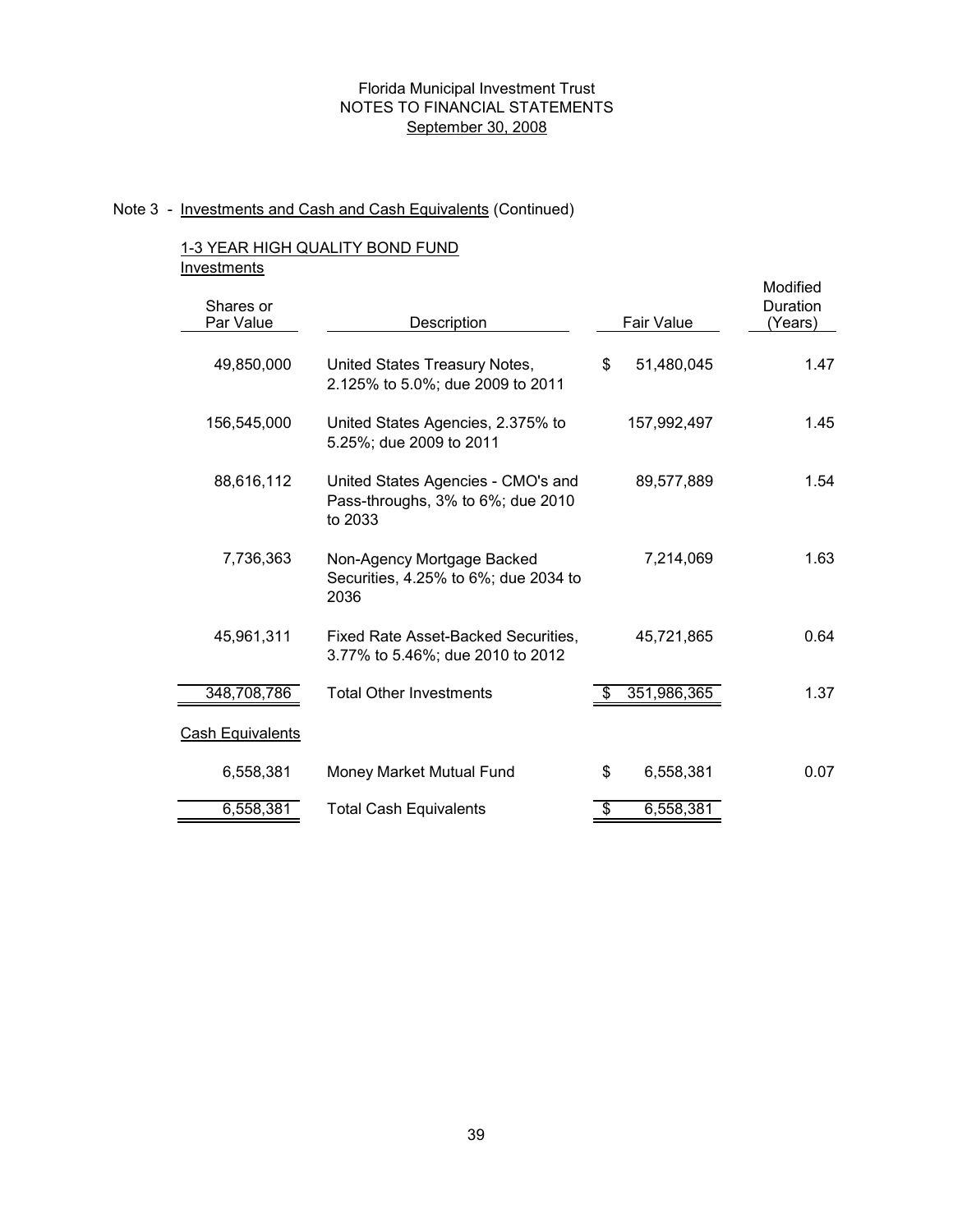# Note 3 - Investments and Cash and Cash Equivalents (Continued)

## 1-3 YEAR HIGH QUALITY BOND FUND **Investments**

| Shares or<br>Par Value  | Description                                                                        | <b>Fair Value</b> | Modified<br>Duration<br>(Years) |
|-------------------------|------------------------------------------------------------------------------------|-------------------|---------------------------------|
| 49,850,000              | United States Treasury Notes,<br>2.125% to 5.0%; due 2009 to 2011                  | \$<br>51,480,045  | 1.47                            |
| 156,545,000             | United States Agencies, 2.375% to<br>5.25%; due 2009 to 2011                       | 157,992,497       | 1.45                            |
| 88,616,112              | United States Agencies - CMO's and<br>Pass-throughs, 3% to 6%; due 2010<br>to 2033 | 89,577,889        | 1.54                            |
| 7,736,363               | Non-Agency Mortgage Backed<br>Securities, 4.25% to 6%; due 2034 to<br>2036         | 7,214,069         | 1.63                            |
| 45,961,311              | Fixed Rate Asset-Backed Securities,<br>3.77% to 5.46%; due 2010 to 2012            | 45,721,865        | 0.64                            |
| 348,708,786             | <b>Total Other Investments</b>                                                     | 351,986,365       | 1.37                            |
| <b>Cash Equivalents</b> |                                                                                    |                   |                                 |
| 6,558,381               | Money Market Mutual Fund                                                           | \$<br>6,558,381   | 0.07                            |
| 6,558,381               | <b>Total Cash Equivalents</b>                                                      | \$<br>6,558,381   |                                 |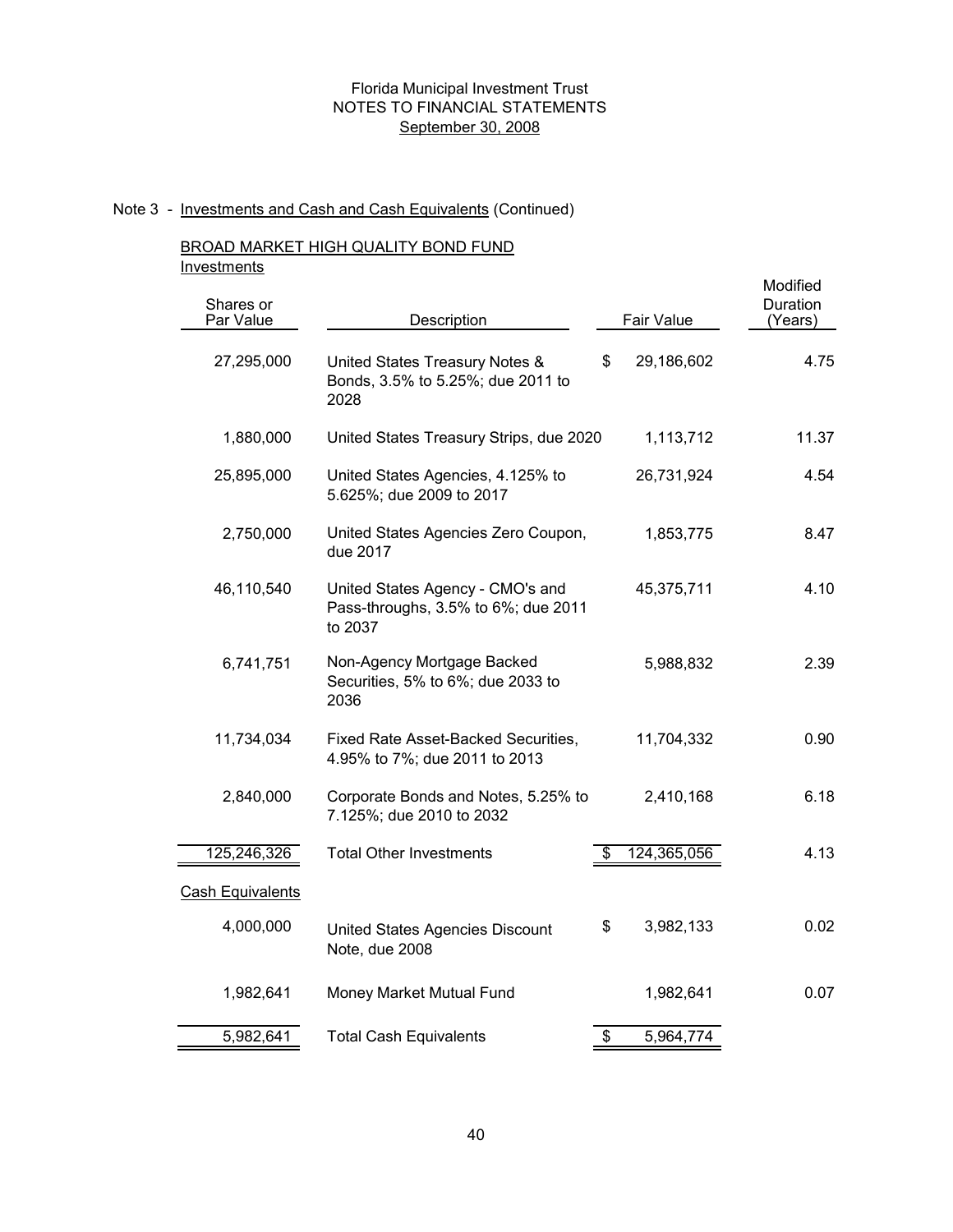# Note 3 - Investments and Cash and Cash Equivalents (Continued)

## BROAD MARKET HIGH QUALITY BOND FUND **Investments**

| Shares or<br>Par Value  | Description                                                                        | Fair Value        | Modified<br>Duration<br>(Years) |
|-------------------------|------------------------------------------------------------------------------------|-------------------|---------------------------------|
| 27,295,000              | United States Treasury Notes &<br>Bonds, 3.5% to 5.25%; due 2011 to<br>2028        | \$<br>29,186,602  | 4.75                            |
| 1,880,000               | United States Treasury Strips, due 2020                                            | 1,113,712         | 11.37                           |
| 25,895,000              | United States Agencies, 4.125% to<br>5.625%; due 2009 to 2017                      | 26,731,924        | 4.54                            |
| 2,750,000               | United States Agencies Zero Coupon,<br>due 2017                                    | 1,853,775         | 8.47                            |
| 46,110,540              | United States Agency - CMO's and<br>Pass-throughs, 3.5% to 6%; due 2011<br>to 2037 | 45,375,711        | 4.10                            |
| 6,741,751               | Non-Agency Mortgage Backed<br>Securities, 5% to 6%; due 2033 to<br>2036            | 5,988,832         | 2.39                            |
| 11,734,034              | Fixed Rate Asset-Backed Securities,<br>4.95% to 7%; due 2011 to 2013               | 11,704,332        | 0.90                            |
| 2,840,000               | Corporate Bonds and Notes, 5.25% to<br>7.125%; due 2010 to 2032                    | 2,410,168         | 6.18                            |
| 125,246,326             | <b>Total Other Investments</b>                                                     | \$<br>124,365,056 | 4.13                            |
| <b>Cash Equivalents</b> |                                                                                    |                   |                                 |
| 4,000,000               | <b>United States Agencies Discount</b><br>Note, due 2008                           | \$<br>3,982,133   | 0.02                            |
| 1,982,641               | Money Market Mutual Fund                                                           | 1,982,641         | 0.07                            |
| 5,982,641               | <b>Total Cash Equivalents</b>                                                      | \$<br>5,964,774   |                                 |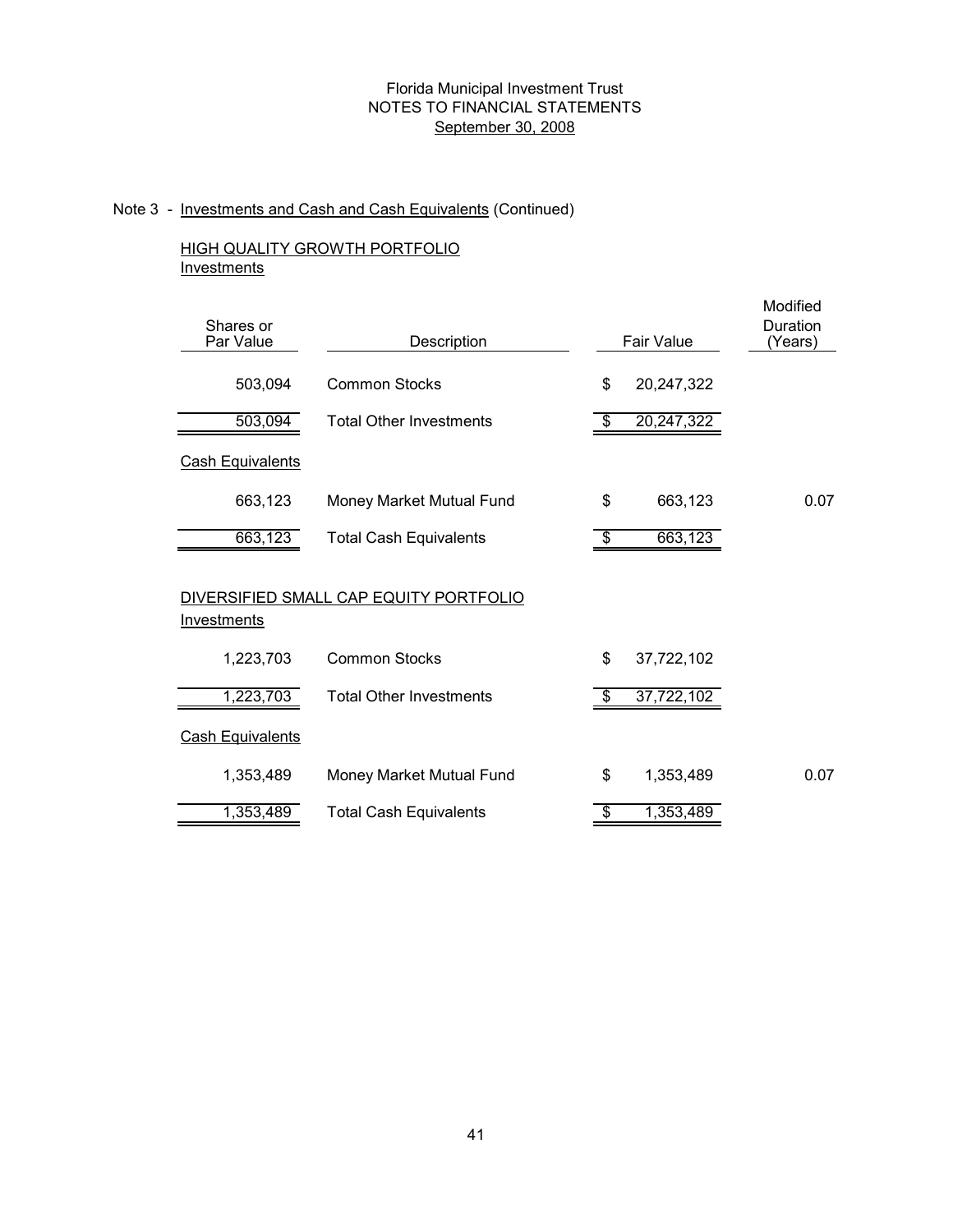# Note 3 - Investments and Cash and Cash Equivalents (Continued)

## HIGH QUALITY GROWTH PORTFOLIO **Investments**

| Shares or<br>Par Value  | Description                            | <b>Fair Value</b>                     | Modified<br>Duration<br>(Years) |
|-------------------------|----------------------------------------|---------------------------------------|---------------------------------|
| 503,094                 | <b>Common Stocks</b>                   | \$<br>20,247,322                      |                                 |
| 503,094                 | <b>Total Other Investments</b>         | 20,247,322<br>\$                      |                                 |
| <b>Cash Equivalents</b> |                                        |                                       |                                 |
| 663,123                 | Money Market Mutual Fund               | 663,123<br>\$                         | 0.07                            |
| 663,123                 | <b>Total Cash Equivalents</b>          | 663,123<br>\$                         |                                 |
| Investments             | DIVERSIFIED SMALL CAP EQUITY PORTFOLIO |                                       |                                 |
| 1,223,703               | <b>Common Stocks</b>                   | \$<br>37,722,102                      |                                 |
| 1,223,703               | <b>Total Other Investments</b>         | 37,722,102<br>$\frac{1}{2}$           |                                 |
| <b>Cash Equivalents</b> |                                        |                                       |                                 |
| 1,353,489               | Money Market Mutual Fund               | \$<br>1,353,489                       | 0.07                            |
| 1,353,489               | <b>Total Cash Equivalents</b>          | 1,353,489<br>$\overline{\mathcal{G}}$ |                                 |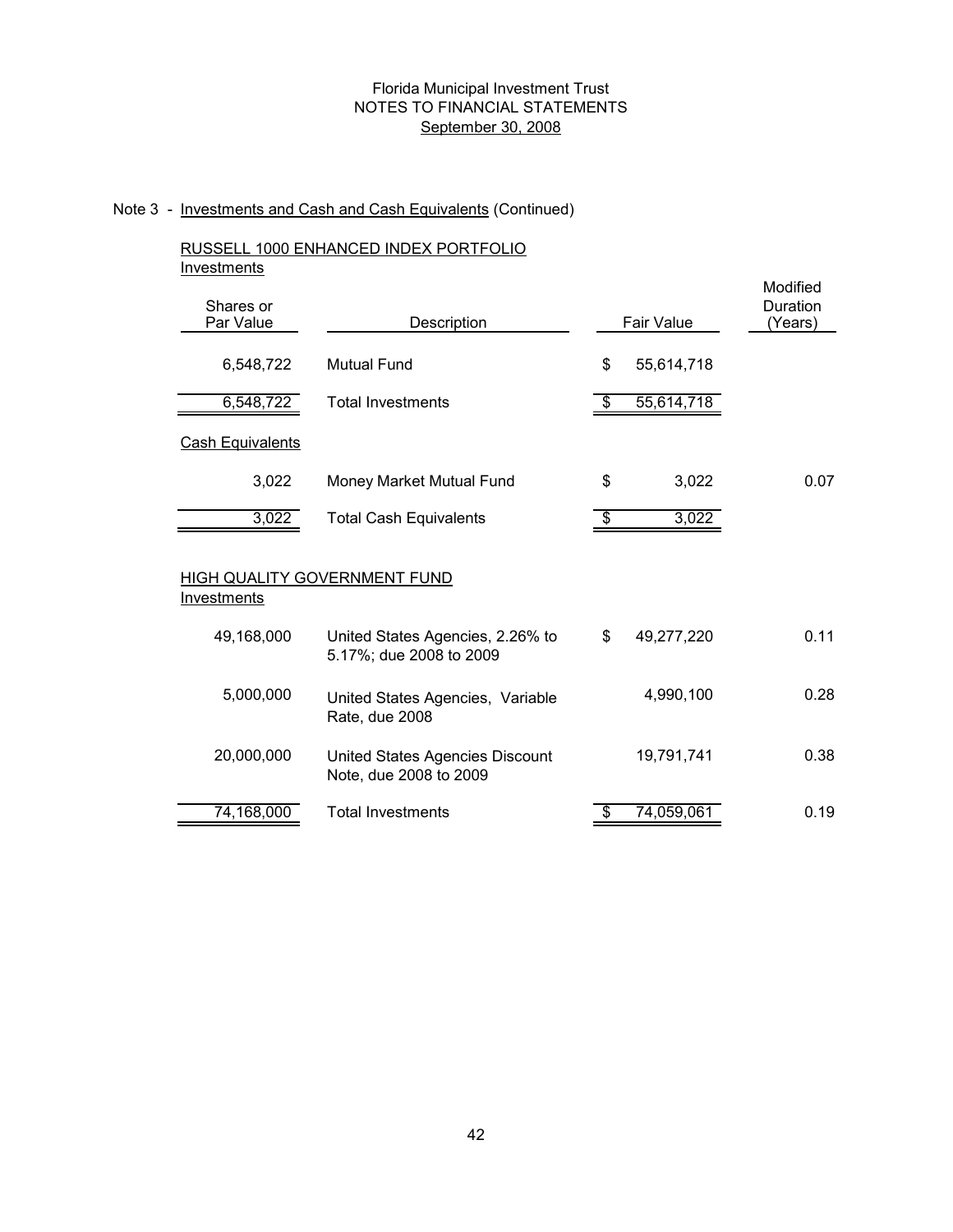# Note 3 - Investments and Cash and Cash Equivalents (Continued)

## RUSSELL 1000 ENHANCED INDEX PORTFOLIO **Investments**

| Shares or<br>Par Value  | Description                                                 | Fair Value       | Modified<br>Duration<br>(Years) |
|-------------------------|-------------------------------------------------------------|------------------|---------------------------------|
| 6,548,722               | <b>Mutual Fund</b>                                          | \$<br>55,614,718 |                                 |
| 6,548,722               | <b>Total Investments</b>                                    | \$<br>55,614,718 |                                 |
| <b>Cash Equivalents</b> |                                                             |                  |                                 |
| 3,022                   | Money Market Mutual Fund                                    | \$<br>3,022      | 0.07                            |
| 3,022                   | <b>Total Cash Equivalents</b>                               | \$<br>3,022      |                                 |
| <u>Investments</u>      | HIGH QUALITY GOVERNMENT FUND                                |                  |                                 |
| 49,168,000              | United States Agencies, 2.26% to<br>5.17%; due 2008 to 2009 | \$<br>49,277,220 | 0.11                            |
| 5,000,000               | United States Agencies, Variable<br>Rate, due 2008          | 4,990,100        | 0.28                            |
| 20,000,000              | United States Agencies Discount<br>Note, due 2008 to 2009   | 19,791,741       | 0.38                            |
| 74,168,000              | <b>Total Investments</b>                                    | \$<br>74,059,061 | 0.19                            |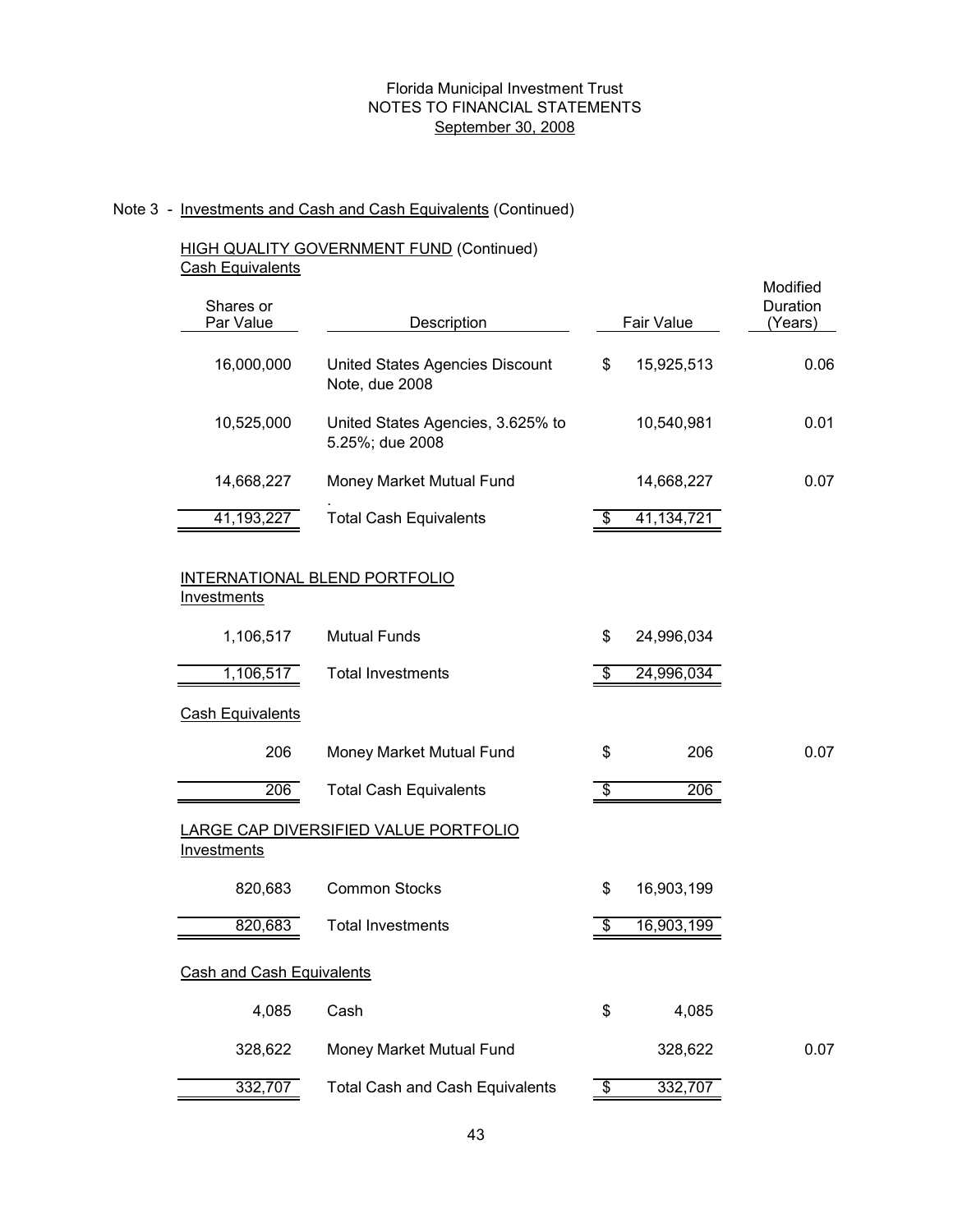# Note 3 - Investments and Cash and Cash Equivalents (Continued)

#### HIGH QUALITY GOVERNMENT FUND (Continued) Cash Equivalents

| Shares or<br>Par Value           | Description                                          | Fair Value       | Modified<br>Duration<br>(Years) |
|----------------------------------|------------------------------------------------------|------------------|---------------------------------|
| 16,000,000                       | United States Agencies Discount<br>Note, due 2008    | \$<br>15,925,513 | 0.06                            |
| 10,525,000                       | United States Agencies, 3.625% to<br>5.25%; due 2008 | 10,540,981       | 0.01                            |
| 14,668,227                       | Money Market Mutual Fund                             | 14,668,227       | 0.07                            |
| 41,193,227                       | <b>Total Cash Equivalents</b>                        | \$<br>41,134,721 |                                 |
| Investments                      | INTERNATIONAL BLEND PORTFOLIO                        |                  |                                 |
| 1,106,517                        | <b>Mutual Funds</b>                                  | \$<br>24,996,034 |                                 |
| 1,106,517                        | <b>Total Investments</b>                             | \$<br>24,996,034 |                                 |
| <b>Cash Equivalents</b>          |                                                      |                  |                                 |
| 206                              | Money Market Mutual Fund                             | \$<br>206        | 0.07                            |
| 206                              | <b>Total Cash Equivalents</b>                        | \$<br>206        |                                 |
| <b>Investments</b>               | <b>LARGE CAP DIVERSIFIED VALUE PORTFOLIO</b>         |                  |                                 |
| 820,683                          | <b>Common Stocks</b>                                 | \$<br>16,903,199 |                                 |
| 820,683                          | <b>Total Investments</b>                             | \$<br>16,903,199 |                                 |
| <u>Cash and Cash Equivalents</u> |                                                      |                  |                                 |
| 4,085                            | Cash                                                 | \$<br>4,085      |                                 |
| 328,622                          | Money Market Mutual Fund                             | 328,622          | 0.07                            |
| 332,707                          | <b>Total Cash and Cash Equivalents</b>               | \$<br>332,707    |                                 |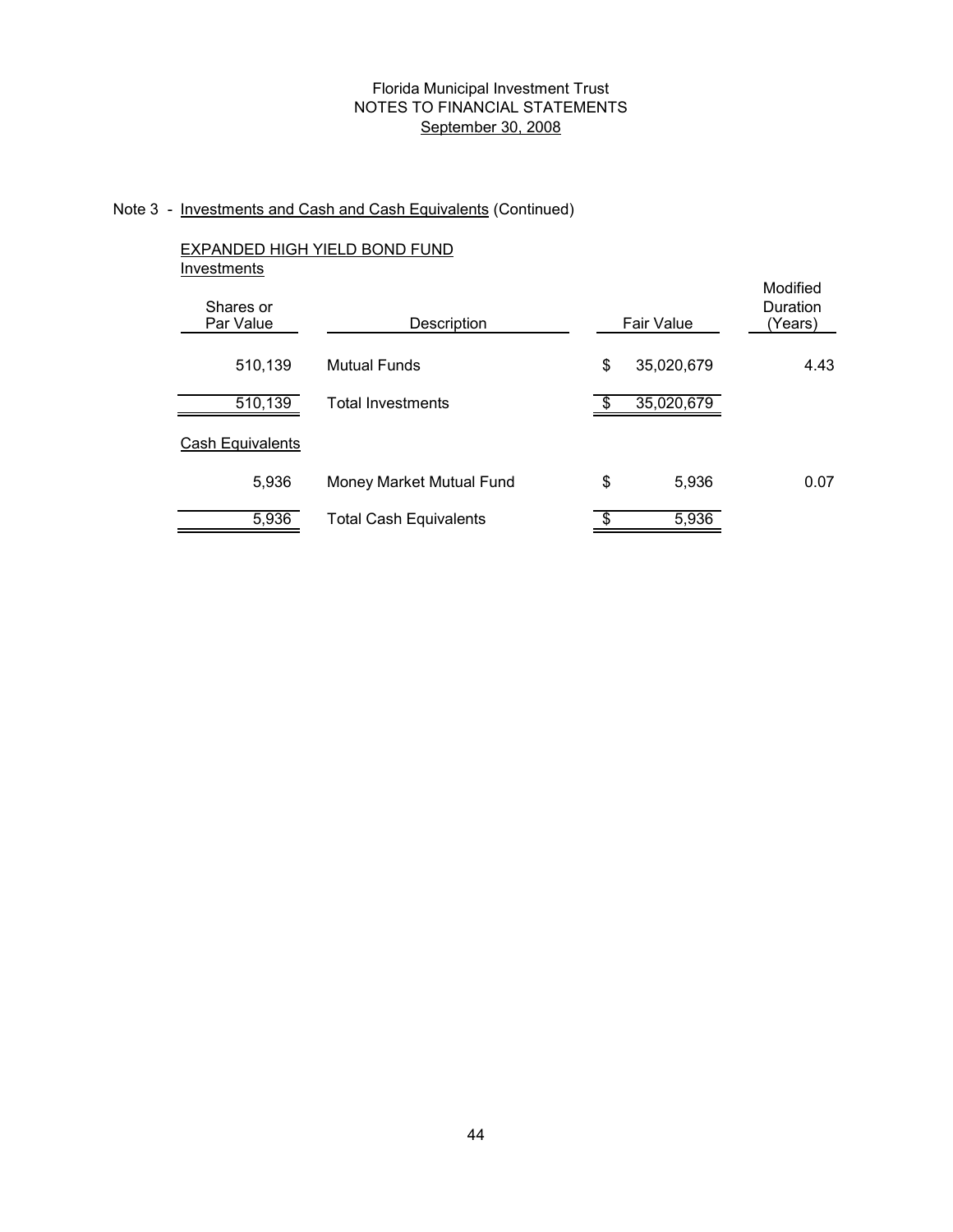# Note 3 - Investments and Cash and Cash Equivalents (Continued)

# EXPANDED HIGH YIELD BOND FUND **Investments**

| Shares or<br>Par Value | Description                   | Fair Value       | Modified<br>Duration<br>(Years) |
|------------------------|-------------------------------|------------------|---------------------------------|
| 510,139                | <b>Mutual Funds</b>           | \$<br>35,020,679 | 4.43                            |
| 510,139                | <b>Total Investments</b>      | 35,020,679       |                                 |
| Cash Equivalents       |                               |                  |                                 |
| 5,936                  | Money Market Mutual Fund      | \$<br>5,936      | 0.07                            |
| 5,936                  | <b>Total Cash Equivalents</b> | 5,936            |                                 |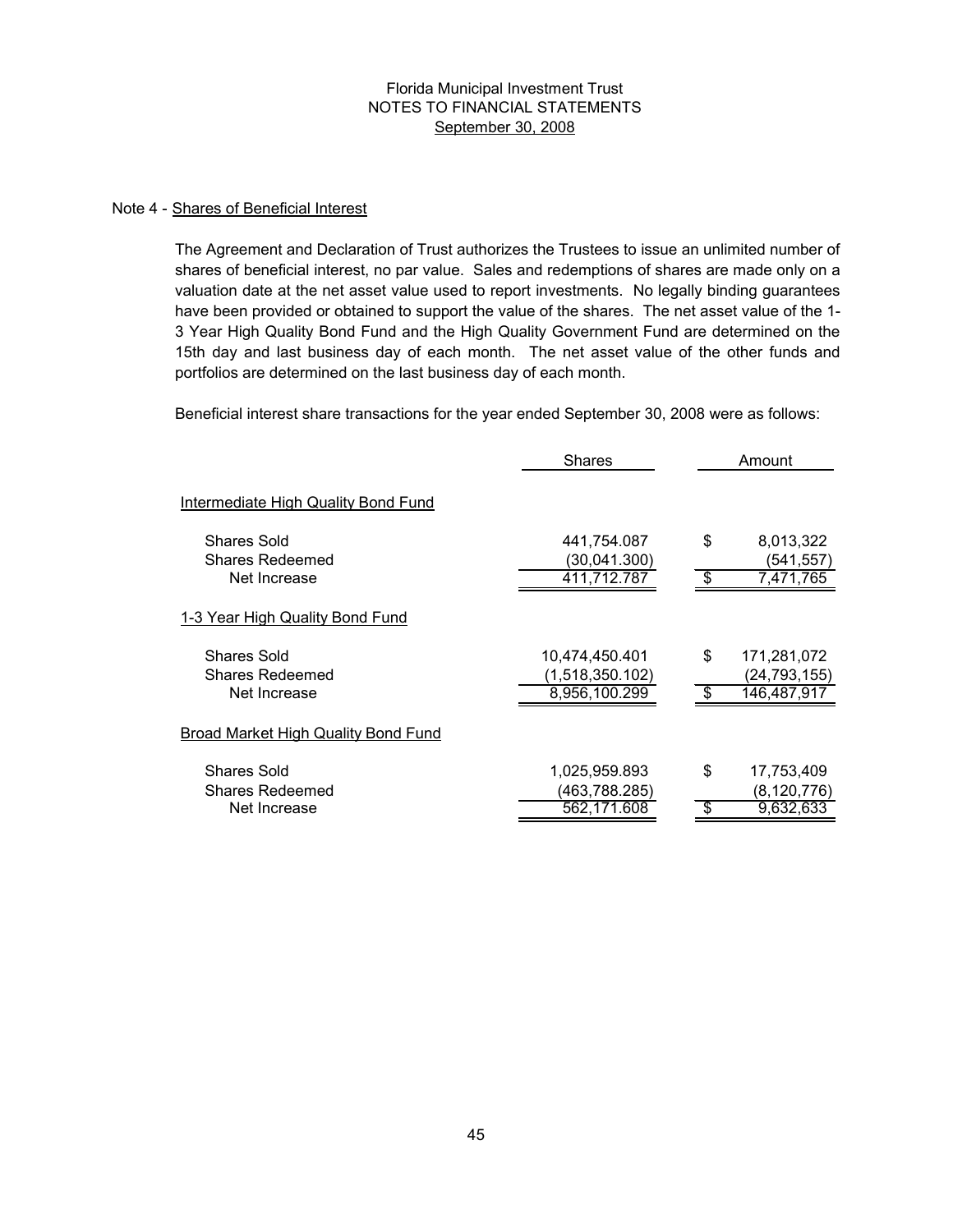#### Note 4 - Shares of Beneficial Interest

The Agreement and Declaration of Trust authorizes the Trustees to issue an unlimited number of shares of beneficial interest, no par value. Sales and redemptions of shares are made only on a valuation date at the net asset value used to report investments. No legally binding guarantees have been provided or obtained to support the value of the shares. The net asset value of the 1- 3 Year High Quality Bond Fund and the High Quality Government Fund are determined on the 15th day and last business day of each month. The net asset value of the other funds and portfolios are determined on the last business day of each month.

Beneficial interest share transactions for the year ended September 30, 2008 were as follows:

|                                            | <b>Shares</b>                    |                          | Amount                        |
|--------------------------------------------|----------------------------------|--------------------------|-------------------------------|
| <b>Intermediate High Quality Bond Fund</b> |                                  |                          |                               |
| <b>Shares Sold</b>                         | 441,754.087                      | \$                       | 8,013,322                     |
| <b>Shares Redeemed</b><br>Net Increase     | (30,041.300)<br>411,712.787      | \$                       | (541,557)<br>7,471,765        |
| 1-3 Year High Quality Bond Fund            |                                  |                          |                               |
| <b>Shares Sold</b>                         | 10,474,450.401                   | \$                       | 171,281,072                   |
| <b>Shares Redeemed</b><br>Net Increase     | (1,518,350.102)<br>8,956,100.299 | \$                       | (24, 793, 155)<br>146,487,917 |
| Broad Market High Quality Bond Fund        |                                  |                          |                               |
| <b>Shares Sold</b>                         | 1,025,959.893                    | \$                       | 17,753,409                    |
| <b>Shares Redeemed</b>                     | (463,788.285)                    |                          | (8, 120, 776)                 |
| Net Increase                               | 562,171.608                      | $\overline{\mathcal{G}}$ | 9,632,633                     |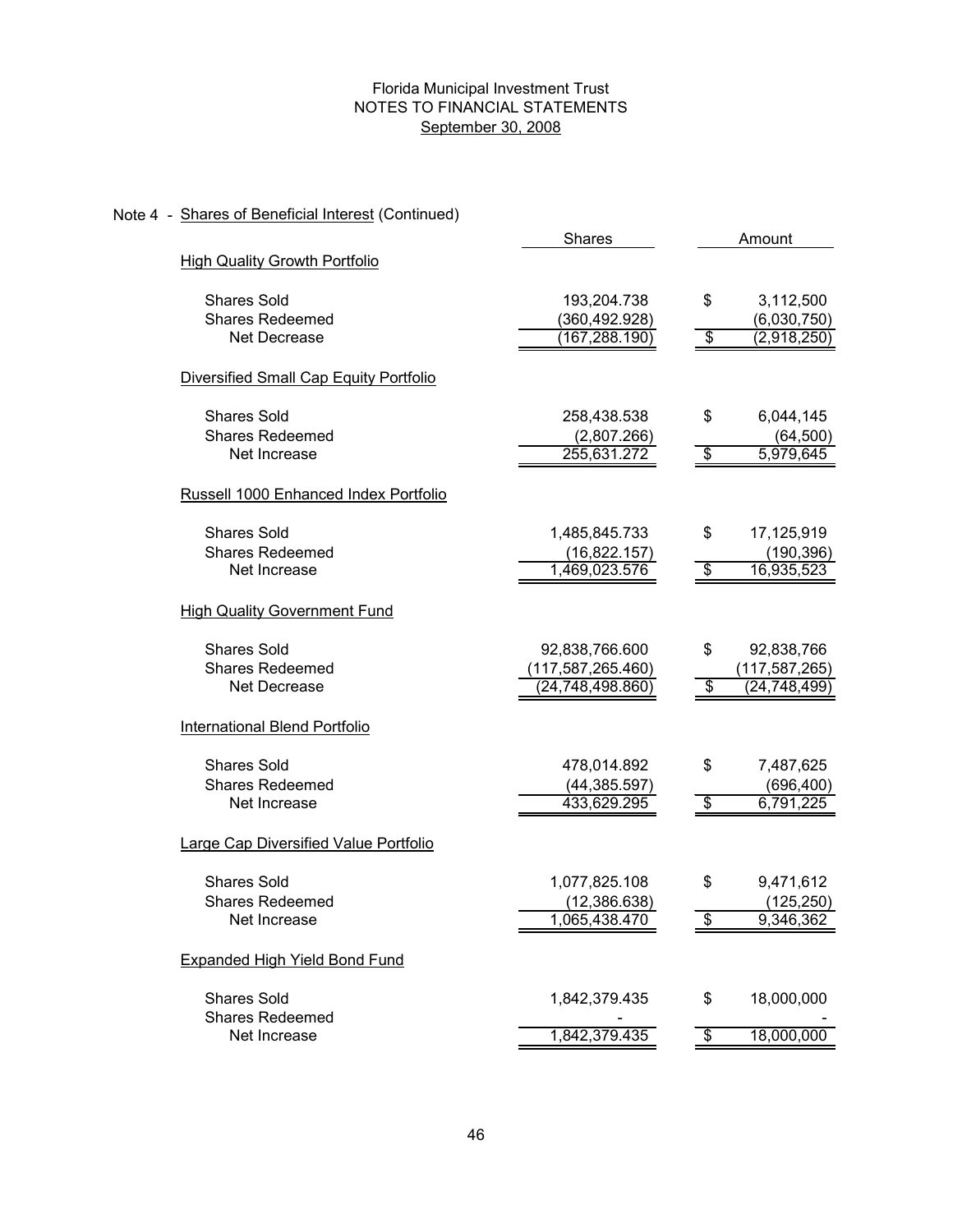# Note 4 - Shares of Beneficial Interest (Continued)

|                                        | <b>Shares</b>       |                                  | Amount         |
|----------------------------------------|---------------------|----------------------------------|----------------|
| <b>High Quality Growth Portfolio</b>   |                     |                                  |                |
| <b>Shares Sold</b>                     | 193,204.738         | \$                               | 3,112,500      |
| <b>Shares Redeemed</b>                 | (360,492.928)       |                                  | (6,030,750)    |
| Net Decrease                           | (167, 288.190)      | \$                               | (2,918,250)    |
| Diversified Small Cap Equity Portfolio |                     |                                  |                |
| <b>Shares Sold</b>                     | 258,438.538         | \$                               | 6,044,145      |
| <b>Shares Redeemed</b>                 | (2,807.266)         |                                  | (64, 500)      |
| Net Increase                           | 255,631.272         | $\overline{\boldsymbol{\theta}}$ | 5,979,645      |
| Russell 1000 Enhanced Index Portfolio  |                     |                                  |                |
| <b>Shares Sold</b>                     | 1,485,845.733       | \$                               | 17,125,919     |
| <b>Shares Redeemed</b>                 | (16,822.157)        |                                  | (190, 396)     |
| Net Increase                           | 1,469,023.576       | \$                               | 16,935,523     |
| <b>High Quality Government Fund</b>    |                     |                                  |                |
| <b>Shares Sold</b>                     | 92,838,766.600      | \$                               | 92,838,766     |
| <b>Shares Redeemed</b>                 | (117, 587, 265.460) |                                  | (117,587,265)  |
| Net Decrease                           | (24,748,498.860)    | $\overline{\$}$                  | (24, 748, 499) |
| <b>International Blend Portfolio</b>   |                     |                                  |                |
| <b>Shares Sold</b>                     | 478,014.892         | \$                               | 7,487,625      |
| <b>Shares Redeemed</b>                 | (44, 385.597)       |                                  | (696,400)      |
| Net Increase                           | 433,629.295         | $\overline{\mathbf{e}}$          | 6,791,225      |
| Large Cap Diversified Value Portfolio  |                     |                                  |                |
| <b>Shares Sold</b>                     | 1,077,825.108       | \$                               | 9,471,612      |
| <b>Shares Redeemed</b>                 | (12, 386.638)       |                                  | (125, 250)     |
| Net Increase                           | 1,065,438.470       | \$                               | 9,346,362      |
| <b>Expanded High Yield Bond Fund</b>   |                     |                                  |                |
| <b>Shares Sold</b>                     | 1,842,379.435       | \$                               | 18,000,000     |
| <b>Shares Redeemed</b><br>Net Increase | 1,842,379.435       | $\overline{\mathcal{G}}$         | 18,000,000     |
|                                        |                     |                                  |                |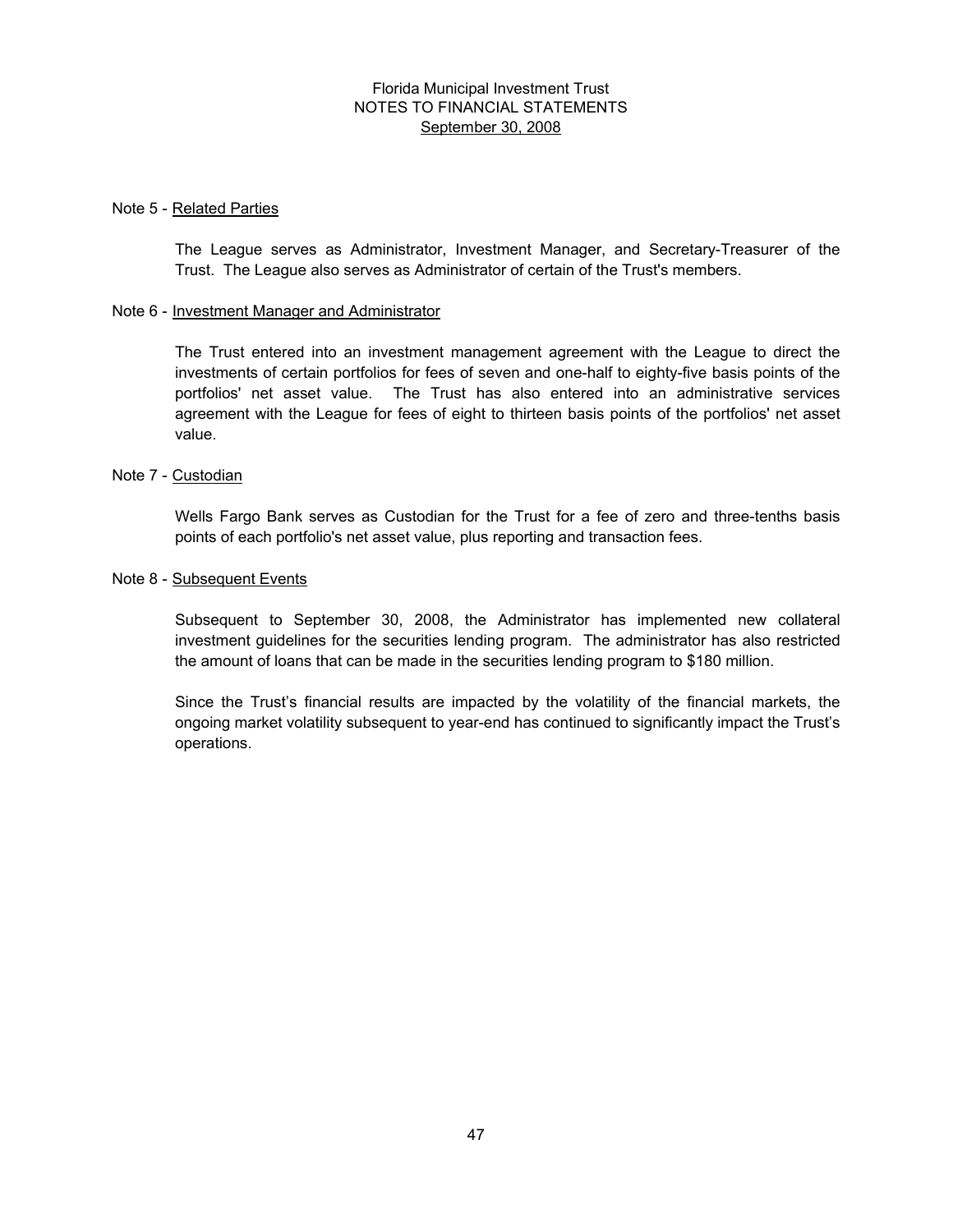#### Note 5 - Related Parties

The League serves as Administrator, Investment Manager, and Secretary-Treasurer of the Trust. The League also serves as Administrator of certain of the Trust's members.

#### Note 6 - Investment Manager and Administrator

The Trust entered into an investment management agreement with the League to direct the investments of certain portfolios for fees of seven and one-half to eighty-five basis points of the portfolios' net asset value. The Trust has also entered into an administrative services agreement with the League for fees of eight to thirteen basis points of the portfolios' net asset value.

#### Note 7 - Custodian

Wells Fargo Bank serves as Custodian for the Trust for a fee of zero and three-tenths basis points of each portfolio's net asset value, plus reporting and transaction fees.

#### Note 8 - Subsequent Events

Subsequent to September 30, 2008, the Administrator has implemented new collateral investment guidelines for the securities lending program. The administrator has also restricted the amount of loans that can be made in the securities lending program to \$180 million.

Since the Trust's financial results are impacted by the volatility of the financial markets, the ongoing market volatility subsequent to year-end has continued to significantly impact the Trust's operations.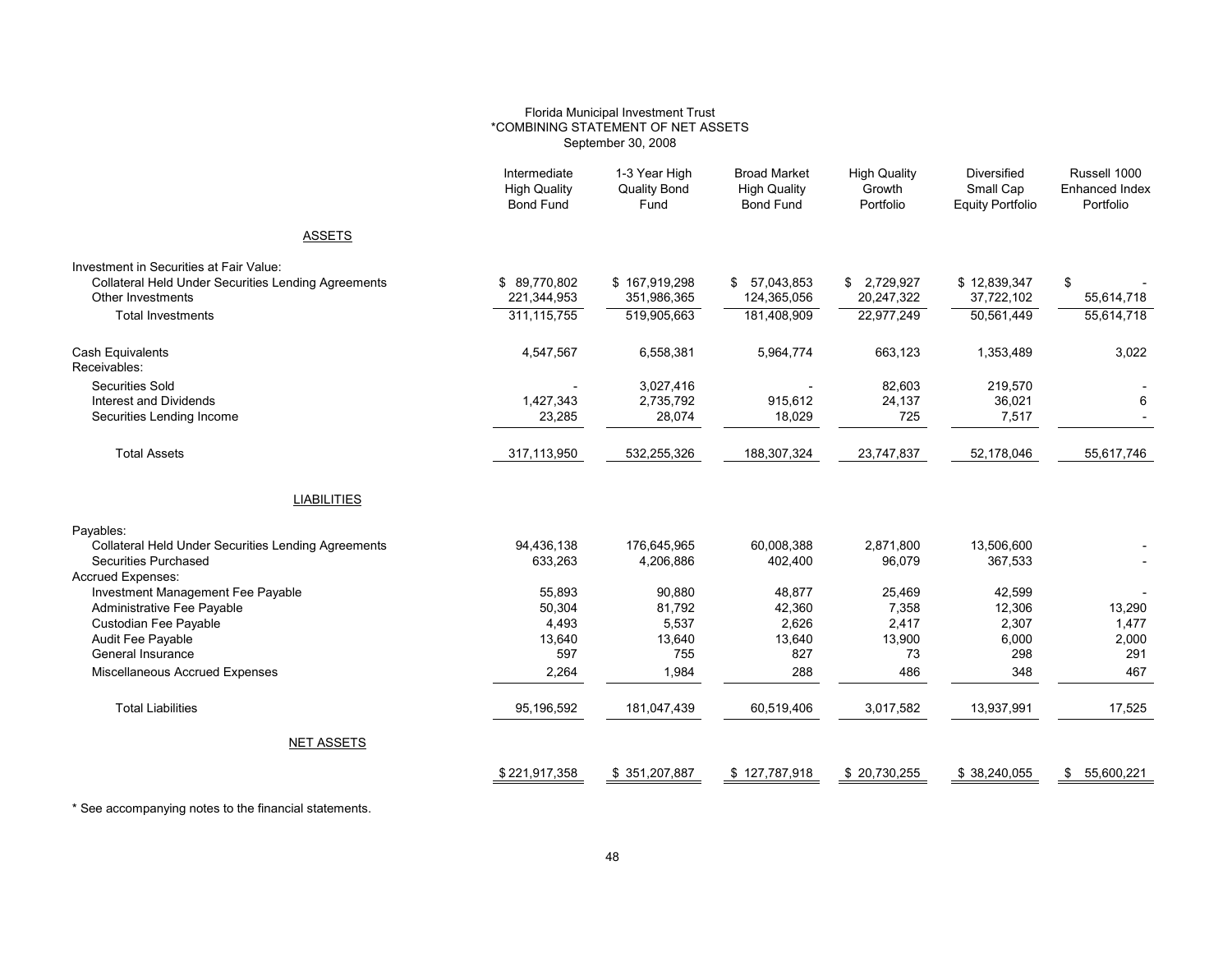#### Florida Municipal Investment Trust \*COMBINING STATEMENT OF NET ASSETS September 30, 2008

|                                                            | Intermediate<br><b>High Quality</b><br><b>Bond Fund</b> | 1-3 Year High<br><b>Quality Bond</b><br>Fund | <b>Broad Market</b><br><b>High Quality</b><br><b>Bond Fund</b> | <b>High Quality</b><br>Growth<br>Portfolio | <b>Diversified</b><br>Small Cap<br><b>Equity Portfolio</b> | Russell 1000<br><b>Enhanced Index</b><br>Portfolio |
|------------------------------------------------------------|---------------------------------------------------------|----------------------------------------------|----------------------------------------------------------------|--------------------------------------------|------------------------------------------------------------|----------------------------------------------------|
| <b>ASSETS</b>                                              |                                                         |                                              |                                                                |                                            |                                                            |                                                    |
| Investment in Securities at Fair Value:                    |                                                         |                                              |                                                                |                                            |                                                            |                                                    |
| <b>Collateral Held Under Securities Lending Agreements</b> | \$89.770.802                                            | \$167,919,298                                | 57,043,853<br>\$                                               | \$ 2,729,927                               | \$12,839,347                                               | \$                                                 |
| Other Investments                                          | 221,344,953                                             | 351,986,365                                  | 124,365,056                                                    | 20,247,322                                 | 37,722,102                                                 | 55,614,718                                         |
| <b>Total Investments</b>                                   | 311, 115, 755                                           | 519,905,663                                  | 181,408,909                                                    | 22,977,249                                 | 50,561,449                                                 | 55,614,718                                         |
| <b>Cash Equivalents</b><br>Receivables:                    | 4,547,567                                               | 6,558,381                                    | 5,964,774                                                      | 663,123                                    | 1,353,489                                                  | 3,022                                              |
| <b>Securities Sold</b>                                     |                                                         | 3,027,416                                    |                                                                | 82,603                                     | 219,570                                                    |                                                    |
| Interest and Dividends                                     | 1.427.343                                               | 2,735,792                                    | 915,612                                                        | 24,137                                     | 36,021                                                     | 6                                                  |
| Securities Lending Income                                  | 23,285                                                  | 28,074                                       | 18,029                                                         | 725                                        | 7,517                                                      |                                                    |
| <b>Total Assets</b>                                        | 317,113,950                                             | 532,255,326                                  | 188,307,324                                                    | 23,747,837                                 | 52,178,046                                                 | 55,617,746                                         |
| <b>LIABILITIES</b>                                         |                                                         |                                              |                                                                |                                            |                                                            |                                                    |
| Payables:                                                  |                                                         |                                              |                                                                |                                            |                                                            |                                                    |
| Collateral Held Under Securities Lending Agreements        | 94,436,138                                              | 176,645,965                                  | 60,008,388                                                     | 2,871,800                                  | 13,506,600                                                 |                                                    |
| Securities Purchased                                       | 633,263                                                 | 4,206,886                                    | 402,400                                                        | 96,079                                     | 367,533                                                    |                                                    |
| <b>Accrued Expenses:</b>                                   |                                                         |                                              |                                                                |                                            |                                                            |                                                    |
| Investment Management Fee Payable                          | 55,893                                                  | 90,880                                       | 48,877                                                         | 25,469                                     | 42,599                                                     |                                                    |
| Administrative Fee Payable<br>Custodian Fee Payable        | 50,304<br>4,493                                         | 81,792<br>5,537                              | 42,360<br>2,626                                                | 7,358<br>2,417                             | 12,306<br>2,307                                            | 13,290<br>1,477                                    |
| Audit Fee Payable                                          | 13,640                                                  | 13,640                                       | 13,640                                                         | 13,900                                     | 6,000                                                      | 2,000                                              |
| General Insurance                                          | 597                                                     | 755                                          | 827                                                            | 73                                         | 298                                                        | 291                                                |
| Miscellaneous Accrued Expenses                             | 2.264                                                   | 1.984                                        | 288                                                            | 486                                        | 348                                                        | 467                                                |
| <b>Total Liabilities</b>                                   | 95,196,592                                              | 181,047,439                                  | 60,519,406                                                     | 3,017,582                                  | 13,937,991                                                 | 17,525                                             |
| <b>NET ASSETS</b>                                          |                                                         |                                              |                                                                |                                            |                                                            |                                                    |
|                                                            | \$221,917,358                                           | \$351,207,887                                | \$127,787,918                                                  | \$20,730,255                               | \$38,240,055                                               | 55,600,221<br>\$                                   |

\* See accompanying notes to the financial statements.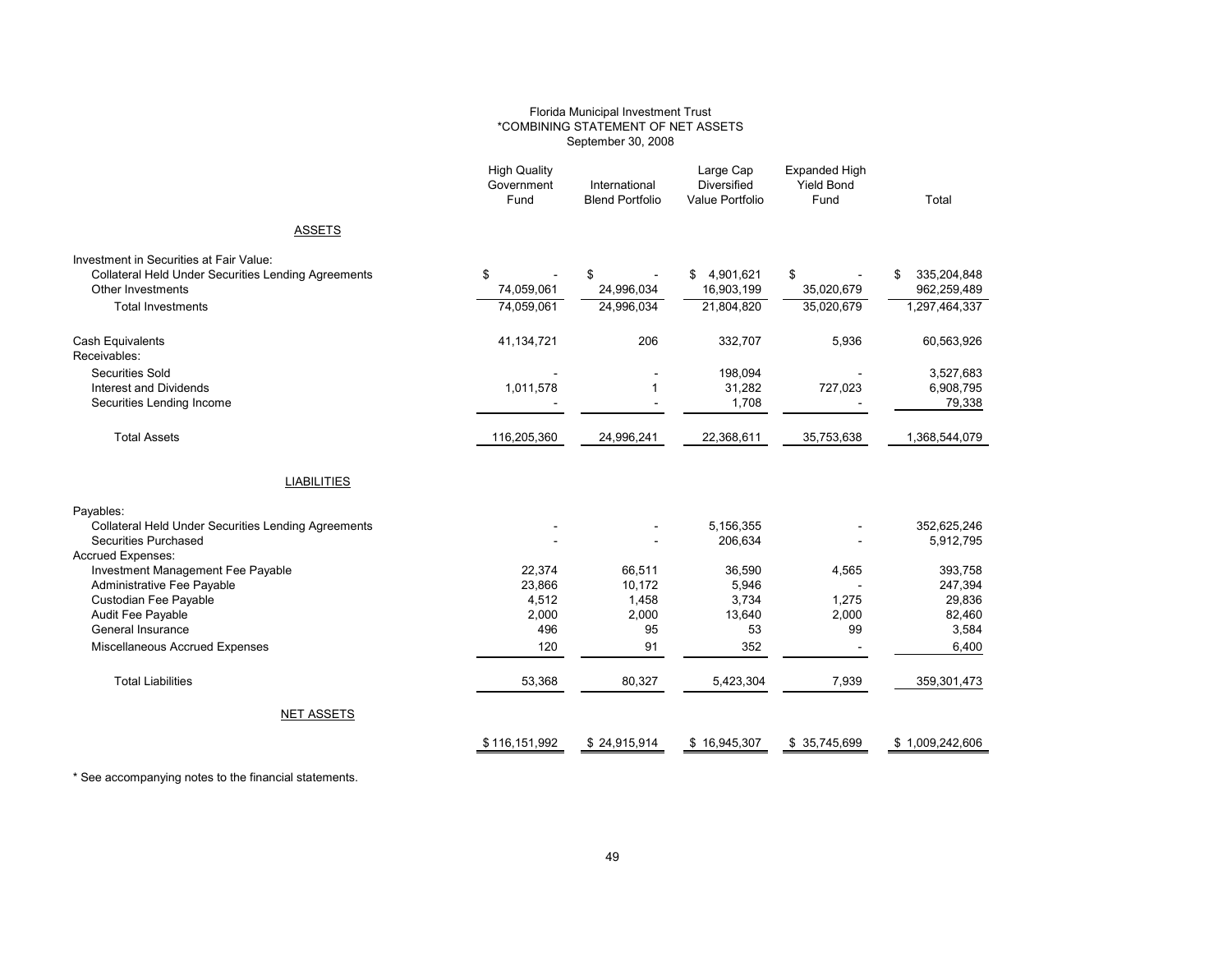#### Florida Municipal Investment Trust \*COMBINING STATEMENT OF NET ASSETS September 30, 2008

| <b>ASSETS</b><br>Investment in Securities at Fair Value:<br>\$<br><b>Collateral Held Under Securities Lending Agreements</b><br>\$<br>4,901,621<br>\$<br>\$<br>\$<br>16,903,199<br>74,059,061<br>24,996,034<br>35,020,679<br>Other Investments<br>74,059,061<br>24,996,034<br>21,804,820<br>35,020,679<br><b>Total Investments</b><br>206<br>332,707<br>Cash Equivalents<br>41,134,721<br>5,936<br>Receivables:<br><b>Securities Sold</b><br>198,094<br>1,011,578<br>727,023<br><b>Interest and Dividends</b><br>1<br>31,282<br>1,708<br>Securities Lending Income<br>$\blacksquare$<br><b>Total Assets</b><br>116,205,360<br>24,996,241<br>22,368,611<br>35,753,638<br><b>LIABILITIES</b><br>Payables:<br>5,156,355<br><b>Collateral Held Under Securities Lending Agreements</b><br>206.634<br>Securities Purchased<br><b>Accrued Expenses:</b><br>22,374<br>Investment Management Fee Payable<br>66,511<br>36,590<br>4,565<br>23,866<br>10,172<br>Administrative Fee Payable<br>5,946<br>Custodian Fee Payable<br>4,512<br>1,458<br>3,734<br>1,275<br>2,000<br>2,000<br>2,000<br>Audit Fee Payable<br>13,640<br>53<br>General Insurance<br>496<br>95<br>99<br>91<br>352<br>Miscellaneous Accrued Expenses<br>120<br>53,368<br><b>Total Liabilities</b><br>80,327<br>5,423,304<br>7,939<br><b>NET ASSETS</b> | <b>High Quality</b><br>Government<br>Fund | International<br><b>Blend Portfolio</b> | Large Cap<br><b>Diversified</b><br>Value Portfolio | <b>Expanded High</b><br><b>Yield Bond</b><br>Fund | Total           |
|----------------------------------------------------------------------------------------------------------------------------------------------------------------------------------------------------------------------------------------------------------------------------------------------------------------------------------------------------------------------------------------------------------------------------------------------------------------------------------------------------------------------------------------------------------------------------------------------------------------------------------------------------------------------------------------------------------------------------------------------------------------------------------------------------------------------------------------------------------------------------------------------------------------------------------------------------------------------------------------------------------------------------------------------------------------------------------------------------------------------------------------------------------------------------------------------------------------------------------------------------------------------------------------------------------------|-------------------------------------------|-----------------------------------------|----------------------------------------------------|---------------------------------------------------|-----------------|
|                                                                                                                                                                                                                                                                                                                                                                                                                                                                                                                                                                                                                                                                                                                                                                                                                                                                                                                                                                                                                                                                                                                                                                                                                                                                                                                |                                           |                                         |                                                    |                                                   |                 |
|                                                                                                                                                                                                                                                                                                                                                                                                                                                                                                                                                                                                                                                                                                                                                                                                                                                                                                                                                                                                                                                                                                                                                                                                                                                                                                                |                                           |                                         |                                                    |                                                   |                 |
|                                                                                                                                                                                                                                                                                                                                                                                                                                                                                                                                                                                                                                                                                                                                                                                                                                                                                                                                                                                                                                                                                                                                                                                                                                                                                                                |                                           |                                         |                                                    |                                                   | 335,204,848     |
|                                                                                                                                                                                                                                                                                                                                                                                                                                                                                                                                                                                                                                                                                                                                                                                                                                                                                                                                                                                                                                                                                                                                                                                                                                                                                                                |                                           |                                         |                                                    |                                                   | 962,259,489     |
|                                                                                                                                                                                                                                                                                                                                                                                                                                                                                                                                                                                                                                                                                                                                                                                                                                                                                                                                                                                                                                                                                                                                                                                                                                                                                                                |                                           |                                         |                                                    |                                                   | 1,297,464,337   |
|                                                                                                                                                                                                                                                                                                                                                                                                                                                                                                                                                                                                                                                                                                                                                                                                                                                                                                                                                                                                                                                                                                                                                                                                                                                                                                                |                                           |                                         |                                                    |                                                   | 60,563,926      |
|                                                                                                                                                                                                                                                                                                                                                                                                                                                                                                                                                                                                                                                                                                                                                                                                                                                                                                                                                                                                                                                                                                                                                                                                                                                                                                                |                                           |                                         |                                                    |                                                   | 3,527,683       |
|                                                                                                                                                                                                                                                                                                                                                                                                                                                                                                                                                                                                                                                                                                                                                                                                                                                                                                                                                                                                                                                                                                                                                                                                                                                                                                                |                                           |                                         |                                                    |                                                   | 6,908,795       |
|                                                                                                                                                                                                                                                                                                                                                                                                                                                                                                                                                                                                                                                                                                                                                                                                                                                                                                                                                                                                                                                                                                                                                                                                                                                                                                                |                                           |                                         |                                                    |                                                   | 79,338          |
|                                                                                                                                                                                                                                                                                                                                                                                                                                                                                                                                                                                                                                                                                                                                                                                                                                                                                                                                                                                                                                                                                                                                                                                                                                                                                                                |                                           |                                         |                                                    |                                                   | 1,368,544,079   |
|                                                                                                                                                                                                                                                                                                                                                                                                                                                                                                                                                                                                                                                                                                                                                                                                                                                                                                                                                                                                                                                                                                                                                                                                                                                                                                                |                                           |                                         |                                                    |                                                   |                 |
|                                                                                                                                                                                                                                                                                                                                                                                                                                                                                                                                                                                                                                                                                                                                                                                                                                                                                                                                                                                                                                                                                                                                                                                                                                                                                                                |                                           |                                         |                                                    |                                                   |                 |
|                                                                                                                                                                                                                                                                                                                                                                                                                                                                                                                                                                                                                                                                                                                                                                                                                                                                                                                                                                                                                                                                                                                                                                                                                                                                                                                |                                           |                                         |                                                    |                                                   | 352,625,246     |
|                                                                                                                                                                                                                                                                                                                                                                                                                                                                                                                                                                                                                                                                                                                                                                                                                                                                                                                                                                                                                                                                                                                                                                                                                                                                                                                |                                           |                                         |                                                    |                                                   | 5,912,795       |
|                                                                                                                                                                                                                                                                                                                                                                                                                                                                                                                                                                                                                                                                                                                                                                                                                                                                                                                                                                                                                                                                                                                                                                                                                                                                                                                |                                           |                                         |                                                    |                                                   | 393,758         |
|                                                                                                                                                                                                                                                                                                                                                                                                                                                                                                                                                                                                                                                                                                                                                                                                                                                                                                                                                                                                                                                                                                                                                                                                                                                                                                                |                                           |                                         |                                                    |                                                   | 247,394         |
|                                                                                                                                                                                                                                                                                                                                                                                                                                                                                                                                                                                                                                                                                                                                                                                                                                                                                                                                                                                                                                                                                                                                                                                                                                                                                                                |                                           |                                         |                                                    |                                                   | 29,836          |
|                                                                                                                                                                                                                                                                                                                                                                                                                                                                                                                                                                                                                                                                                                                                                                                                                                                                                                                                                                                                                                                                                                                                                                                                                                                                                                                |                                           |                                         |                                                    |                                                   | 82,460          |
|                                                                                                                                                                                                                                                                                                                                                                                                                                                                                                                                                                                                                                                                                                                                                                                                                                                                                                                                                                                                                                                                                                                                                                                                                                                                                                                |                                           |                                         |                                                    |                                                   | 3,584           |
|                                                                                                                                                                                                                                                                                                                                                                                                                                                                                                                                                                                                                                                                                                                                                                                                                                                                                                                                                                                                                                                                                                                                                                                                                                                                                                                |                                           |                                         |                                                    |                                                   | 6,400           |
|                                                                                                                                                                                                                                                                                                                                                                                                                                                                                                                                                                                                                                                                                                                                                                                                                                                                                                                                                                                                                                                                                                                                                                                                                                                                                                                |                                           |                                         |                                                    |                                                   | 359,301,473     |
|                                                                                                                                                                                                                                                                                                                                                                                                                                                                                                                                                                                                                                                                                                                                                                                                                                                                                                                                                                                                                                                                                                                                                                                                                                                                                                                |                                           |                                         |                                                    |                                                   |                 |
|                                                                                                                                                                                                                                                                                                                                                                                                                                                                                                                                                                                                                                                                                                                                                                                                                                                                                                                                                                                                                                                                                                                                                                                                                                                                                                                | \$116,151,992                             | \$24,915,914                            | \$16,945,307                                       | \$35,745,699                                      | \$1,009,242,606 |

\* See accompanying notes to the financial statements.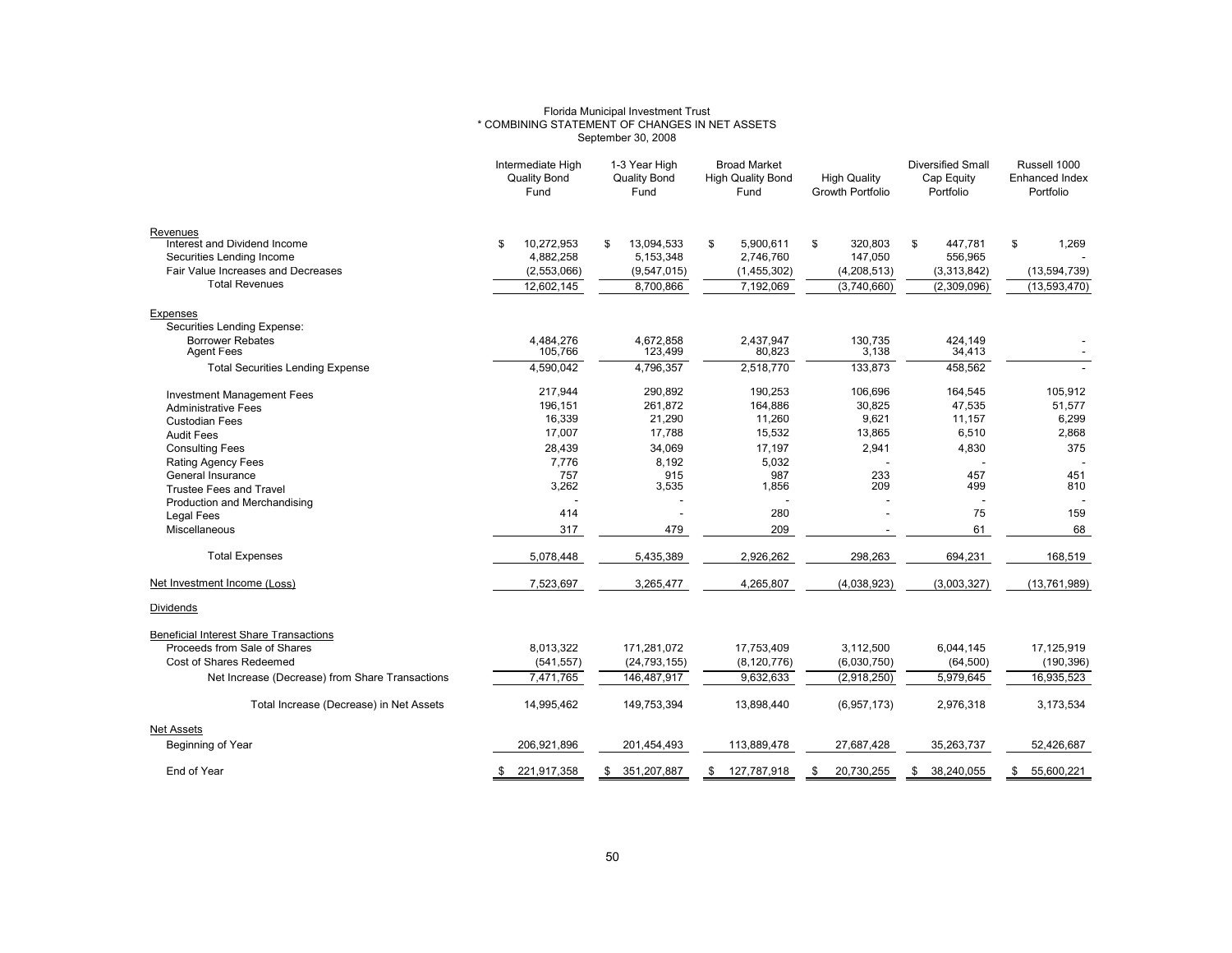### Florida Municipal Investment Trust \* COMBINING STATEMENT OF CHANGES IN NET ASSETS September 30, 2008

|                                                                    | Intermediate High<br><b>Quality Bond</b><br>Fund | 1-3 Year High<br><b>Quality Bond</b><br>Fund | <b>Broad Market</b><br><b>High Quality Bond</b><br>Fund | <b>High Quality</b><br><b>Growth Portfolio</b> | <b>Diversified Small</b><br>Cap Equity<br>Portfolio | Russell 1000<br><b>Enhanced Index</b><br>Portfolio |
|--------------------------------------------------------------------|--------------------------------------------------|----------------------------------------------|---------------------------------------------------------|------------------------------------------------|-----------------------------------------------------|----------------------------------------------------|
| Revenues<br>Interest and Dividend Income                           | 10,272,953<br>\$                                 | 13,094,533<br>S                              | \$<br>5,900,611                                         | \$<br>320,803                                  | \$<br>447,781                                       | \$<br>1,269                                        |
| Securities Lending Income<br>Fair Value Increases and Decreases    | 4,882,258<br>(2,553,066)                         | 5,153,348<br>(9,547,015)                     | 2,746,760                                               | 147,050                                        | 556,965                                             |                                                    |
| <b>Total Revenues</b>                                              | 12,602,145                                       | 8,700,866                                    | (1,455,302)<br>7,192,069                                | (4,208,513)<br>(3,740,660)                     | (3,313,842)<br>(2,309,096)                          | (13, 594, 739)<br>(13,593,470)                     |
|                                                                    |                                                  |                                              |                                                         |                                                |                                                     |                                                    |
| Expenses<br>Securities Lending Expense:<br><b>Borrower Rebates</b> | 4,484,276                                        | 4,672,858                                    | 2,437,947                                               | 130,735                                        | 424,149                                             |                                                    |
| <b>Agent Fees</b>                                                  | 105,766                                          | 123,499                                      | 80,823                                                  | 3,138                                          | 34,413                                              |                                                    |
| <b>Total Securities Lending Expense</b>                            | 4,590,042                                        | 4,796,357                                    | 2,518,770                                               | 133,873                                        | 458,562                                             |                                                    |
| <b>Investment Management Fees</b>                                  | 217,944<br>196,151                               | 290,892<br>261,872                           | 190,253<br>164,886                                      | 106,696<br>30,825                              | 164,545<br>47,535                                   | 105,912<br>51,577                                  |
| <b>Administrative Fees</b><br><b>Custodian Fees</b>                | 16,339                                           | 21,290                                       | 11,260                                                  | 9,621                                          | 11,157                                              | 6,299                                              |
| <b>Audit Fees</b>                                                  | 17,007                                           | 17,788                                       | 15,532                                                  | 13,865                                         | 6,510                                               | 2,868                                              |
| <b>Consulting Fees</b>                                             | 28,439                                           | 34,069                                       | 17,197                                                  | 2,941                                          | 4,830                                               | 375                                                |
| <b>Rating Agency Fees</b>                                          | 7,776                                            | 8,192                                        | 5,032                                                   |                                                |                                                     |                                                    |
| General Insurance                                                  | 757                                              | 915                                          | 987                                                     | 233                                            | 457                                                 | 451                                                |
| <b>Trustee Fees and Travel</b>                                     | 3,262                                            | 3,535                                        | 1,856                                                   | 209                                            | 499                                                 | 810                                                |
| Production and Merchandising<br><b>Legal Fees</b>                  | 414                                              |                                              | 280                                                     |                                                | 75                                                  | 159                                                |
| Miscellaneous                                                      | 317                                              | 479                                          | 209                                                     |                                                | 61                                                  | 68                                                 |
|                                                                    |                                                  |                                              |                                                         |                                                |                                                     |                                                    |
| <b>Total Expenses</b>                                              | 5,078,448                                        | 5,435,389                                    | 2,926,262                                               | 298,263                                        | 694,231                                             | 168,519                                            |
| Net Investment Income (Loss)                                       | 7,523,697                                        | 3,265,477                                    | 4,265,807                                               | (4,038,923)                                    | (3,003,327)                                         | (13,761,989)                                       |
| Dividends                                                          |                                                  |                                              |                                                         |                                                |                                                     |                                                    |
| <b>Beneficial Interest Share Transactions</b>                      |                                                  |                                              |                                                         |                                                |                                                     |                                                    |
| Proceeds from Sale of Shares                                       | 8,013,322                                        | 171,281,072                                  | 17,753,409                                              | 3,112,500                                      | 6,044,145                                           | 17,125,919                                         |
| Cost of Shares Redeemed                                            | (541, 557)                                       | (24, 793, 155)                               | (8, 120, 776)                                           | (6,030,750)                                    | (64, 500)                                           | (190, 396)                                         |
| Net Increase (Decrease) from Share Transactions                    | 7,471,765                                        | 146,487,917                                  | 9,632,633                                               | (2,918,250)                                    | 5,979,645                                           | 16,935,523                                         |
| Total Increase (Decrease) in Net Assets                            | 14,995,462                                       | 149,753,394                                  | 13,898,440                                              | (6,957,173)                                    | 2,976,318                                           | 3,173,534                                          |
| <b>Net Assets</b>                                                  |                                                  |                                              |                                                         |                                                |                                                     |                                                    |
| Beginning of Year                                                  | 206,921,896                                      | 201,454,493                                  | 113,889,478                                             | 27,687,428                                     | 35,263,737                                          | 52,426,687                                         |
| End of Year                                                        | 221,917,358<br>-S                                | 351,207,887                                  | 127,787,918<br>S                                        | 20,730,255<br>S                                | 38,240,055<br>\$                                    | 55,600,221<br>\$                                   |